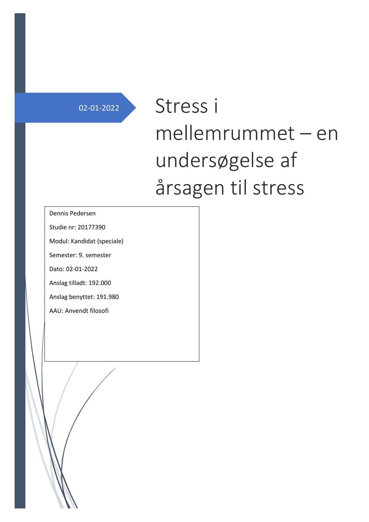# 02-01-2022 Stress i mellemrummet – en undersøgelse af årsagen til stress

#### Dennis Pedersen

Studie nr: 20177390

Modul: Kandidat (speciale)

Semester: 9. semester

Dato: 02-01-2022

Anslag tilladt: 192.000

Anslag benyttet: 191.980

AAU: Anvendt filosofi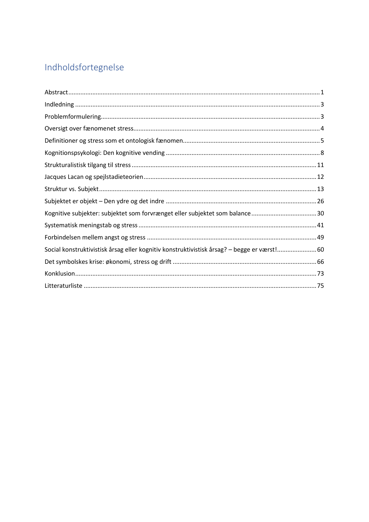# Indholdsfortegnelse

| Kognitive subjekter: subjektet som forvrænget eller subjektet som balance30                     |  |
|-------------------------------------------------------------------------------------------------|--|
|                                                                                                 |  |
|                                                                                                 |  |
| 60. Social konstruktivistisk årsag eller kognitiv konstruktivistisk årsag? - begge er værst! 60 |  |
|                                                                                                 |  |
|                                                                                                 |  |
|                                                                                                 |  |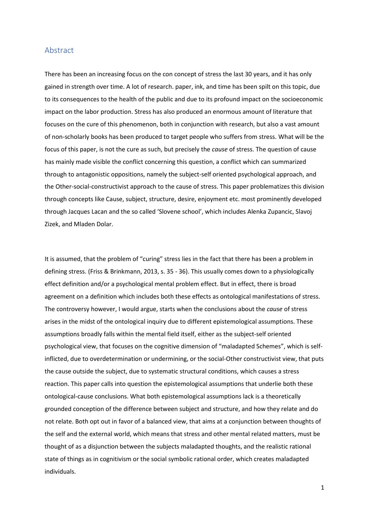#### <span id="page-2-0"></span>Abstract

There has been an increasing focus on the con concept of stress the last 30 years, and it has only gained in strength over time. A lot of research. paper, ink, and time has been spilt on this topic, due to its consequences to the health of the public and due to its profound impact on the socioeconomic impact on the labor production. Stress has also produced an enormous amount of literature that focuses on the cure of this phenomenon, both in conjunction with research, but also a vast amount of non-scholarly books has been produced to target people who suffers from stress. What will be the focus of this paper, is not the cure as such, but precisely the *cause* of stress. The question of cause has mainly made visible the conflict concerning this question, a conflict which can summarized through to antagonistic oppositions, namely the subject-self oriented psychological approach, and the Other-social-constructivist approach to the cause of stress. This paper problematizes this division through concepts like Cause, subject, structure, desire, enjoyment etc. most prominently developed through Jacques Lacan and the so called 'Slovene school', which includes Alenka Zupancic, Slavoj Zizek, and Mladen Dolar.

It is assumed, that the problem of "curing" stress lies in the fact that there has been a problem in defining stress. (Friss & Brinkmann, 2013, s. 35 - 36). This usually comes down to a physiologically effect definition and/or a psychological mental problem effect. But in effect, there is broad agreement on a definition which includes both these effects as ontological manifestations of stress. The controversy however, I would argue, starts when the conclusions about the *cause* of stress arises in the midst of the ontological inquiry due to different epistemological assumptions. These assumptions broadly falls within the mental field itself, either as the subject-self oriented psychological view, that focuses on the cognitive dimension of "maladapted Schemes", which is selfinflicted, due to overdetermination or undermining, or the social-Other constructivist view, that puts the cause outside the subject, due to systematic structural conditions, which causes a stress reaction. This paper calls into question the epistemological assumptions that underlie both these ontological-cause conclusions. What both epistemological assumptions lack is a theoretically grounded conception of the difference between subject and structure, and how they relate and do not relate. Both opt out in favor of a balanced view, that aims at a conjunction between thoughts of the self and the external world, which means that stress and other mental related matters, must be thought of as a disjunction between the subjects maladapted thoughts, and the realistic rational state of things as in cognitivism or the social symbolic rational order, which creates maladapted individuals.

1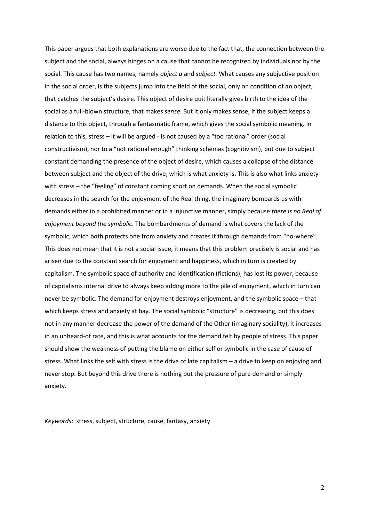This paper argues that both explanations are worse due to the fact that, the connection between the subject and the social, always hinges on a cause that cannot be recognized by individuals nor by the social. This cause has two names, namely *object a* and *subject.* What causes any subjective position in the social order, is the subjects jump into the field of the social, only on condition of an object, that catches the subject's desire. This object of desire quit literally gives birth to the idea of the social as a full-blown structure, that makes *sense*. But it only makes sense, if the subject keeps a distance to this object, through a fantasmatic frame, which gives the social symbolic meaning. In relation to this, stress – it will be argued - is not caused by a "too rational" order (social constructivism), nor to a "not rational enough" thinking schemas (cognitivism), but due to subject constant demanding the presence of the object of desire, which causes a collapse of the distance between subject and the object of the drive, which is what anxiety is. This is also what links anxiety with stress – the "feeling" of constant coming short on demands. When the social symbolic decreases in the search for the enjoyment of the Real thing, the imaginary bombards us with demands either in a prohibited manner or in a injunctive manner, simply because *there is no Real of enjoyment beyond the symbolic*. The bombardments of demand is what covers the lack of the symbolic, which both protects one from anxiety and creates it through demands from "no-where". This does not mean that it is not a social issue, it means that this problem precisely is social and has arisen due to the constant search for enjoyment and happiness, which in turn is created by capitalism. The symbolic space of authority and identification (fictions), has lost its power, because of capitalisms internal drive to always keep adding more to the pile of enjoyment, which in turn can never be symbolic. The demand for enjoyment destroys enjoyment, and the symbolic space – that which keeps stress and anxiety at bay. The social symbolic "structure" is decreasing, but this does not in any manner decrease the power of the demand of the Other (imaginary sociality), it increases in an unheard-of rate, and this is what accounts for the demand felt by people of stress. This paper should show the weakness of putting the blame on either self or symbolic in the case of cause of stress. What links the self with stress is the drive of late capitalism – a drive to keep on enjoying and never stop. But beyond this drive there is nothing but the pressure of pure demand or simply anxiety.

*Keywords*: stress, subject, structure, cause, fantasy, anxiety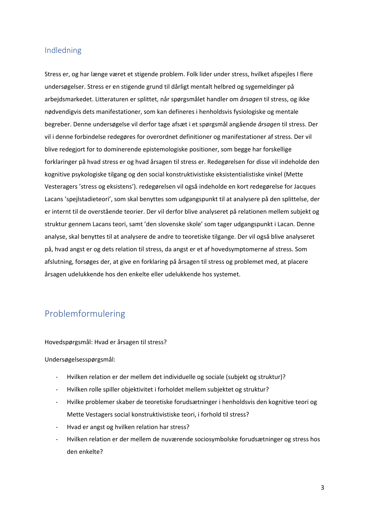#### <span id="page-4-0"></span>Indledning

Stress er, og har længe været et stigende problem. Folk lider under stress, hvilket afspejles I flere undersøgelser. Stress er en stigende grund til dårligt mentalt helbred og sygemeldinger på arbejdsmarkedet. Litteraturen er splittet, når spørgsmålet handler om *årsagen* til stress, og ikke nødvendigvis dets manifestationer, som kan defineres i henholdsvis fysiologiske og mentale begreber. Denne undersøgelse vil derfor tage afsæt i et spørgsmål angående *årsagen* til stress. Der vil i denne forbindelse redegøres for overordnet definitioner og manifestationer af stress. Der vil blive redegjort for to dominerende epistemologiske positioner, som begge har forskellige forklaringer på hvad stress er og hvad årsagen til stress er. Redegørelsen for disse vil indeholde den kognitive psykologiske tilgang og den social konstruktivistiske eksistentialistiske vinkel (Mette Vesteragers 'stress og eksistens'). redegørelsen vil også indeholde en kort redegørelse for Jacques Lacans 'spejlstadieteori', som skal benyttes som udgangspunkt til at analysere på den splittelse, der er internt til de overstående teorier. Der vil derfor blive analyseret på relationen mellem subjekt og struktur gennem Lacans teori, samt 'den slovenske skole' som tager udgangspunkt i Lacan. Denne analyse, skal benyttes til at analysere de andre to teoretiske tilgange. Der vil også blive analyseret på, hvad angst er og dets relation til stress, da angst er et af hovedsymptomerne af stress. Som afslutning, forsøges der, at give en forklaring på årsagen til stress og problemet med, at placere årsagen udelukkende hos den enkelte eller udelukkende hos systemet.

## <span id="page-4-1"></span>Problemformulering

Hovedspørgsmål: Hvad er årsagen til stress?

Undersøgelsesspørgsmål:

- Hvilken relation er der mellem det individuelle og sociale (subjekt og struktur)?
- Hvilken rolle spiller objektivitet i forholdet mellem subjektet og struktur?
- Hvilke problemer skaber de teoretiske forudsætninger i henholdsvis den kognitive teori og Mette Vestagers social konstruktivistiske teori, i forhold til stress?
- Hvad er angst og hvilken relation har stress?
- Hvilken relation er der mellem de nuværende sociosymbolske forudsætninger og stress hos den enkelte?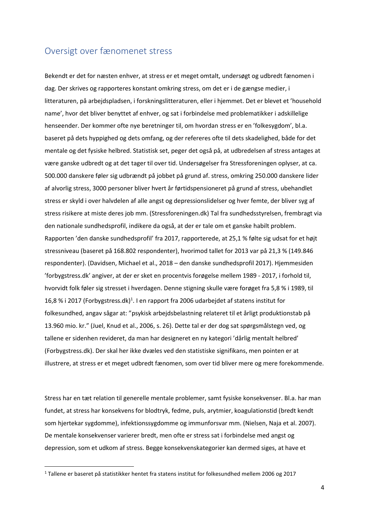#### <span id="page-5-0"></span>Oversigt over fænomenet stress

Bekendt er det for næsten enhver, at stress er et meget omtalt, undersøgt og udbredt fænomen i dag. Der skrives og rapporteres konstant omkring stress, om det er i de gængse medier, i litteraturen, på arbejdspladsen, i forskningslitteraturen, eller i hjemmet. Det er blevet et 'household name', hvor det bliver benyttet af enhver, og sat i forbindelse med problematikker i adskillelige henseender. Der kommer ofte nye beretninger til, om hvordan stress er en 'folkesygdom', bl.a. baseret på dets hyppighed og dets omfang, og der refereres ofte til dets skadelighed, både for det mentale og det fysiske helbred. Statistisk set, peger det også på, at udbredelsen af stress antages at være ganske udbredt og at det tager til over tid. Undersøgelser fra Stressforeningen oplyser, at ca. 500.000 danskere føler sig udbrændt på jobbet på grund af. stress, omkring 250.000 danskere lider af alvorlig stress, 3000 personer bliver hvert år førtidspensioneret på grund af stress, ubehandlet stress er skyld i over halvdelen af alle angst og depressionslidelser og hver femte, der bliver syg af stress risikere at miste deres job mm. (Stressforeningen.dk) Tal fra sundhedsstyrelsen, frembragt via den nationale sundhedsprofil, indikere da også, at der er tale om et ganske habilt problem. Rapporten 'den danske sundhedsprofil' fra 2017, rapporterede, at 25,1 % følte sig udsat for et højt stressniveau (baseret på 168.802 respondenter), hvorimod tallet for 2013 var på 21,3 % (149.846 respondenter). (Davidsen, Michael et al., 2018 – den danske sundhedsprofil 2017). Hjemmesiden 'forbygstress.dk' angiver, at der er sket en procentvis forøgelse mellem 1989 - 2017, i forhold til, hvorvidt folk føler sig stresset i hverdagen. Denne stigning skulle være forøget fra 5,8 % i 1989, til 16,8 % i 2017 (Forbygstress.dk)<sup>1</sup>. I en rapport fra 2006 udarbejdet af statens institut for folkesundhed, angav sågar at: "psykisk arbejdsbelastning relateret til et årligt produktionstab på 13.960 mio. kr." (Juel, Knud et al., 2006, s. 26). Dette tal er der dog sat spørgsmålstegn ved, og tallene er sidenhen revideret, da man har designeret en ny kategori 'dårlig mentalt helbred' (Forbygstress.dk). Der skal her ikke dvæles ved den statistiske signifikans, men pointen er at illustrere, at stress er et meget udbredt fænomen, som over tid bliver mere og mere forekommende.

Stress har en tæt relation til generelle mentale problemer, samt fysiske konsekvenser. Bl.a. har man fundet, at stress har konsekvens for blodtryk, fedme, puls, arytmier, koagulationstid (bredt kendt som hjertekar sygdomme), infektionssygdomme og immunforsvar mm. (Nielsen, Naja et al. 2007). De mentale konsekvenser varierer bredt, men ofte er stress sat i forbindelse med angst og depression, som et udkom af stress. Begge konsekvenskategorier kan dermed siges, at have et

<sup>1</sup> Tallene er baseret på statistikker hentet fra statens institut for folkesundhed mellem 2006 og 2017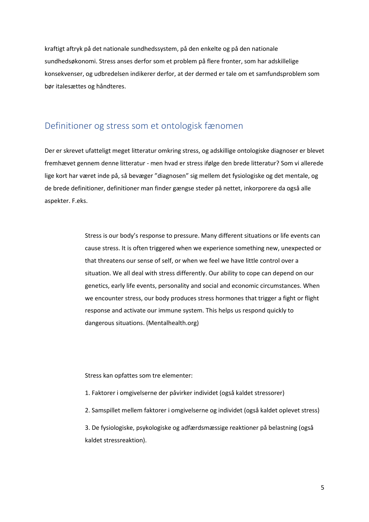kraftigt aftryk på det nationale sundhedssystem, på den enkelte og på den nationale sundhedsøkonomi. Stress anses derfor som et problem på flere fronter, som har adskillelige konsekvenser, og udbredelsen indikerer derfor, at der dermed er tale om et samfundsproblem som bør italesættes og håndteres.

#### <span id="page-6-0"></span>Definitioner og stress som et ontologisk fænomen

Der er skrevet ufatteligt meget litteratur omkring stress, og adskillige ontologiske diagnoser er blevet fremhævet gennem denne litteratur - men hvad er stress ifølge den brede litteratur? Som vi allerede lige kort har været inde på, så bevæger "diagnosen" sig mellem det fysiologiske og det mentale, og de brede definitioner, definitioner man finder gængse steder på nettet, inkorporere da også alle aspekter. F.eks.

> Stress is our body's response to pressure. Many different situations or life events can cause stress. It is often triggered when we experience something new, unexpected or that threatens our sense of self, or when we feel we have little control over a situation. We all deal with stress differently. Our ability to cope can depend on our genetics, early life events, personality and social and economic circumstances. When we encounter stress, our body produces stress hormones that trigger a fight or flight response and activate our immune system. This helps us respond quickly to dangerous situations. (Mentalhealth.org)

Stress kan opfattes som tre elementer:

- 1. Faktorer i omgivelserne der påvirker individet (også kaldet stressorer)
- 2. Samspillet mellem faktorer i omgivelserne og individet (også kaldet oplevet stress)

3. De fysiologiske, psykologiske og adfærdsmæssige reaktioner på belastning (også kaldet stressreaktion).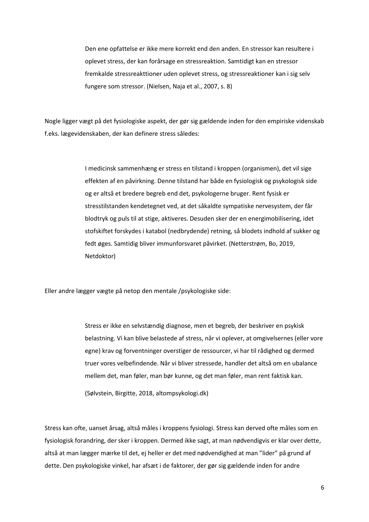Den ene opfattelse er ikke mere korrekt end den anden. En stressor kan resultere i oplevet stress, der kan forårsage en stressreaktion. Samtidigt kan en stressor fremkalde stressreakttioner uden oplevet stress, og stressreaktioner kan i sig selv fungere som stressor. (Nielsen, Naja et al., 2007, s. 8)

Nogle ligger vægt på det fysiologiske aspekt, der gør sig gældende inden for den empiriske videnskab f.eks. lægevidenskaben, der kan definere stress således:

> I medicinsk sammenhæng er stress en tilstand i kroppen (organismen), det vil sige effekten af en påvirkning. Denne tilstand har både en fysiologisk og psykologisk side og er altså et bredere begreb end det, psykologerne bruger. Rent fysisk er stresstilstanden kendetegnet ved, at det såkaldte sympatiske nervesystem, der får blodtryk og puls til at stige, aktiveres. Desuden sker der en energimobilisering, idet stofskiftet forskydes i katabol (nedbrydende) retning, så blodets indhold af sukker og fedt øges. Samtidig bliver immunforsvaret påvirket. (Netterstrøm, Bo, 2019, Netdoktor)

Eller andre lægger vægte på netop den mentale /psykologiske side:

Stress er ikke en selvstændig diagnose, men et begreb, der beskriver en psykisk belastning. Vi kan blive belastede af stress, når vi oplever, at omgivelsernes (eller vore egne) krav og forventninger overstiger de ressourcer, vi har til rådighed og dermed truer vores velbefindende. Når vi bliver stressede, handler det altså om en ubalance mellem det, man føler, man bør kunne, og det man føler, man rent faktisk kan.

(Sølvstein, Birgitte, 2018, altompsykologi.dk)

Stress kan ofte, uanset årsag, altså måles i kroppens fysiologi. Stress kan derved ofte måles som en fysiologisk forandring, der sker i kroppen. Dermed ikke sagt, at man nødvendigvis er klar over dette, altså at man lægger mærke til det, ej heller er det med nødvendighed at man "lider" på grund af dette. Den psykologiske vinkel, har afsæt i de faktorer, der gør sig gældende inden for andre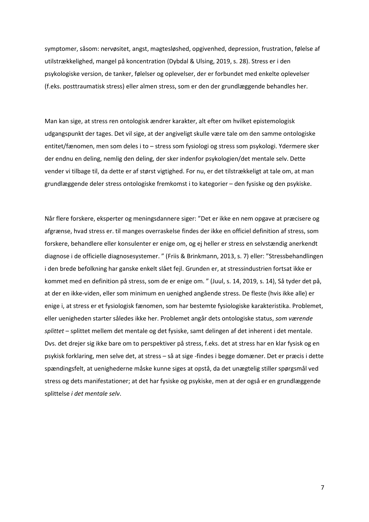symptomer, såsom: nervøsitet, angst, magtesløshed, opgivenhed, depression, frustration, følelse af utilstrækkelighed, mangel på koncentration (Dybdal & Ulsing, 2019, s. 28). Stress er i den psykologiske version, de tanker, følelser og oplevelser, der er forbundet med enkelte oplevelser (f.eks. posttraumatisk stress) eller almen stress, som er den der grundlæggende behandles her.

Man kan sige, at stress ren ontologisk ændrer karakter, alt efter om hvilket epistemologisk udgangspunkt der tages. Det vil sige, at der angiveligt skulle være tale om den samme ontologiske entitet/fænomen, men som deles i to – stress som fysiologi og stress som psykologi. Ydermere sker der endnu en deling, nemlig den deling, der sker indenfor psykologien/det mentale selv. Dette vender vi tilbage til, da dette er af størst vigtighed. For nu, er det tilstrækkeligt at tale om, at man grundlæggende deler stress ontologiske fremkomst i to kategorier – den fysiske og den psykiske.

Når flere forskere, eksperter og meningsdannere siger: "Det er ikke en nem opgave at præcisere og afgrænse, hvad stress er. til manges overraskelse findes der ikke en officiel definition af stress, som forskere, behandlere eller konsulenter er enige om, og ej heller er stress en selvstændig anerkendt diagnose i de officielle diagnosesystemer. " (Friis & Brinkmann, 2013, s. 7) eller: "Stressbehandlingen i den brede befolkning har ganske enkelt slået fejl. Grunden er, at stressindustrien fortsat ikke er kommet med en definition på stress, som de er enige om. " (Juul, s. 14, 2019, s. 14), Så tyder det på, at der en ikke-viden, eller som minimum en uenighed angående stress. De fleste (hvis ikke alle) er enige i, at stress er et fysiologisk fænomen, som har bestemte fysiologiske karakteristika. Problemet, eller uenigheden starter således ikke her. Problemet angår dets ontologiske status, *som værende splittet* – splittet mellem det mentale og det fysiske, samt delingen af det inherent i det mentale. Dvs. det drejer sig ikke bare om to perspektiver på stress, f.eks. det at stress har en klar fysisk og en psykisk forklaring, men selve det, at stress – så at sige -findes i begge domæner. Det er præcis i dette spændingsfelt, at uenighederne måske kunne siges at opstå, da det unægtelig stiller spørgsmål ved stress og dets manifestationer; at det har fysiske og psykiske, men at der også er en grundlæggende splittelse *i det mentale selv*.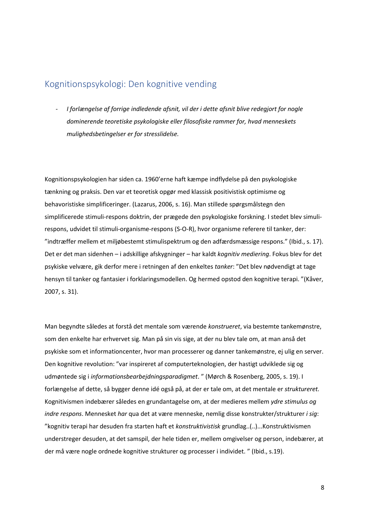### <span id="page-9-0"></span>Kognitionspsykologi: Den kognitive vending

*- I forlængelse af forrige indledende afsnit, vil der i dette afsnit blive redegjort for nogle dominerende teoretiske psykologiske eller filosofiske rammer for, hvad menneskets mulighedsbetingelser er for stresslidelse.*

Kognitionspsykologien har siden ca. 1960'erne haft kæmpe indflydelse på den psykologiske tænkning og praksis. Den var et teoretisk opgør med klassisk positivistisk optimisme og behavoristiske simplificeringer. (Lazarus, 2006, s. 16). Man stillede spørgsmålstegn den simplificerede stimuli-respons doktrin, der prægede den psykologiske forskning. I stedet blev simulirespons, udvidet til stimuli-organisme-respons (S-O-R), hvor organisme referere til tanker, der: "indtræffer mellem et miljøbestemt stimulispektrum og den adfærdsmæssige respons." (Ibid., s. 17). Det er det man sidenhen – i adskillige afskygninger – har kaldt *kognitiv mediering*. Fokus blev for det psykiske velvære, gik derfor mere i retningen af den enkeltes *tanker*: "Det blev nødvendigt at tage hensyn til tanker og fantasier i forklaringsmodellen. Og hermed opstod den kognitive terapi. "(Kåver, 2007, s. 31).

Man begyndte således at forstå det mentale som værende *konstrueret*, via bestemte tankemønstre, som den enkelte har erhvervet sig. Man på sin vis sige, at der nu blev tale om, at man anså det psykiske som et informationcenter, hvor man processerer og danner tankemønstre, ej ulig en server. Den kognitive revolution: "var inspireret af computerteknologien, der hastigt udviklede sig og udmøntede sig i *informationsbearbejdningsparadigmet*. " (Mørch & Rosenberg, 2005, s. 19). I forlængelse af dette, så bygger denne idé også på, at der er tale om, at det mentale er *struktureret.* Kognitivismen indebærer således en grundantagelse om, at der medieres mellem *ydre stimulus og indre respons*. Mennesket *har* qua det at være menneske, nemlig disse konstrukter/strukturer *i sig*: "kognitiv terapi har desuden fra starten haft et *konstruktivistisk* grundlag..(..)...Konstruktivismen understreger desuden, at det samspil, der hele tiden er, mellem omgivelser og person, indebærer, at der må være nogle ordnede kognitive strukturer og processer i individet. " (Ibid., s.19).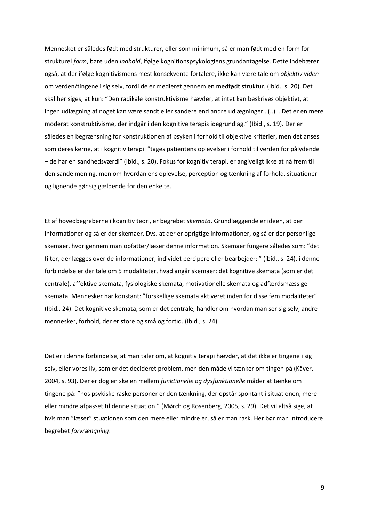Mennesket er således født med strukturer, eller som minimum, så er man født med en form for strukturel *form*, bare uden *indhold*, ifølge kognitionspsykologiens grundantagelse. Dette indebærer også, at der ifølge kognitivismens mest konsekvente fortalere, ikke kan være tale om *objektiv viden* om verden/tingene i sig selv, fordi de er medieret gennem en medfødt struktur. (Ibid., s. 20). Det skal her siges, at kun: "Den radikale konstruktivisme hævder, at intet kan beskrives objektivt, at ingen udlægning af noget kan være sandt eller sandere end andre udlægninger…(..)… Det er en mere moderat konstruktivisme, der indgår i den kognitive terapis idegrundlag." (Ibid., s. 19). Der er således en begrænsning for konstruktionen af psyken i forhold til objektive kriterier, men det anses som deres kerne, at i kognitiv terapi: "tages patientens oplevelser i forhold til verden for pålydende – de har en sandhedsværdi" (Ibid., s. 20). Fokus for kognitiv terapi, er angiveligt ikke at nå frem til den sande mening, men om hvordan ens oplevelse, perception og tænkning af forhold, situationer og lignende gør sig gældende for den enkelte.

Et af hovedbegreberne i kognitiv teori, er begrebet *skemata*. Grundlæggende er ideen, at der informationer og så er der skemaer. Dvs. at der er oprigtige informationer, og så er der personlige skemaer, hvorigennem man opfatter/læser denne information. Skemaer fungere således som: "det filter, der lægges over de informationer, individet percipere eller bearbejder: " (ibid., s. 24). i denne forbindelse er der tale om 5 modaliteter, hvad angår skemaer: det kognitive skemata (som er det centrale), affektive skemata, fysiologiske skemata, motivationelle skemata og adfærdsmæssige skemata. Mennesker har konstant: "forskellige skemata aktiveret inden for disse fem modaliteter" (Ibid., 24). Det kognitive skemata, som er det centrale, handler om hvordan man ser sig selv, andre mennesker, forhold, der er store og små og fortid. (Ibid., s. 24)

Det er i denne forbindelse, at man taler om, at kognitiv terapi hævder, at det ikke er tingene i sig selv, eller vores liv, som er det decideret problem, men den måde vi tænker om tingen på (Kåver, 2004, s. 93). Der er dog en skelen mellem *funktionelle og dysfunktionelle* måder at tænke om tingene på: "hos psykiske raske personer er den tænkning, der opstår spontant i situationen, mere eller mindre afpasset til denne situation." (Mørch og Rosenberg, 2005, s. 29). Det vil altså sige, at hvis man "læser" stuationen som den mere eller mindre er, så er man rask. Her bør man introducere begrebet *forvrængning*: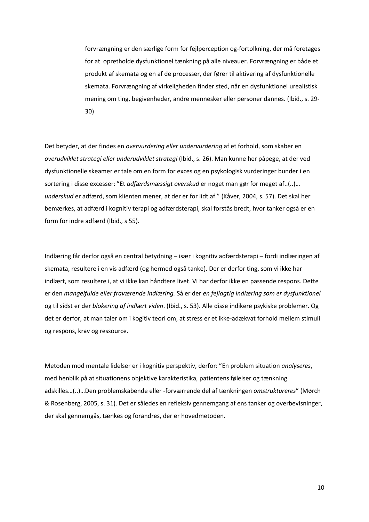forvrængning er den særlige form for fejlperception og-fortolkning, der må foretages for at opretholde dysfunktionel tænkning på alle niveauer. Forvrængning er både et produkt af skemata og en af de processer, der fører til aktivering af dysfunktionelle skemata. Forvrængning af virkeligheden finder sted, når en dysfunktionel urealistisk mening om ting, begivenheder, andre mennesker eller personer dannes. (Ibid., s. 29- 30)

Det betyder, at der findes en *overvurdering eller undervurdering* af et forhold, som skaber en *overudviklet strategi eller underudviklet strategi* (Ibid., s. 26). Man kunne her påpege, at der ved dysfunktionelle skeamer er tale om en form for exces og en psykologisk vurderinger bunder i en sortering i disse excesser: "Et *adfærdsmæssigt overskud* er noget man gør for meget af..(..)… *underskud* er adfærd, som klienten mener, at der er for lidt af." (Kåver, 2004, s. 57). Det skal her bemærkes, at adfærd i kognitiv terapi og adfærdsterapi, skal forstås bredt, hvor tanker også er en form for indre adfærd (Ibid., s 55).

Indlæring får derfor også en central betydning – især i kognitiv adfærdsterapi – fordi indlæringen af skemata, resultere i en vis adfærd (og hermed også tanke). Der er derfor ting, som vi ikke har indlært, som resultere i, at vi ikke kan håndtere livet. Vi har derfor ikke en passende respons. Dette er den *mangelfulde eller fraværende indlæring.* Så er der *en fejlagtig indlæring som er dysfunktionel* og til sidst er der *blokering af indlært viden*. (Ibid., s. 53). Alle disse indikere psykiske problemer. Og det er derfor, at man taler om i kogitiv teori om, at stress er et ikke-adækvat forhold mellem stimuli og respons, krav og ressource.

Metoden mod mentale lidelser er i kognitiv perspektiv, derfor: "En problem situation *analyseres*, med henblik på at situationens objektive karakteristika, patientens følelser og tænkning adskilles…(..)…Den problemskabende eller -forværrende del af tænkningen *omstruktureres*" (Mørch & Rosenberg, 2005, s. 31). Det er således en refleksiv gennemgang af ens tanker og overbevisninger, der skal gennemgås, tænkes og forandres, der er hovedmetoden.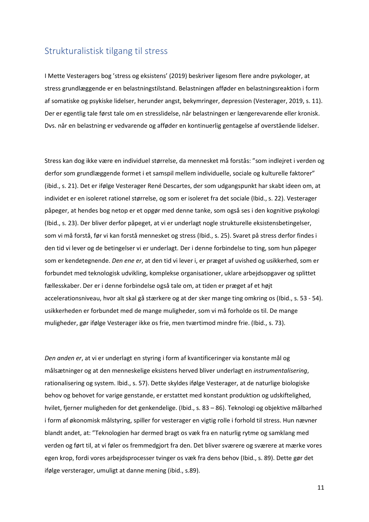#### <span id="page-12-0"></span>Strukturalistisk tilgang til stress

I Mette Vesteragers bog 'stress og eksistens' (2019) beskriver ligesom flere andre psykologer, at stress grundlæggende er en belastningstilstand. Belastningen afføder en belastningsreaktion i form af somatiske og psykiske lidelser, herunder angst, bekymringer, depression (Vesterager, 2019, s. 11). Der er egentlig tale først tale om en stresslidelse, når belastningen er længerevarende eller kronisk. Dvs. når en belastning er vedvarende og afføder en kontinuerlig gentagelse af overstående lidelser.

Stress kan dog ikke være en individuel størrelse, da mennesket må forstås: "som indlejret i verden og derfor som grundlæggende formet i et samspil mellem individuelle, sociale og kulturelle faktorer" (ibid., s. 21). Det er ifølge Vesterager René Descartes, der som udgangspunkt har skabt ideen om, at individet er en isoleret rationel størrelse, og som er isoleret fra det sociale (Ibid., s. 22). Vesterager påpeger, at hendes bog netop er et opgør med denne tanke, som også ses i den kognitive psykologi (Ibid., s. 23). Der bliver derfor påpeget, at vi er underlagt nogle strukturelle eksistensbetingelser, som vi må forstå, før vi kan forstå mennesket og stress (Ibid., s. 25). Svaret på stress derfor findes i den tid vi lever og de betingelser vi er underlagt. Der i denne forbindelse to ting, som hun påpeger som er kendetegnende. *Den ene er*, at den tid vi lever i, er præget af uvished og usikkerhed, som er forbundet med teknologisk udvikling, komplekse organisationer, uklare arbejdsopgaver og splittet fællesskaber. Der er i denne forbindelse også tale om, at tiden er præget af et højt accelerationsniveau, hvor alt skal gå stærkere og at der sker mange ting omkring os (Ibid., s. 53 - 54). usikkerheden er forbundet med de mange muligheder, som vi må forholde os til. De mange muligheder, gør ifølge Vesterager ikke os frie, men tværtimod mindre frie. (Ibid., s. 73).

*Den anden er*, at vi er underlagt en styring i form af kvantificeringer via konstante mål og målsætninger og at den menneskelige eksistens herved bliver underlagt en *instrumentalisering*, rationalisering og system. Ibid., s. 57). Dette skyldes ifølge Vesterager, at de naturlige biologiske behov og behovet for varige genstande, er erstattet med konstant produktion og udskiftelighed, hvilet, fjerner muligheden for det genkendelige. (Ibid., s. 83 – 86). Teknologi og objektive målbarhed i form af økonomisk målstyring, spiller for vesterager en vigtig rolle i forhold til stress. Hun nævner blandt andet, at: "Teknologien har dermed bragt os væk fra en naturlig rytme og samklang med verden og ført til, at vi føler os fremmedgjort fra den. Det bliver sværere og sværere at mærke vores egen krop, fordi vores arbejdsprocesser tvinger os væk fra dens behov (Ibid., s. 89). Dette gør det ifølge versterager, umuligt at danne mening (ibid., s.89).

11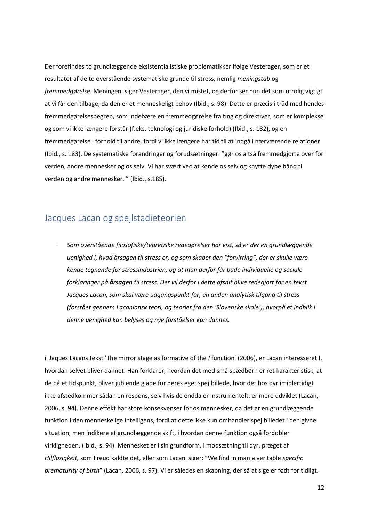Der forefindes to grundlæggende eksistentialistiske problematikker ifølge Vesterager, som er et resultatet af de to overstående systematiske grunde til stress, nemlig *meningstab* og *fremmedgørelse.* Meningen, siger Vesterager, den vi mistet, og derfor ser hun det som utrolig vigtigt at vi får den tilbage, da den er et menneskeligt behov (Ibid., s. 98). Dette er præcis i tråd med hendes fremmedgørelsesbegreb, som indebære en fremmedgørelse fra ting og direktiver, som er komplekse og som vi ikke længere forstår (f.eks. teknologi og juridiske forhold) (Ibid., s. 182), og en fremmedgørelse i forhold til andre, fordi vi ikke længere har tid til at indgå i nærværende relationer (Ibid., s. 183). De systematiske forandringer og forudsætninger: "gør os altså fremmedgjorte over for verden, andre mennesker og os selv. Vi har svært ved at kende os selv og knytte dybe bånd til verden og andre mennesker. " (Ibid., s.185).

#### <span id="page-13-0"></span>Jacques Lacan og spejlstadieteorien

- *Som overstående filosofiske/teoretiske redegørelser har vist, så er der en grundlæggende uenighed i, hvad årsagen til stress er, og som skaber den "forvirring", der er skulle være kende tegnende for stressindustrien, og at man derfor får både individuelle og sociale forklaringer på årsagen til stress. Der vil derfor i dette afsnit blive redegjort for en tekst Jacques Lacan, som skal være udgangspunkt for, en anden analytisk tilgang til stress (forstået gennem Lacaniansk teori, og teorier fra den 'Slovenske skole'), hvorpå et indblik i denne uenighed kan belyses og nye forståelser kan dannes.*

i Jaques Lacans tekst 'The mirror stage as formative of the *I* function' (2006), er Lacan interesseret I, hvordan selvet bliver dannet. Han forklarer, hvordan det med små spædbørn er ret karakteristisk, at de på et tidspunkt, bliver jublende glade for deres eget spejlbillede, hvor det hos dyr imidlertidigt ikke afstedkommer sådan en respons, selv hvis de endda er instrumentelt, er mere udviklet (Lacan, 2006, s. 94). Denne effekt har store konsekvenser for os mennesker, da det er en grundlæggende funktion i den menneskelige intelligens, fordi at dette ikke kun omhandler spejlbilledet i den givne situation, men indikere et grundlæggende skift, i hvordan denne funktion også fordobler virkligheden. (Ibid., s. 94). Mennesket er i sin grundform, i modsætning til dyr, præget af *Hilflosigkeit,* som Freud kaldte det, eller som Lacan siger: "We find in man a veritable *specific prematurity of birth*" (Lacan, 2006, s. 97). Vi er således en skabning, der så at sige er født for tidligt.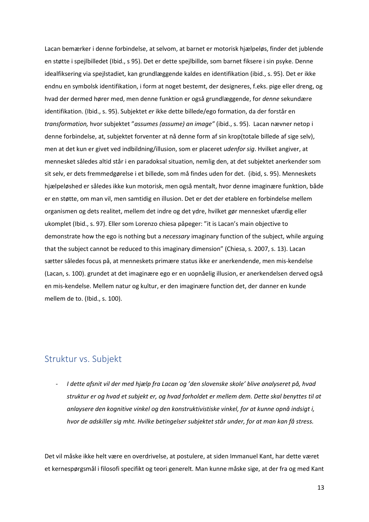Lacan bemærker i denne forbindelse, at selvom, at barnet er motorisk hjælpeløs, finder det jublende en støtte i spejlbilledet (Ibid., s 95). Det er dette spejlbillde, som barnet fiksere i sin psyke. Denne idealfiksering via spejlstadiet, kan grundlæggende kaldes en identifikation (ibid., s. 95). Det er ikke endnu en symbolsk identifikation, i form at noget bestemt, der designeres, f.eks. pige eller dreng, og hvad der dermed hører med, men denne funktion er også grundlæggende, for *denne* sekundære identifikation. (Ibid., s. 95). Subjektet *er* ikke dette billede/ego formation, da der forstår en *transformation,* hvor subjektet "*assumes (assume) an image"* (ibid., s. 95). Lacan nævner netop i denne forbindelse, at, subjektet forventer at nå denne form af sin krop(totale billede af sige selv), men at det kun er givet ved indbildning/illusion, som er placeret *udenfor sig*. Hvilket angiver, at mennesket således altid står i en paradoksal situation, nemlig den, at det subjektet anerkender som sit selv, er dets fremmedgørelse i et billede, som må findes uden for det. (ibid, s. 95). Menneskets hjælpeløshed er således ikke kun motorisk, men også mentalt, hvor denne imaginære funktion, både er en støtte, om man vil, men samtidig en illusion. Det er det der etablere en forbindelse mellem organismen og dets realitet, mellem det indre og det ydre, hvilket gør mennesket ufærdig eller ukomplet (Ibid., s. 97). Eller som Lorenzo chiesa påpeger: "it is Lacan's main objective to demonstrate how the ego is nothing but a *necessary* imaginary function of the subject, while arguing that the subject cannot be reduced to this imaginary dimension" (Chiesa, s. 2007, s. 13). Lacan sætter således focus på, at menneskets primære status ikke er anerkendende, men mis-kendelse (Lacan, s. 100). grundet at det imaginære ego er en uopnåelig illusion, er anerkendelsen derved også en mis-kendelse. Mellem natur og kultur, er den imaginære function det, der danner en kunde mellem de to. (Ibid., s. 100).

#### <span id="page-14-0"></span>Struktur vs. Subjekt

- *I dette afsnit vil der med hjælp fra Lacan og 'den slovenske skole' blive analyseret på, hvad struktur er og hvad et subjekt er, og hvad forholdet er mellem dem. Dette skal benyttes til at anlaysere den kognitive vinkel og den konstruktivistiske vinkel, for at kunne opnå indsigt i, hvor de adskiller sig mht. Hvilke betingelser subjektet står under, for at man kan få stress.*

Det vil måske ikke helt være en overdrivelse, at postulere, at siden Immanuel Kant, har dette været et kernespørgsmål i filosofi specifikt og teori generelt. Man kunne måske sige, at der fra og med Kant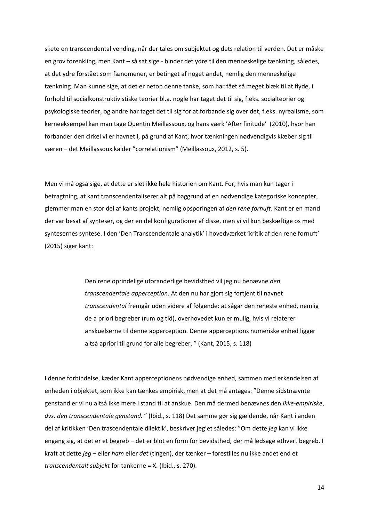skete en transcendental vending, når der tales om subjektet og dets relation til verden. Det er måske en grov forenkling, men Kant – så sat sige - binder det ydre til den menneskelige tænkning, således, at det ydre forstået som fænomener, er betinget af noget andet, nemlig den menneskelige tænkning. Man kunne sige, at det er netop denne tanke, som har fået så meget blæk til at flyde, i forhold til socialkonstruktivistiske teorier bl.a. nogle har taget det til sig, f.eks. socialteorier og psykologiske teorier, og andre har taget det til sig for at forbande sig over det, f.eks. nyrealisme, som kerneeksempel kan man tage Quentin Meillassoux, og hans værk 'After finitude' (2010), hvor han forbander den cirkel vi er havnet i, på grund af Kant, hvor tænkningen nødvendigvis klæber sig til væren – det Meillassoux kalder "correlationism" (Meillassoux, 2012, s. 5).

Men vi må også sige, at dette er slet ikke hele historien om Kant. For, hvis man kun tager i betragtning, at kant transcendentaliserer alt på baggrund af en nødvendige kategoriske koncepter, glemmer man en stor del af kants projekt, nemlig opsporingen af *den rene fornuft*. Kant er en mand der var besat af synteser, og der en del konfigurationer af disse, men vi vil kun beskæftige os med syntesernes syntese. I den 'Den Transcendentale analytik' i hovedværket 'kritik af den rene fornuft' (2015) siger kant:

> Den rene oprindelige uforanderlige bevidsthed vil jeg nu benævne *den transcendentale apperception*. At den nu har gjort sig fortjent til navnet *transcendental* fremgår uden videre af følgende: at sågar den reneste enhed, nemlig de a priori begreber (rum og tid), overhovedet kun er mulig, hvis vi relaterer anskuelserne til denne apperception. Denne apperceptions numeriske enhed ligger altså apriori til grund for alle begreber. " (Kant, 2015, s. 118)

I denne forbindelse, kæder Kant apperceptionens nødvendige enhed, sammen med erkendelsen af enheden i objektet, som ikke kan tænkes empirisk, men at det må antages: "Denne sidstnævnte genstand er vi nu altså ikke mere i stand til at anskue. Den må dermed benævnes den *ikke-empiriske*, *dvs. den transcendentale genstand.* " (Ibid., s. 118) Det samme gør sig gældende, når Kant i anden del af kritikken 'Den trascendentale dilektik', beskriver jeg'et således: "Om dette *jeg* kan vi ikke engang sig, at det er et begreb – det er blot en form for bevidsthed, der må ledsage ethvert begreb. I kraft at dette *jeg* – eller *ham* eller *det* (tingen), der tænker – forestilles nu ikke andet end et *transcendentalt subjekt* for tankerne = X. (Ibid., s. 270).

14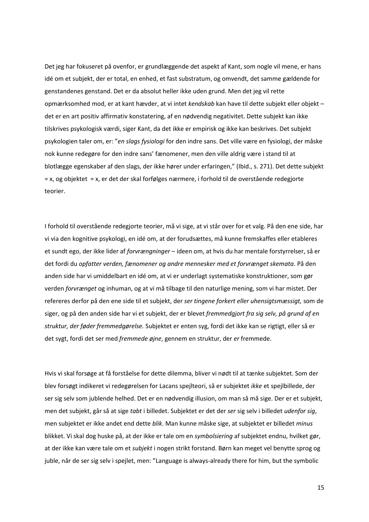Det jeg har fokuseret på ovenfor, er grundlæggende det aspekt af Kant, som nogle vil mene, er hans idé om et subjekt, der er total, en enhed, et fast substratum, og omvendt, det samme gældende for genstandenes genstand. Det er da absolut heller ikke uden grund. Men det jeg vil rette opmærksomhed mod, er at kant hævder, at vi intet *kendskab* kan have til dette subjekt eller objekt – det er en art positiv affirmativ konstatering, af en nødvendig negativitet. Dette subjekt kan ikke tilskrives psykologisk værdi, siger Kant, da det ikke er empirisk og ikke kan beskrives. Det subjekt psykologien taler om, er: "*en slags fysiologi* for den indre sans. Det ville være en fysiologi, der måske nok kunne redegøre for den indre sans' fænomener, men den ville aldrig være i stand til at blotlægge egenskaber af den slags, der ikke hører under erfaringen," (Ibid., s. 271). Det dette subjekt = x, og objektet = x, er det der skal forfølges nærmere, i forhold til de overstående redegjorte teorier.

I forhold til overstående redegjorte teorier, må vi sige, at vi står over for et valg. På den ene side, har vi via den kognitive psykologi, en idé om, at der forudsættes, må kunne fremskaffes eller etableres et sundt ego, der ikke lider af *forvrængninger* – ideen om, at hvis du har mentale forstyrrelser, så er det fordi du *opfatter verden, fænomener og andre mennesker med et forvrænget skemata*. På den anden side har vi umiddelbart en idé om, at vi er underlagt systematiske konstruktioner, som gør verden *forvrænget* og inhuman, og at vi må tilbage til den naturlige mening, som vi har mistet. Der refereres derfor på den ene side til et subjekt, der *ser tingene forkert eller uhensigtsmæssigt,* som de siger, og på den anden side har vi et subjekt, der er blevet *fremmedgjort fra sig selv, på grund af en struktur, der føder fremmedgørelse.* Subjektet er enten syg, fordi det ikke kan se rigtigt, eller så er det sygt, fordi det ser med *fremmede øjne*, gennem en struktur, der *er* fremmede.

Hvis vi skal forsøge at få forståelse for dette dilemma, bliver vi nødt til at tænke subjektet. Som der blev forsøgt indikeret vi redegørelsen for Lacans spejlteori, så er subjektet *ikke* et spejlbillede, der ser sig selv som jublende helhed. Det er en nødvendig illusion, om man så må sige. Der er et subjekt, men det subjekt, går så at sige *tabt* i billedet. Subjektet er det der *ser* sig selv i billedet *udenfor sig*, men subjektet er ikke andet end dette *blik*. Man kunne måske sige, at subjektet er billedet *minus* blikket. Vi skal dog huske på, at der ikke er tale om en *symbolsiering* af subjektet endnu, hvilket gør, at der ikke kan være tale om et *subjekt* i nogen strikt forstand. Børn kan meget vel benytte sprog og juble, når de ser sig selv i spejlet, men: "Language is always-already there for him, but the symbolic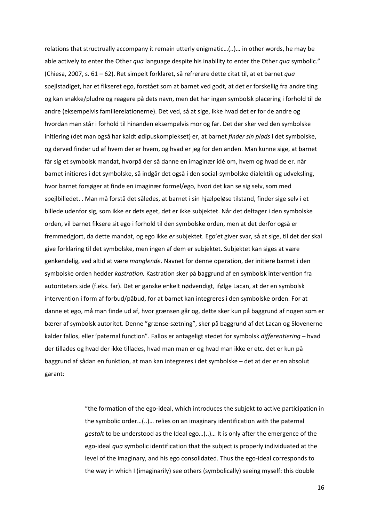relations that structrually accompany it remain utterly enigmatic…(..)… in other words, he may be able actively to enter the Other *qua* language despite his inability to enter the Other *qua* symbolic." (Chiesa, 2007, s. 61 – 62). Ret simpelt forklaret, så refrerere dette citat til, at et barnet *qua*  spejlstadiget, har et fikseret ego, forstået som at barnet ved godt, at det er forskellig fra andre ting og kan snakke/pludre og reagere på dets navn, men det har ingen symbolsk placering i forhold til de andre (eksempelvis familierelationerne). Det ved, så at sige, ikke hvad det er for de andre og hvordan man står i forhold til hinanden eksempelvis mor og far. Det der sker ved den symbolske initiering (det man også har kaldt ødipuskomplekset) er, at barnet *finder sin plads* i det symbolske, og derved finder ud af hvem der er hvem, og hvad er jeg for den anden. Man kunne sige, at barnet får sig et symbolsk mandat, hvorpå der så danne en imaginær idé om, hvem og hvad de er. når barnet initieres i det symbolske, så indgår det også i den social-symbolske dialektik og udveksling, hvor barnet forsøger at finde en imaginær formel/ego, hvori det kan se sig selv, som med spejlbilledet. . Man må forstå det således, at barnet i sin hjælpeløse tilstand, finder sige selv i et billede udenfor sig, som ikke er dets eget, det er ikke subjektet. Når det deltager i den symbolske orden, vil barnet fiksere sit ego i forhold til den symbolske orden, men at det derfor også er fremmedgjort, da dette mandat, og ego ikke *er* subjektet. Ego'et giver svar, så at sige, til det der skal give forklaring til det symbolske, men ingen af dem er subjektet. Subjektet kan siges at være genkendelig, ved altid at være *manglende*. Navnet for denne operation, der initiere barnet i den symbolske orden hedder *kastration.* Kastration sker på baggrund af en symbolsk intervention fra autoriteters side (f.eks. far). Det er ganske enkelt nødvendigt, ifølge Lacan, at der en symbolsk intervention i form af forbud/påbud, for at barnet kan integreres i den symbolske orden. For at danne et ego, må man finde ud af, hvor grænsen går og, dette sker kun på baggrund af nogen som er bærer af symbolsk autoritet. Denne "grænse-sætning", sker på baggrund af det Lacan og Slovenerne kalder fallos, eller 'paternal function". Fallos er antageligt stedet for symbolsk *differentiering* – hvad der tillades og hvad der ikke tillades, hvad man man er og hvad man ikke er etc. det er kun på baggrund af sådan en funktion, at man kan integreres i det symbolske – det at der er en absolut garant:

> "the formation of the ego-ideal, which introduces the subjekt to active participation in the symbolic order…(..)… relies on an imaginary identification with the paternal *gestalt* to be understood as the Ideal ego…(..)… It is only after the emergence of the ego-ideal *qua* symbolic identification that the subject is properly individuated at the level of the imaginary, and his ego consolidated. Thus the ego-ideal corresponds to the way in which I (imaginarily) see others (symbolically) seeing myself: this double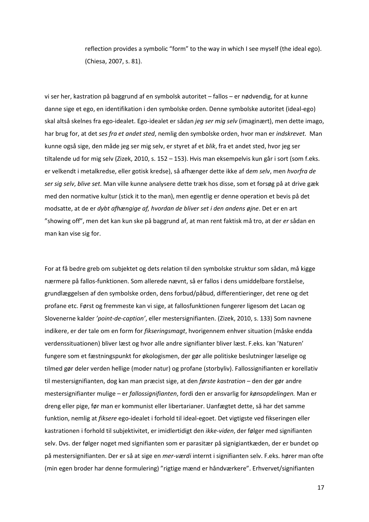reflection provides a symbolic "form" to the way in which I see myself (the ideal ego). (Chiesa, 2007, s. 81).

vi ser her, kastration på baggrund af en symbolsk autoritet – fallos – er nødvendig, for at kunne danne sige et ego, en identifikation i den symbolske orden. Denne symbolske autoritet (ideal-ego) skal altså skelnes fra ego-idealet. Ego-idealet er sådan *jeg ser mig selv* (imaginært), men dette imago, har brug for, at det *ses fra et andet sted*, nemlig den symbolske orden, hvor man er *indskrevet.* Man kunne også sige, den måde jeg ser mig selv, er styret af et *blik*, fra et andet sted, hvor jeg ser tiltalende ud for mig selv (Zizek, 2010, s. 152 – 153). Hvis man eksempelvis kun går i sort (som f.eks. er velkendt i metalkredse, eller gotisk kredse), så afhænger dette ikke af d*em selv*, men *hvorfra de ser sig selv*, *blive set.* Man ville kunne analysere dette træk hos disse, som et forsøg på at drive gæk med den normative kultur (stick it to the man), men egentlig er denne operation et bevis på det modsatte, at de er *dybt afhængige af, hvordan de bliver set i den andens øjne*. Det er en art "showing off", men det kan kun ske på baggrund af, at man rent faktisk må tro, at der *er* sådan en man kan vise sig for.

For at få bedre greb om subjektet og dets relation til den symbolske struktur som sådan, må kigge nærmere på fallos-funktionen. Som allerede nævnt, så er fallos i dens umiddelbare forståelse, grundlæggelsen af den symbolske orden, dens forbud/påbud, differentieringer, det rene og det profane etc. Først og fremmeste kan vi sige, at fallosfunktionen fungerer ligesom det Lacan og Slovenerne kalder *'point-de-caption'*, eller mestersignifianten. (Zizek, 2010, s. 133) Som navnene indikere, er der tale om en form for *fikseringsmagt*, hvorigennem enhver situation (måske endda verdenssituationen) bliver læst og hvor alle andre signifianter bliver læst. F.eks. kan 'Naturen' fungere som et fæstningspunkt for økologismen, der gør alle politiske beslutninger læselige og tilmed gør deler verden hellige (moder natur) og profane (storbyliv). Fallossignifianten er korellativ til mestersignifianten, dog kan man præcist sige, at den *første kastration* – den der gør andre mestersignifianter mulige – er *fallossignifianten*, fordi den er ansvarlig for *kønsopdelingen.* Man er dreng eller pige, før man er kommunist eller libertarianer. Uanfægtet dette, så har det samme funktion, nemlig at *fiksere* ego-idealet i forhold til ideal-egoet. Det vigtigste ved fikseringen eller kastrationen i forhold til subjektivitet, er imidlertidigt den *ikke-viden*, der følger med signifianten selv. Dvs. der følger noget med signifianten som er parasitær på signigiantkæden, der er bundet op på mestersignifianten. Der er så at sige en *mer-værdi* internt i signifianten selv. F.eks. hører man ofte (min egen broder har denne formulering) "rigtige mænd er håndværkere". Erhvervet/signifianten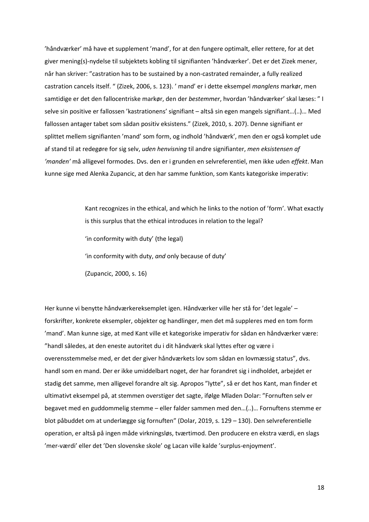'håndværker' må have et supplement 'mand', for at den fungere optimalt, eller rettere, for at det giver mening(s)-nydelse til subjektets kobling til signifianten 'håndværker'. Det er det Zizek mener, når han skriver: "castration has to be sustained by a non-castrated remainder, a fully realized castration cancels itself. " (Zizek, 2006, s. 123). ' mand' er i dette eksempel *manglens* markør, men samtidige er det den fallocentriske markør, den der *bestemmer*, hvordan 'håndværker' skal læses: " I selve sin positive er fallossen 'kastrationens' signifiant – altså sin egen mangels signifiant…(..)… Med fallossen antager tabet som sådan positiv eksistens." (Zizek, 2010, s. 207). Denne signifiant er splittet mellem signifianten 'mand' som form, og indhold 'håndværk', men den er også komplet ude af stand til at redegøre for sig selv, *uden henvisning* til andre signifianter, *men eksistensen af 'manden'* må alligevel formodes. Dvs. den er i grunden en selvreferentiel, men ikke uden *effekt*. Man kunne sige med Alenka Zupancic, at den har samme funktion, som Kants kategoriske imperativ:

> Kant recognizes in the ethical, and which he links to the notion of 'form'. What exactly is this surplus that the ethical introduces in relation to the legal? 'in conformity with duty' (the legal) 'in conformity with duty, *and* only because of duty' (Zupancic, 2000, s. 16)

Her kunne vi benytte håndværkereksemplet igen. Håndværker ville her stå for 'det legale' – forskrifter, konkrete eksempler, objekter og handlinger, men det må suppleres med en tom form 'mand'. Man kunne sige, at med Kant ville et kategoriske imperativ for sådan en håndværker være: "handl således, at den eneste autoritet du i dit håndværk skal lyttes efter og være i overensstemmelse med, er det der giver håndværkets lov som sådan en lovmæssig status", dvs. handl som en mand. Der er ikke umiddelbart noget, der har forandret sig i indholdet, arbejdet er stadig det samme, men alligevel forandre alt sig. Apropos "lytte", så er det hos Kant, man finder et ultimativt eksempel på, at stemmen overstiger det sagte, ifølge Mladen Dolar: "Fornuften selv er begavet med en guddommelig stemme – eller falder sammen med den…(..)… Fornuftens stemme er blot påbuddet om at underlægge sig fornuften" (Dolar, 2019, s. 129 – 130). Den selvreferentielle operation, er altså på ingen måde virkningsløs, tværtimod. Den producere en ekstra værdi, en slags 'mer-værdi' eller det 'Den slovenske skole' og Lacan ville kalde 'surplus-enjoyment'.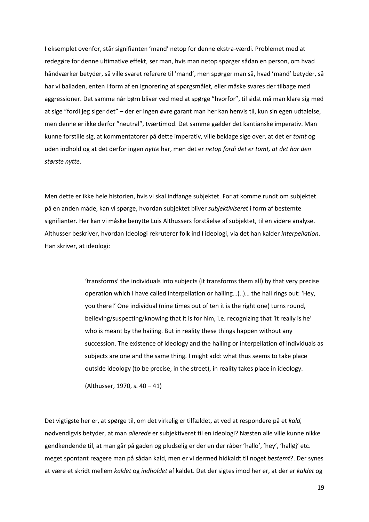I eksemplet ovenfor, står signifianten 'mand' netop for denne ekstra-værdi. Problemet med at redegøre for denne ultimative effekt, ser man, hvis man netop spørger sådan en person, om hvad håndværker betyder, så ville svaret referere til 'mand', men spørger man så, hvad 'mand' betyder, så har vi balladen, enten i form af en ignorering af spørgsmålet, eller måske svares der tilbage med aggressioner. Det samme når børn bliver ved med at spørge "hvorfor", til sidst må man klare sig med at sige "fordi jeg siger det" – der er ingen øvre garant man her kan henvis til, kun sin egen udtalelse, men denne er ikke derfor "neutral", tværtimod. Det samme gælder det kantianske imperativ. Man kunne forstille sig, at kommentatorer på dette imperativ, ville beklage sige over, at det er *tomt* og uden indhold og at det derfor ingen *nytte* har, men det er *netop fordi det er tomt, at det har den største nytte*.

Men dette er ikke hele historien, hvis vi skal indfange subjektet. For at komme rundt om subjektet på en anden måde, kan vi spørge, hvordan subjektet bliver *subjektiviseret* i form af bestemte signifianter. Her kan vi måske benytte Luis Althussers forståelse af subjektet, til en videre analyse. Althusser beskriver, hvordan Ideologi rekruterer folk ind I ideologi, via det han kalder *interpellation*. Han skriver, at ideologi:

> 'transforms' the individuals into subjects (it transforms them all) by that very precise operation which I have called interpellation or hailing…(..)… the hail rings out: 'Hey, you there!' One individual (nine times out of ten it is the right one) turns round, believing/suspecting/knowing that it is for him, i.e. recognizing that 'it really is he' who is meant by the hailing. But in reality these things happen without any succession. The existence of ideology and the hailing or interpellation of individuals as subjects are one and the same thing. I might add: what thus seems to take place outside ideology (to be precise, in the street), in reality takes place in ideology.

(Althusser, 1970, s. 40 – 41)

Det vigtigste her er, at spørge til, om det virkelig er tilfældet, at ved at respondere på et *kald,* nødvendigvis betyder, at man *allerede* er subjektiveret til en ideologi? Næsten alle ville kunne nikke gendkendende til, at man går på gaden og pludselig er der en der råber 'hallo', 'hey', 'halløj' etc. meget spontant reagere man på sådan kald, men er vi dermed hidkaldt til noget *bestemt*?. Der synes at være et skridt mellem *kaldet* og *indholdet* af kaldet. Det der sigtes imod her er, at der er *kaldet* og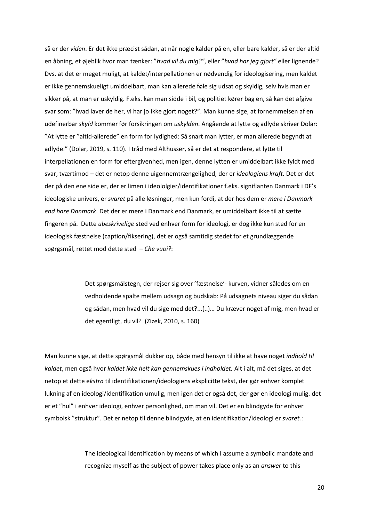så er der *viden*. Er det ikke præcist sådan, at når nogle kalder på en, eller bare kalder, så er der altid en åbning, et øjeblik hvor man tænker: "*hvad vil du mig?"*, eller "*hvad har jeg gjort"* eller lignende? Dvs. at det er meget muligt, at kaldet/interpellationen er nødvendig for ideologisering, men kaldet er ikke gennemskueligt umiddelbart, man kan allerede føle sig udsat og skyldig, selv hvis man er sikker på, at man er uskyldig. F.eks. kan man sidde i bil, og politiet kører bag en, så kan det afgive svar som: "hvad laver de her, vi har jo ikke gjort noget?". Man kunne sige, at fornemmelsen af en udefinerbar *skyld* kommer før forsikringen om *uskylden*. Angående at lytte og adlyde skriver Dolar: "At lytte er "altid-allerede" en form for lydighed: Så snart man lytter, er man allerede begyndt at adlyde." (Dolar, 2019, s. 110). I tråd med Althusser, så er det at respondere, at lytte til interpellationen en form for eftergivenhed, men igen, denne lytten er umiddelbart ikke fyldt med svar, tværtimod – det er netop denne uigennemtrængelighed, der er *ideologiens kraft.* Det er det der på den ene side er, der er limen i ideololgier/identifikationer f.eks. signifianten Danmark i DF's ideologiske univers, er *svaret* på alle løsninger, men kun fordi, at der hos dem er *mere i Danmark end bare Danmark*. Det der er mere i Danmark end Danmark, er umiddelbart ikke til at sætte fingeren på. Dette *ubeskrivelige* sted ved enhver form for ideologi, er dog ikke kun sted for en ideologisk fæstnelse (caption/fiksering), det er også samtidig stedet for et grundlæggende spørgsmål, rettet mod dette sted – *Che vuoi?*:

> Det spørgsmålstegn, der rejser sig over 'fæstnelse'- kurven, vidner således om en vedholdende spalte mellem udsagn og budskab: På udsagnets niveau siger du sådan og sådan, men hvad vil du sige med det?...(..)… Du kræver noget af mig, men hvad er det egentligt, du vil? (Zizek, 2010, s. 160)

Man kunne sige, at dette spørgsmål dukker op, både med hensyn til ikke at have noget *indhold til kaldet*, men også hvor *kaldet ikke helt kan gennemskues i indholdet.* Alt i alt, må det siges, at det netop et dette e*kstra* til identifikationen/ideologiens eksplicitte tekst, der gør enhver komplet lukning af en ideologi/identifikation umulig, men igen det er også det, der gør en ideologi mulig. det er et "hul" i enhver ideologi, enhver personlighed, om man vil. Det er en blindgyde for enhver symbolsk "struktur". Det er netop til denne blindgyde, at en identifikation/ideologi er *svaret.*:

> The ideological identification by means of which I assume a symbolic mandate and recognize myself as the subject of power takes place only as an *answer* to this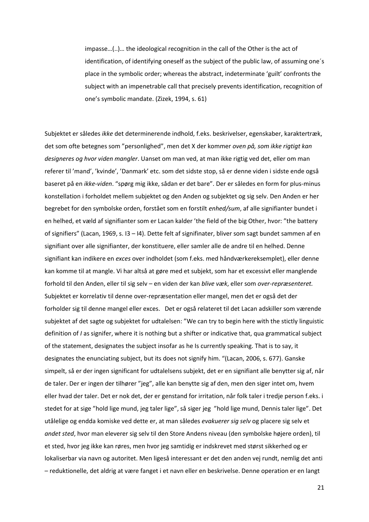impasse…(..)… the ideological recognition in the call of the Other is the act of identification, of identifying oneself as the subject of the public law, of assuming one´s place in the symbolic order; whereas the abstract, indeterminate 'guilt' confronts the subject with an impenetrable call that precisely prevents identification, recognition of one's symbolic mandate. (Zizek, 1994, s. 61)

Subjektet er således *ikke* det determinerende indhold, f.eks. beskrivelser, egenskaber, karaktertræk, det som ofte betegnes som "personlighed", men det X der kommer *oven på, som ikke rigtigt kan designeres og hvor viden mangler*. Uanset om man ved, at man ikke rigtig ved det, eller om man referer til 'mand', 'kvinde', 'Danmark' etc. som det sidste stop, så er denne viden i sidste ende også baseret på en *ikke-viden*. "spørg mig ikke, sådan er det bare". Der er således en form for plus-minus konstellation i forholdet mellem subjektet og den Anden og subjektet og sig selv. Den Anden er her begrebet for den symbolske orden, forstået som en forstilt *enhed/sum*, af alle signifianter bundet i en helhed, et væld af signifianter som er Lacan kalder 'the field of the big Other, hvor: "the battery of signifiers" (Lacan, 1969, s. I3 – I4). Dette felt af signifinater, bliver som sagt bundet sammen af en signifiant over alle signifianter, der konstituere, eller samler alle de andre til en helhed. Denne signifiant kan indikere en *exces* over indholdet (som f.eks. med håndværkereksemplet), eller denne kan komme til at mangle. Vi har altså at gøre med et subjekt, som har et excessivt eller manglende forhold til den Anden, eller til sig selv – en viden der kan *blive væk*, eller som *over-repræsenteret.* Subjektet er korrelativ til denne over-repræsentation eller mangel, men det er også det der forholder sig til denne mangel eller exces. Det er også relateret til det Lacan adskiller som værende subjektet af det sagte og subjektet for udtalelsen: "We can try to begin here with the stictly linguistic definition of *I* as signifer, where it is nothing but a shifter or indicative that, qua grammatical subject of the statement, designates the subject insofar as he Is currently speaking. That is to say, it designates the enunciating subject, but its does not signify him. "(Lacan, 2006, s. 677). Ganske simpelt, så er der ingen significant for udtalelsens subjekt, det er en signifiant alle benytter sig af, når de taler. Der er ingen der tilhører "jeg", alle kan benytte sig af den, men den siger intet om, hvem eller hvad der taler. Det er nok det, der er genstand for irritation, når folk taler i tredje person f.eks. i stedet for at sige "hold lige mund, jeg taler lige", så siger jeg "hold lige mund, Dennis taler lige". Det utålelige og endda komiske ved dette er, at man således *evakuerer sig selv* og placere sig selv et *andet sted*, hvor man eleverer sig selv til den Store Andens niveau (den symbolske højere orden), til et sted, hvor jeg ikke kan røres, men hvor jeg samtidig er indskrevet med størst sikkerhed og er lokaliserbar via navn og autoritet. Men ligeså interessant er det den anden vej rundt, nemlig det anti – reduktionelle, det aldrig at være fanget i et navn eller en beskrivelse. Denne operation er en langt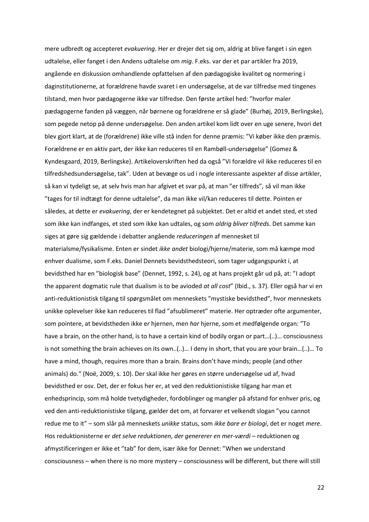mere udbredt og accepteret *evakuering*. Her er drejer det sig om, aldrig at blive fanget i sin egen udtalelse, eller fanget i den Andens udtalelse om *mig*. F.eks. var der et par artikler fra 2019, angående en diskussion omhandlende opfattelsen af den pædagogiske kvalitet og normering i daginstitutionerne, at forældrene havde svaret i en undersøgelse, at de var tilfredse med tingenes tilstand, men hvor pædagogerne ikke var tilfredse. Den første artikel hed: "hvorfor maler pædagogerne fanden på væggen, når børnene og forældrene er så glade" (Burhøj, 2019, Berlingske), som pegede netop på denne undersøgelse. Den anden artikel kom lidt over en uge senere, hvori det blev gjort klart, at de (forældrene) ikke ville stå inden for denne præmis: "Vi køber ikke den præmis. Forældrene er en aktiv part, der ikke kan reduceres til en Rambøll-undersøgelse" (Gomez & Kyndesgaard, 2019, Berlingske). Artikeloverskriften hed da også "Vi forældre vil ikke reduceres til en tilfredshedsundersøgelse, tak". Uden at bevæge os ud i nogle interessante aspekter af disse artikler, så kan vi tydeligt se, at selv hvis man har afgivet et svar på, at man "er tilfreds", så vil man ikke "tages for til indtægt for denne udtalelse", da man ikke vil/kan reduceres til dette. Pointen er således, at dette er *evakuering*, der er kendetegnet på subjektet. Det er altid et andet sted, et sted som ikke kan indfanges, et sted som ikke kan udtales, og som *aldrig bliver tilfreds*. Det samme kan siges at gøre sig gældende i debatter angående *reduceringen* af mennesket til materialsme/fysikalisme. Enten er sindet *ikke andet* biologi/hjerne/materie, som må kæmpe mod enhver dualisme, som F.eks. Daniel Dennets bevidsthedsteori, som tager udgangspunkt i, at bevidsthed har en "biologisk base" (Dennet, 1992, s. 24), og at hans projekt går ud på, at: "I adopt the apparent dogmatic rule that dualism is to be avioded *at all cost*" (Ibid., s. 37). Eller også har vi en anti-reduktionistisk tilgang til spørgsmålet om menneskets "mystiske bevidsthed", hvor menneskets unikke oplevelser ikke kan reduceres til flad "afsublimeret" materie. Her optræder ofte argumenter, som pointere, at bevidstheden ikke e*r* hjernen, men *har* hjerne, som et medfølgende organ: "To have a brain, on the other hand, is to have a certain kind of bodily organ or part…(..)… consciousness is not something the brain achieves on its own..(..)… I deny in short, that you are your brain…(..)… To have a mind, though, requires more than a brain. Brains don't have minds; people (and other animals) do." (Noë, 2009, s. 10). Der skal ikke her gøres en større undersøgelse ud af, hvad bevidsthed er osv. Det, der er fokus her er, at ved den reduktionistiske tilgang har man et enhedsprincip, som må holde tvetydigheder, fordoblinger og mangler på afstand for enhver pris, og ved den anti-reduktionistiske tilgang, gælder det om, at forvarer et velkendt slogan "you cannot redue me to it" – som slår på menneskets *unikke* status, som *ikke bare er biologi*, det er noget *mere*. Hos reduktionisterne er *det selve reduktionen, der genererer en mer-værdi* – reduktionen og afmystificeringen er ikke et "tab" for dem, især ikke for Dennet: "When we understand consciousness – when there is no more mystery – consciousness will be different, but there will still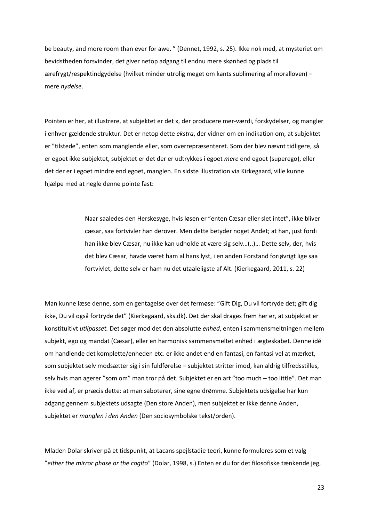be beauty, and more room than ever for awe. " (Dennet, 1992, s. 25). Ikke nok med, at mysteriet om bevidstheden forsvinder, det giver netop adgang til endnu mere skønhed og plads til ærefrygt/respektindgydelse (hvilket minder utrolig meget om kants sublimering af moralloven) – mere *nydelse*.

Pointen er her, at illustrere, at subjektet er det x, der producere mer-værdi, forskydelser, og mangler i enhver gældende struktur. Det er netop dette *ekstra*, der vidner om en indikation om, at subjektet er "tilstede", enten som manglende eller, som overrepræsenteret. Som der blev nævnt tidligere, så er egoet ikke subjektet, subjektet er det der er udtrykkes i egoet *mere* end egoet (superego), eller det der er i egoet mindre end egoet, manglen. En sidste illustration via Kirkegaard, ville kunne hjælpe med at negle denne pointe fast:

> Naar saaledes den Herskesyge, hvis løsen er "enten Cæsar eller slet intet", ikke bliver cæsar, saa fortvivler han derover. Men dette betyder noget Andet; at han, just fordi han ikke blev Cæsar, nu ikke kan udholde at være sig selv…(..)… Dette selv, der, hvis det blev Cæsar, havde været ham al hans lyst, i en anden Forstand foriøvrigt lige saa fortvivlet, dette selv er ham nu det utaaleligste af Alt. (Kierkegaard, 2011, s. 22)

Man kunne læse denne, som en gentagelse over det fermøse: "Gift Dig, Du vil fortryde det; gift dig ikke, Du vil også fortryde det" (Kierkegaard, sks.dk). Det der skal drages frem her er, at subjektet er konstituitivt *utilpasset.* Det søger mod det den absolutte *enhed*, enten i sammensmeltningen mellem subjekt, ego og mandat (Cæsar), eller en harmonisk sammensmeltet enhed i ægteskabet. Denne idé om handlende det komplette/enheden etc. er ikke andet end en fantasi, en fantasi vel at mærket, som subjektet selv modsætter sig i sin fuldførelse – subjektet stritter imod, kan aldrig tilfredsstilles, selv hvis man agerer "som om" man tror på det. Subjektet er en art "too much – too little". Det man ikke ved af, er præcis dette: at man saboterer, sine egne drømme. Subjektets udsigelse har kun adgang gennem subjektets udsagte (Den store Anden), men subjektet er ikke denne Anden, subjektet er *manglen i den Anden* (Den sociosymbolske tekst/orden).

Mladen Dolar skriver på et tidspunkt, at Lacans spejlstadie teori, kunne formuleres som et valg "*either the mirror phase or the cogito*" (Dolar, 1998, s.) Enten er du for det filosofiske tænkende jeg,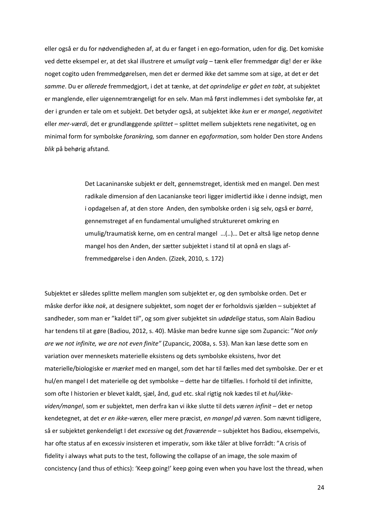eller også er du for nødvendigheden af, at du er fanget i en ego-formation, uden for dig. Det komiske ved dette eksempel er, at det skal illustrere et *umuligt valg* – tænk eller fremmedgør dig! der er ikke noget cogito uden fremmedgørelsen, men det er dermed ikke det samme som at sige, at det er det *samme*. Du er *allerede* fremmedgjort, i det at tænke, at d*et oprindelige er gået en tabt*, at subjektet er manglende, eller uigennemtrængeligt for en selv. Man må først indlemmes i det symbolske før, at der i grunden er tale om et subjekt. Det betyder også, at subjektet ikke *kun* er er *mangel*, *negativitet* eller *mer-værdi*, det er grundlæggende *splittet* – splittet mellem subjektets rene negativitet, og en minimal form for symbolske *forankring,* som danner en *egoformation*, som holder Den store Andens *blik* på behørig afstand.

> Det Lacaninanske subjekt er delt, gennemstreget, identisk med en mangel. Den mest radikale dimension af den Lacanianske teori ligger imidlertid ikke i denne indsigt, men i opdagelsen af, at den store Anden, den symbolske orden i sig selv, også er *barré*, gennemstreget af en fundamental umulighed struktureret omkring en umulig/traumatisk kerne, om en central mangel …(..)… Det er altså lige netop denne mangel hos den Anden, der sætter subjektet i stand til at opnå en slags affremmedgørelse i den Anden. (Zizek, 2010, s. 172)

Subjektet er således splitte mellem manglen som subjektet er, og den symbolske orden. Det er måske derfor ikke *nok*, at designere subjektet, som noget der er forholdsvis sjælden – subjektet af sandheder, som man er "kaldet til", og som giver subjektet sin *udødelige* status, som Alain Badiou har tendens til at gøre (Badiou, 2012, s. 40). Måske man bedre kunne sige som Zupancic: "*Not only are we not infinite, we are not even finite"* (Zupancic, 2008a, s. 53). Man kan læse dette som en variation over menneskets materielle eksistens og dets symbolske eksistens, hvor det materielle/biologiske er *mærket* med en mangel, som det har til fælles med det symbolske. Der er et hul/en mangel I det materielle og det symbolske – dette har de tilfælles. I forhold til det infinitte, som ofte I historien er blevet kaldt, sjæl, ånd, gud etc. skal rigtig nok kædes til et *hul/ikkeviden/mangel*, som er subjektet, men derfra kan vi ikke slutte til dets *væren infinit* – det er netop kendetegnet, at det *er en ikke-væren,* eller mere præcist, *en mangel på væren*. Som nævnt tidligere, så er subjektet genkendeligt I det *excessive* og det *fraværende* – subjektet hos Badiou, eksempelvis, har ofte status af en excessiv insisteren et imperativ, som ikke tåler at blive forrådt: "A crisis of fidelity i always what puts to the test, following the collapse of an image, the sole maxim of concistency (and thus of ethics): 'Keep going!' keep going even when you have lost the thread, when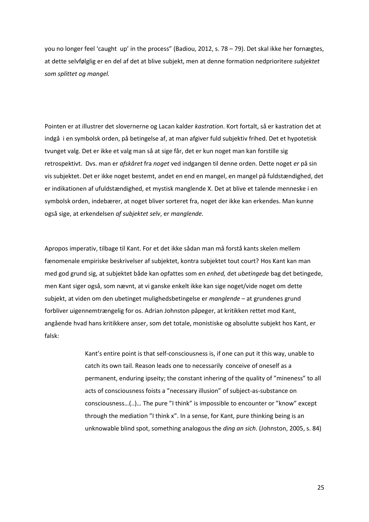you no longer feel 'caught up' in the process" (Badiou, 2012, s. 78 – 79). Det skal ikke her fornægtes, at dette selvfølglig er en del af det at blive subjekt, men at denne formation nedprioritere *subjektet som splittet og mangel.*

Pointen er at illustrer det slovernerne og Lacan kalder *kastration*. Kort fortalt, så er kastration det at indgå i en symbolsk orden, på betingelse af, at man afgiver fuld subjektiv frihed. Det et hypotetisk tvunget valg. Det er ikke et valg man så at sige får, det er kun noget man kan forstille sig retrospektivt. Dvs. man er *afskåret* fra *noget* ved indgangen til denne orden. Dette noget *er* på sin vis subjektet. Det er ikke noget bestemt, andet en end en mangel, en mangel på fuldstændighed, det er indikationen af ufuldstændighed, et mystisk manglende X. Det at blive et talende menneske i en symbolsk orden, indebærer, at noget bliver sorteret fra, noget der ikke kan erkendes. Man kunne også sige, at erkendelsen *af subjektet selv*, er *manglende.*

Apropos imperativ, tilbage til Kant. For et det ikke sådan man må forstå kants skelen mellem fænomenale empiriske beskrivelser af subjektet, kontra subjektet tout court? Hos Kant kan man med god grund sig, at subjektet både kan opfattes som en *enhed,* det *ubetingede* bag det betingede, men Kant siger også, som nævnt, at vi ganske enkelt ikke kan sige noget/vide noget om dette subjekt, at viden om den ubetinget mulighedsbetingelse er *manglende* – at grundenes grund forbliver uigennemtrængelig for os. Adrian Johnston påpeger, at kritikken rettet mod Kant, angående hvad hans kritikkere anser, som det totale, monistiske og absolutte subjekt hos Kant, er falsk:

> Kant's entire point is that self-consciousness is, if one can put it this way, unable to catch its own tail. Reason leads one to necessarily conceive of oneself as a permanent, enduring ipseity; the constant inhering of the quality of "mineness" to all acts of consciousness foists a "necessary illusion" of subject-as-substance on consciousness…(..)… The pure "I think" is impossible to encounter or "know" except through the mediation "I think x". In a sense, for Kant, pure thinking being is an unknowable blind spot, something analogous the *ding an sich*. (Johnston, 2005, s. 84)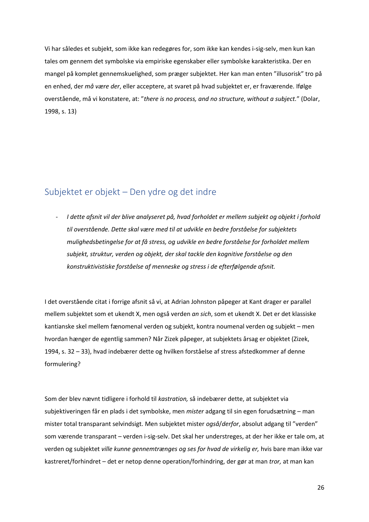Vi har således et subjekt, som ikke kan redegøres for, som ikke kan kendes i-sig-selv, men kun kan tales om gennem det symbolske via empiriske egenskaber eller symbolske karakteristika. Der en mangel på komplet gennemskuelighed, som præger subjektet. Her kan man enten "illusorisk" tro på en enhed, der *må være der*, eller acceptere, at svaret på hvad subjektet er, er fraværende. Ifølge overstående, må vi konstatere, at: "*there is no process, and no structure, without a subject.*" (Dolar, 1998, s. 13)

#### <span id="page-27-0"></span>Subjektet er objekt – Den ydre og det indre

- *I dette afsnit vil der blive analyseret på, hvad forholdet er mellem subjekt og objekt i forhold til overstående. Dette skal være med til at udvikle en bedre forståelse for subjektets mulighedsbetingelse for at få stress, og udvikle en bedre forståelse for forholdet mellem subjekt, struktur, verden og objekt, der skal tackle den kognitive forståelse og den konstruktivistiske forståelse af menneske og stress i de efterfølgende afsnit.* 

I det overstående citat i forrige afsnit så vi, at Adrian Johnston påpeger at Kant drager er parallel mellem subjektet som et ukendt X, men også verden *an sich*, som et ukendt X. Det er det klassiske kantianske skel mellem fænomenal verden og subjekt, kontra noumenal verden og subjekt – men hvordan hænger de egentlig sammen? Når Zizek påpeger, at subjektets årsag er objektet (Zizek, 1994, s. 32 – 33), hvad indebærer dette og hvilken forståelse af stress afstedkommer af denne formulering?

Som der blev nævnt tidligere i forhold til *kastration,* så indebærer dette, at subjektet via subjektiveringen får en plads i det symbolske, men *mister* adgang til sin egen forudsætning – man mister total transparant selvindsigt. Men subjektet mister *også*/*derfor*, absolut adgang til "verden" som værende transparant – verden i-sig-selv. Det skal her understreges, at der her ikke er tale om, at verden og subjektet *ville kunne gennemtrænges og ses for hvad de virkelig er,* hvis bare man ikke var kastreret/forhindret – det er netop denne operation/forhindring, der gør at man *tror,* at man kan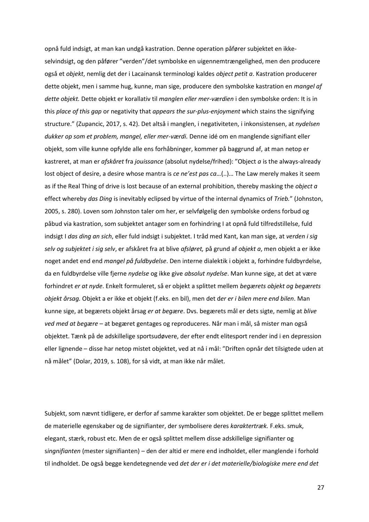opnå fuld indsigt, at man kan undgå kastration. Denne operation påfører subjektet en ikkeselvindsigt, og den påfører "verden"/det symbolske en uigennemtrængelighed, men den producere også et *objekt*, nemlig det der i Lacainansk terminologi kaldes *object petit a*. Kastration producerer dette objekt, men i samme hug, kunne, man sige, producere den symbolske kastration en *mangel af dette objekt.* Dette objekt er korallativ til *manglen eller mer-værdien* i den symbolske orden: It is in this *place of this gap* or negativity that *appears the sur-plus-enjoyment* which stains the signifying structure." (Zupancic, 2017, s. 42). Det altså i manglen, i negativiteten, i inkonsistensen, at *nydelsen dukker op som et problem, mangel, eller mer-værdi.* Denne idé om en manglende signifiant eller objekt, som ville kunne opfylde alle ens forhåbninger, kommer på baggrund af, at man netop er kastreret, at man er *afskåret* fra *jouissance* (absolut nydelse/frihed): "Object *a* is the always-already lost object of desire, a desire whose mantra is *ce ne'est pas ca*…(..)… The Law merely makes it seem as if the Real Thing of drive is lost because of an external prohibition, thereby masking the *object a* effect whereby *das Ding* is inevitably eclipsed by virtue of the internal dynamics of *Trieb.*" (Johnston, 2005, s. 280). Loven som Johnston taler om her, er selvfølgelig den symbolske ordens forbud og påbud via kastration, som subjektet antager som en forhindring I at opnå fuld tilfredstillelse, fuld indsigt I *das ding an sich*, eller fuld indsigt i subjektet. I tråd med Kant, kan man sige, at *verden i sig selv og subjektet i sig selv*, er afskåret fra at blive *afsløret,* på grund af *objekt a*, men objekt a er ikke noget andet end end *mangel på fuldbydelse*. Den interne dialektik i objekt a, forhindre fuldbyrdelse, da en fuldbyrdelse ville fjerne *nydelse* og ikke give *absolut nydelse*. Man kunne sige, at det at være forhindret *er at nyde*. Enkelt formuleret, så er objekt a splittet mellem *begærets objekt og begærets objekt årsag.* Objekt a er ikke et objekt (f.eks. en bil), men det d*er er i bilen mere end bilen*. Man kunne sige, at begærets objekt årsag *er at begære*. Dvs. begærets mål er dets sigte, nemlig at *blive ved med at begære* – at begæret gentages og reproduceres. Når man i mål, så mister man også objektet. Tænk på de adskillelige sportsudøvere, der efter endt elitesport render ind i en depression eller lignende – disse har netop mistet objektet, ved at nå i mål: "Driften opnår det tilsigtede uden at nå målet" (Dolar, 2019, s. 108), for så vidt, at man ikke når målet.

Subjekt, som nævnt tidligere, er derfor af samme karakter som objektet. De er begge splittet mellem de materielle egenskaber og de signifianter, der symbolisere deres *karaktertræk.* F.eks. smuk, elegant, stærk, robust etc. Men de er også splittet mellem disse adskillelige signifianter og s*ingnifianten* (mester signifianten) – den der altid er mere end indholdet, eller manglende i forhold til indholdet. De også begge kendetegnende ved *det der er i det materielle/biologiske mere end det*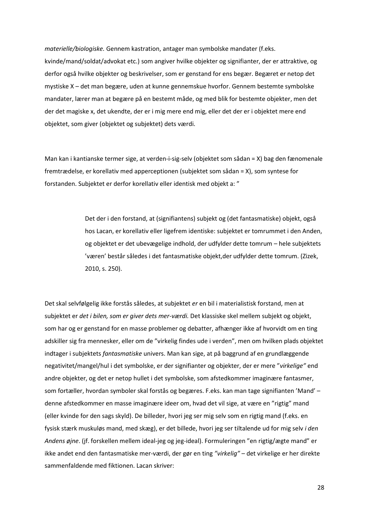*materielle/biologiske.* Gennem kastration, antager man symbolske mandater (f.eks. kvinde/mand/soldat/advokat etc.) som angiver hvilke objekter og signifianter, der er attraktive, og derfor også hvilke objekter og beskrivelser, som er genstand for ens begær. Begæret er netop det mystiske X – det man begære, uden at kunne gennemskue hvorfor. Gennem bestemte symbolske mandater, lærer man at begære på en bestemt måde, og med blik for bestemte objekter, men det der det magiske x, det ukendte, der er i mig mere end mig, eller det der er i objektet mere end objektet, som giver (objektet og subjektet) dets værdi.

Man kan i kantianske termer sige, at verden-i-sig-selv (objektet som sådan = X) bag den fænomenale fremtrædelse, er korellativ med apperceptionen (subjektet som sådan = X), som syntese for forstanden. Subjektet er derfor korellativ eller identisk med objekt a: "

> Det der i den forstand, at (signifiantens) subjekt og (det fantasmatiske) objekt, også hos Lacan, er korellativ eller ligefrem identiske: subjektet er tomrummet i den Anden, og objektet er det ubevægelige indhold, der udfylder dette tomrum – hele subjektets 'væren' består således i det fantasmatiske objekt,der udfylder dette tomrum. (Zizek, 2010, s. 250).

Det skal selvfølgelig ikke forstås således, at subjektet *er* en bil i materialistisk forstand, men at subjektet er *det i bilen, som er giver dets mer-værdi.* Det klassiske skel mellem subjekt og objekt, som har og er genstand for en masse problemer og debatter, afhænger ikke af hvorvidt om en ting adskiller sig fra mennesker, eller om de "virkelig findes ude i verden", men om hvilken plads objektet indtager i subjektets *fantasmatiske* univers. Man kan sige, at på baggrund af en grundlæggende negativitet/mangel/hul i det symbolske, er der signifianter og objekter, der er mere "*virkelige"* end andre objekter, og det er netop hullet i det symbolske, som afstedkommer imaginære fantasmer, som fortæller, hvordan symboler skal forstås og begæres. F.eks. kan man tage signifianten 'Mand' – denne afstedkommer en masse imaginære ideer om, hvad det vil sige, at være en "rigtig" mand (eller kvinde for den sags skyld). De billeder, hvori jeg ser mig selv som en rigtig mand (f.eks. en fysisk stærk muskuløs mand, med skæg), er det billede, hvori jeg ser tiltalende ud for mig selv *i den Andens øjne*. (jf. forskellen mellem ideal-jeg og jeg-ideal). Formuleringen "en rigtig/ægte mand" er ikke andet end den fantasmatiske mer-værdi, der gør en ting *"virkelig"* – det virkelige er her direkte sammenfaldende med fiktionen. Lacan skriver: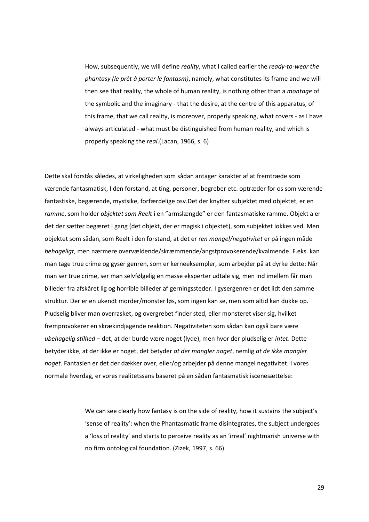How, subsequently, we will define *reality*, what I called earlier the *ready-to-wear the phantasy (le prêt à porter le fantasm)*, namely, what constitutes its frame and we will then see that reality, the whole of human reality, is nothing other than a *montage* of the symbolic and the imaginary - that the desire, at the centre of this apparatus, of this frame, that we call reality, is moreover, properly speaking, what covers - as I have always articulated - what must be distinguished from human reality, and which is properly speaking the *real*.(Lacan, 1966, s. 6)

Dette skal forstås således, at virkeligheden som sådan antager karakter af at fremtræde som værende fantasmatisk, I den forstand, at ting, personer, begreber etc. optræder for os som værende fantastiske, begærende, mystsike, forfærdelige osv.Det der knytter subjektet med objektet, er en *ramme*, som holder *objektet som Reelt* i en "armslængde" er den fantasmatiske ramme. Objekt a er det der sætter begæret I gang (det objekt, der er magisk i objektet), som subjektet lokkes ved. Men objektet som sådan, som Reelt i den forstand, at det er r*en mangel/negativitet* er på ingen måde *behageligt*, men nærmere overvældende/skræmmende/angstprovokerende/kvalmende. F.eks. kan man tage true crime og gyser genren, som er kerneeksempler, som arbejder på at dyrke dette: Når man ser true crime, ser man selvfølgelig en masse eksperter udtale sig, men ind imellem får man billeder fra afskåret lig og horrible billeder af gerningssteder. I gysergenren er det lidt den samme struktur. Der er en ukendt morder/monster løs, som ingen kan se, men som altid kan dukke op. Pludselig bliver man overrasket, og overgrebet finder sted, eller monsteret viser sig, hvilket fremprovokerer en skrækindjagende reaktion. Negativiteten som sådan kan også bare være *ubehagelig stilhed* – det, at der burde være noget (lyde), men hvor der pludselig er *intet*. Dette betyder ikke, at der ikke er noget, det betyder *at der mangler noget*, nemlig *at de ikke mangler noget*. Fantasien er det der dækker over, eller/og arbejder på denne mangel negativitet. I vores normale hverdag, er vores realitetssans baseret på en sådan fantasmatisk iscenesættelse:

> We can see clearly how fantasy is on the side of reality, how it sustains the subject's 'sense of reality': when the Phantasmatic frame disintegrates, the subject undergoes a 'loss of reality' and starts to perceive reality as an 'irreal' nightmarish universe with no firm ontological foundation. (Zizek, 1997, s. 66)

> > 29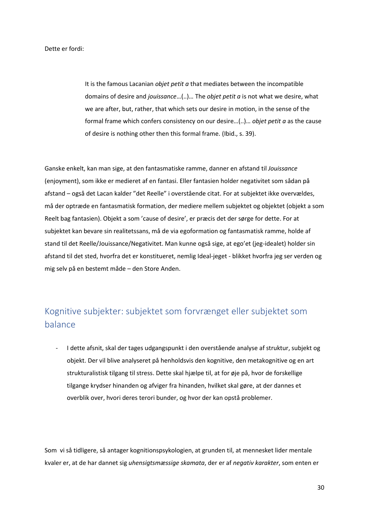Dette er fordi:

It is the famous Lacanian *objet petit a* that mediates between the incompatible domains of desire and *jouissance*…(..)… The *objet petit a* is not what we desire, what we are after, but, rather, that which sets our desire in motion, in the sense of the formal frame which confers consistency on our desire…(..)… *objet petit a* as the cause of desire is nothing other then this formal frame. (Ibid., s. 39).

Ganske enkelt, kan man sige, at den fantasmatiske ramme, danner en afstand til *Jouissance* (enjoyment), som ikke er medieret af en fantasi. Eller fantasien holder negativitet som sådan på afstand – også det Lacan kalder "det Reelle" i overstående citat. For at subjektet ikke overvældes, må der optræde en fantasmatisk formation, der mediere mellem subjektet og objektet (objekt a som Reelt bag fantasien). Objekt a som 'cause of desire', er præcis det der sørge for dette. For at subjektet kan bevare sin realitetssans, må de via egoformation og fantasmatisk ramme, holde af stand til det Reelle/Jouissance/Negativitet. Man kunne også sige, at ego'et (jeg-idealet) holder sin afstand til det sted, hvorfra det er konstitueret, nemlig Ideal-jeget - blikket hvorfra jeg ser verden og mig selv på en bestemt måde – den Store Anden.

# <span id="page-31-0"></span>Kognitive subjekter: subjektet som forvrænget eller subjektet som balance

- I dette afsnit, skal der tages udgangspunkt i den overstående analyse af struktur, subjekt og objekt. Der vil blive analyseret på henholdsvis den kognitive, den metakognitive og en art strukturalistisk tilgang til stress. Dette skal hjælpe til, at for øje på, hvor de forskellige tilgange krydser hinanden og afviger fra hinanden, hvilket skal gøre, at der dannes et overblik over, hvori deres terori bunder, og hvor der kan opstå problemer.

Som vi så tidligere, så antager kognitionspsykologien, at grunden til, at mennesket lider mentale kvaler er, at de har dannet sig *uhensigtsmæssige skamata*, der er af *negativ karakter*, som enten er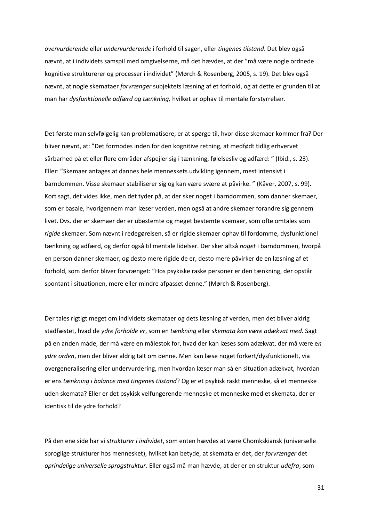*overvurderende* eller *undervurderende* i forhold til sagen, eller *tingenes tilstand*. Det blev også nævnt, at i individets samspil med omgivelserne, må det hævdes, at der "må være nogle ordnede kognitive strukturerer og processer i individet" (Mørch & Rosenberg, 2005, s. 19). Det blev også nævnt, at nogle skemataer *forvrænger* subjektets læsning af et forhold, og at dette er grunden til at man har *dysfunktionelle adfærd og tænkning,* hvilket er ophav til mentale forstyrrelser.

Det første man selvfølgelig kan problematisere, er at spørge til, hvor disse skemaer kommer fra? Der bliver nævnt, at: "Det formodes inden for den kognitive retning, at medfødt tidlig erhvervet sårbarhed på et eller flere områder afspejler sig i tænkning, følelsesliv og adfærd: " (Ibid., s. 23). Eller: "Skemaer antages at dannes hele menneskets udvikling igennem, mest intensivt i barndommen. Visse skemaer stabiliserer sig og kan være svære at påvirke. " (Kåver, 2007, s. 99). Kort sagt, det vides ikke, men det tyder på, at der sker noget i barndommen, som danner skemaer, som er basale, hvorigennem man læser verden, men også at andre skemaer forandre sig gennem livet. Dvs. der er skemaer der er ubestemte og meget bestemte skemaer, som ofte omtales som *rigide* skemaer. Som nævnt i redegørelsen, så er rigide skemaer ophav til fordomme, dysfunktionel tænkning og adfærd, og derfor også til mentale lidelser. Der sker altså *noget* i barndommen, hvorpå en person danner skemaer, og desto mere rigide de er, desto mere påvirker de en læsning af et forhold, som derfor bliver forvrænget: "Hos psykiske raske personer er den tænkning, der opstår spontant i situationen, mere eller mindre afpasset denne." (Mørch & Rosenberg).

Der tales rigtigt meget om individets skemataer og dets læsning af verden, men det bliver aldrig stadfæstet, hvad de *ydre forholde er*, som en *tænkning* eller *skemata kan være adækvat med*. Sagt på en anden måde, der må være en målestok for, hvad der kan læses som adækvat, der må være e*n ydre orden*, men der bliver aldrig talt om denne. Men kan læse noget forkert/dysfunktionelt, via overgeneralisering eller undervurdering, men hvordan læser man så en situation adækvat, hvordan er ens *tænkning i balance med tingenes tilstand*? Og er et psykisk raskt menneske, så et menneske uden skemata? Eller er det psykisk velfungerende menneske et menneske med et skemata, der er identisk til de ydre forhold?

På den ene side har vi *strukturer i individet*, som enten hævdes at være Chomkskiansk (universelle sproglige strukturer hos mennesket), hvilket kan betyde, at skemata er det, der *forvrænger* det *oprindelige universelle sprogstruktur*. Eller også må man hævde, at der er en struktur *udefra*, som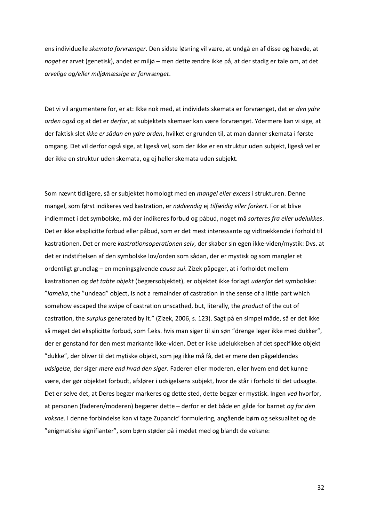ens individuelle *skemata forvrænger*. Den sidste løsning vil være, at undgå en af disse og hævde, at *noget* er arvet (genetisk), andet er miljø – men dette ændre ikke på, at der stadig er tale om, at det *arvelige og/eller miljømæssige er forvrænget*.

Det vi vil argumentere for, er at: Ikke nok med, at individets skemata er forvrænget, det er *den ydre orden også* og at det er *derfor*, at subjektets skemaer kan være forvrænget. Ydermere kan vi sige, at der faktisk slet *ikke er sådan en ydre orden*, hvilket er grunden til, at man danner skemata i første omgang. Det vil derfor også sige, at ligeså vel, som der ikke er en struktur uden subjekt, ligeså vel er der ikke en struktur uden skemata, og ej heller skemata uden subjekt.

Som nævnt tidligere, så er subjektet homologt med en *mangel eller excess* i strukturen. Denne mangel, som først indikeres ved kastration, er *nødvendig* ej *tilfældig eller forkert.* For at blive indlemmet i det symbolske, må der indikeres forbud og påbud, noget må *sorteres fra eller udelukkes*. Det er ikke eksplicitte forbud eller påbud, som er det mest interessante og vidtrækkende i forhold til kastrationen. Det er mere *kastrationsoperationen selv*, der skaber sin egen ikke-viden/mystik: Dvs. at det er indstiftelsen af den symbolske lov/orden som sådan, der er mystisk og som mangler et ordentligt grundlag – en meningsgivende *causa sui*. Zizek påpeger, at i forholdet mellem kastrationen og *det tabte objekt* (begærsobjektet), er objektet ikke forlagt *udenfor* det symbolske: "*lamella*, the "undead" object, is not a remainder of castration in the sense of a little part which somehow escaped the swipe of castration unscathed, but, literally, the *product* of the cut of castration, the *surplus* generated by it." (Zizek, 2006, s. 123). Sagt på en simpel måde, så er det ikke så meget det eksplicitte forbud, som f.eks. hvis man siger til sin søn "drenge leger ikke med dukker", der er genstand for den mest markante ikke-viden. Det er ikke udelukkelsen af det specifikke objekt "dukke", der bliver til det mytiske objekt, som jeg ikke må få, det er mere den pågældendes *udsigelse*, der siger *mere end hvad den siger*. Faderen eller moderen, eller hvem end det kunne være, der gør objektet forbudt, afslører i udsigelsens subjekt, hvor de står i forhold til det udsagte. Det er selve det, at Deres begær markeres og dette sted, dette begær er mystisk. Ingen *ved* hvorfor, at personen (faderen/moderen) begærer dette – derfor er det både en gåde for barnet *og for den voksne*. I denne forbindelse kan vi tage Zupancic' formulering, angående børn og seksualitet og de "enigmatiske signifianter", som børn støder på i mødet med og blandt de voksne: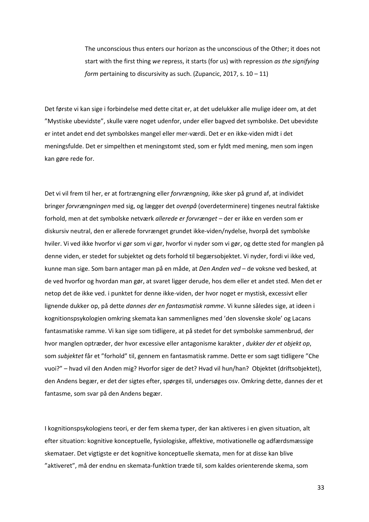The unconscious thus enters our horizon as the unconscious of the Other; it does not start with the first thing *we* repress, it starts (for us) with repression *as the signifying form pertaining to discursivity as such. (Zupancic, 2017, s. 10 – 11)* 

Det første vi kan sige i forbindelse med dette citat er, at det udelukker alle mulige ideer om, at det "Mystiske ubevidste", skulle være noget udenfor, under eller bagved det symbolske. Det ubevidste er intet andet end det symbolskes mangel eller mer-værdi. Det er en ikke-viden midt i det meningsfulde. Det er simpelthen et meningstomt sted, som er fyldt med mening, men som ingen kan gøre rede for.

Det vi vil frem til her, er at fortrængning eller *forvrængning*, ikke sker på grund af, at individet bringer *forvrængningen* med sig, og lægger det *ovenpå* (overdeterminere) tingenes neutral faktiske forhold, men at det symbolske netværk *allerede er forvrænget –* der er ikke en verden som er diskursiv neutral, den er allerede forvrænget grundet ikke-viden/nydelse, hvorpå det symbolske hviler. Vi ved ikke hvorfor vi gør som vi gør, hvorfor vi nyder som vi gør, og dette sted for manglen på denne viden, er stedet for subjektet og dets forhold til begærsobjektet. Vi nyder, fordi vi ikke ved, kunne man sige. Som barn antager man på en måde, at *Den Anden ved* – de voksne ved besked, at de ved hvorfor og hvordan man gør, at svaret ligger derude, hos dem eller et andet sted. Men det er netop det de ikke ved. i punktet for denne ikke-viden, der hvor noget er mystisk, excessivt eller lignende dukker op, på dette *dannes der en fantasmatisk ramme*. Vi kunne således sige, at ideen i kognitionspsykologien omkring skemata kan sammenlignes med 'den slovenske skole' og Lacans fantasmatiske ramme. Vi kan sige som tidligere, at på stedet for det symbolske sammenbrud, der hvor manglen optræder, der hvor excessive eller antagonisme karakter , *dukker der et objekt op*, som *subjektet* får et "forhold" til, gennem en fantasmatisk ramme. Dette er som sagt tidligere "Che vuoi?" – hvad vil den Anden mig? Hvorfor siger de det? Hvad vil hun/han? Objektet (driftsobjektet), den Andens begær, er det der sigtes efter, spørges til, undersøges osv. Omkring dette, dannes der et fantasme, som svar på den Andens begær.

I kognitionspsykologiens teori, er der fem skema typer, der kan aktiveres i en given situation, alt efter situation: kognitive konceptuelle, fysiologiske, affektive, motivationelle og adfærdsmæssige skemataer. Det vigtigste er det kognitive konceptuelle skemata, men for at disse kan blive "aktiveret", må der endnu en skemata-funktion træde til, som kaldes orienterende skema, som

33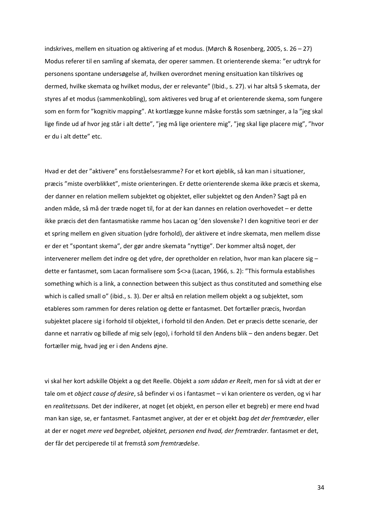indskrives, mellem en situation og aktivering af et modus. (Mørch & Rosenberg, 2005, s. 26 – 27) Modus referer til en samling af skemata, der operer sammen. Et orienterende skema: "er udtryk for personens spontane undersøgelse af, hvilken overordnet mening ensituation kan tilskrives og dermed, hvilke skemata og hvilket modus, der er relevante" (Ibid., s. 27). vi har altså 5 skemata, der styres af et modus (sammenkobling), som aktiveres ved brug af et orienterende skema, som fungere som en form for "kognitiv mapping". At kortlægge kunne måske forstås som sætninger, a la "jeg skal lige finde ud af hvor jeg står i alt dette", "jeg må lige orientere mig", "jeg skal lige placere mig", "hvor er du i alt dette" etc.

Hvad er det der "aktivere" ens forståelsesramme? For et kort øjeblik, så kan man i situationer, præcis "miste overblikket", miste orienteringen. Er dette orienterende skema ikke præcis et skema, der danner en relation mellem subjektet og objektet, eller subjektet og den Anden? Sagt på en anden måde, så må der træde noget til, for at der kan dannes en relation overhovedet – er dette ikke præcis det den fantasmatiske ramme hos Lacan og 'den slovenske? I den kognitive teori er der et spring mellem en given situation (ydre forhold), der aktivere et indre skemata, men mellem disse er der et "spontant skema", der gør andre skemata "nyttige". Der kommer altså noget, der intervenerer mellem det indre og det ydre, der opretholder en relation, hvor man kan placere sig – dette er fantasmet, som Lacan formalisere som \$<>a (Lacan, 1966, s. 2): "This formula establishes something which is a link, a connection between this subject as thus constituted and something else which is called small o" (ibid., s. 3). Der er altså en relation mellem objekt a og subjektet, som etableres som rammen for deres relation og dette er fantasmet. Det fortæller præcis, hvordan subjektet placere sig i forhold til objektet, i forhold til den Anden. Det er præcis dette scenarie, der danne et narrativ og billede af mig selv (ego), i forhold til den Andens blik – den andens begær. Det fortæller mig, hvad jeg er i den Andens øjne.

vi skal her kort adskille Objekt a og det Reelle. Objekt a *som sådan er Reelt*, men for så vidt at der er tale om et *object cause of desire*, så befinder vi os i fantasmet – vi kan orientere os verden, og vi har en *realitetssans.* Det der indikerer, at noget (et objekt, en person eller et begreb) er mere end hvad man kan sige, se, er fantasmet. Fantasmet angiver, at der er et objekt *bag det der fremtræder*, eller at der er noget *mere ved begrebet, objektet, personen end hvad, der fremtræder.* fantasmet er det, der får det perciperede til at fremstå *som fremtrædelse*.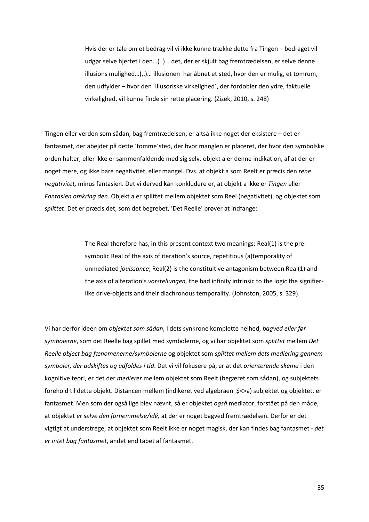Hvis der er tale om et bedrag vil vi ikke kunne trække dette fra Tingen – bedraget vil udgør selve hjertet i den…(..)… det, der er skjult bag fremtrædelsen, er selve denne illusions mulighed…(..)… illusionen har åbnet et sted, hvor den er mulig, et tomrum, den udfylder – hvor den ´illusoriske virkelighed´, der fordobler den ydre, faktuelle virkelighed, vil kunne finde sin rette placering. (Zizek, 2010, s. 248)

Tingen eller verden som sådan, bag fremtrædelsen, er altså ikke noget der eksistere – det er fantasmet, der abejder på dette ´tomme´sted, der hvor manglen er placeret, der hvor den symbolske orden halter, eller ikke er sammenfaldende med sig selv. objekt a er denne indikation, af at der er noget mere, og ikke bare negativitet, eller mangel. Dvs. at objekt a som Reelt er præcis den *rene negativitet,* minus fantasien. Det vi derved kan konkludere er, at objekt a ikke er *Tingen* eller *Fantasien omkring den.* Objekt a er splittet mellem objektet som Reel (negativitet), og objektet som *splittet*. Det er præcis det, som det begrebet, 'Det Reelle' prøver at indfange:

> The Real therefore has, in this present context two meanings: Real(1) is the presymbolic Real of the axis of iteration's source, repetitious (a)temporality of unmediated *jouissance*; Real(2) is the constituitive antagonism between Real(1) and the axis of alteration's *vorstellungen,* the bad infinity intrinsic to the logic the signifierlike drive-objects and their diachronous temporality. (Johnston, 2005, s. 329).

Vi har derfor ideen om *objektet som sådan*, I dets synkrone komplette helhed, *bagved eller før symbolerne*, som det Reelle bag spillet med symbolerne, og vi har objektet som *splittet* mellem *Det Reelle object bag fænomenerne/symbolerne* og objektet som *splittet mellem dets mediering gennem symboler, der udskiftes og udfoldes i tid*. Det vi vil fokusere på, er at det *orienterende skema* i den kognitive teori, er det der *medierer* mellem objektet som Reelt (begæret som sådan), og subjektets forehold til dette objekt. Distancen mellem (indikeret ved algebraen \$<>a) subjektet og objektet, er fantasmet. Men som der også lige blev nævnt, så er objektet *også* mediator, forstået på den måde, at objektet *er selve den fornemmelse/idé,* at der er noget bagved fremtrædelsen. Derfor er det vigtigt at understrege, at objektet som Reelt ikke er noget magisk, der kan findes bag fantasmet - *det er intet bag fantasmet*, andet end tabet af fantasmet.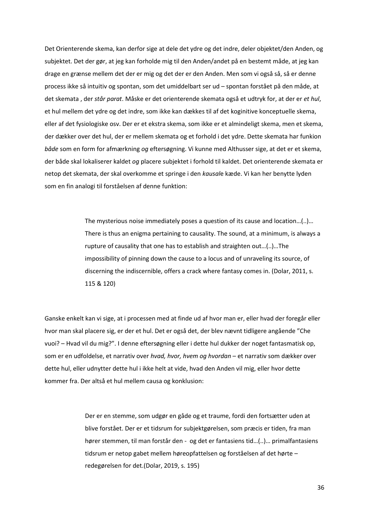Det Orienterende skema, kan derfor sige at dele det ydre og det indre, deler objektet/den Anden, og subjektet. Det der gør, at jeg kan forholde mig til den Anden/andet på en bestemt måde, at jeg kan drage en grænse mellem det der er mig og det der er den Anden. Men som vi også så, så er denne process ikke så intuitiv og spontan, som det umiddelbart ser ud – spontan forstået på den måde, at det skemata , der *står parat*. Måske er det orienterende skemata også et udtryk for, at der er *et hul*, et hul mellem det ydre og det indre, som ikke kan dækkes til af det koginitive konceptuelle skema, eller af det fysiologiske osv. Der er et ekstra skema, som ikke er et almindeligt skema, men et skema, der dækker over det hul, der er mellem skemata og et forhold i det ydre. Dette skemata har funkion *både* som en form for afmærkning *og* eftersøgning. Vi kunne med Althusser sige, at det er et skema, der både skal lokaliserer kaldet *og* placere subjektet i forhold til kaldet. Det orienterende skemata er netop det skemata, der skal overkomme et springe i den *kausal*e kæde. Vi kan her benytte lyden som en fin analogi til forståelsen af denne funktion:

> The mysterious noise immediately poses a question of its cause and location…(..)… There is thus an enigma pertaining to causality. The sound, at a minimum, is always a rupture of causality that one has to establish and straighten out…(..)…The impossibility of pinning down the cause to a locus and of unraveling its source, of discerning the indiscernible, offers a crack where fantasy comes in. (Dolar, 2011, s. 115 & 120)

Ganske enkelt kan vi sige, at i processen med at finde ud af hvor man er, eller hvad der foregår eller hvor man skal placere sig, er der et hul. Det er også det, der blev nævnt tidligere angående "Che vuoi? – Hvad vil du mig?". I denne eftersøgning eller i dette hul dukker der noget fantasmatisk op, som er en udfoldelse, et narrativ over *hvad, hvor, hvem og hvordan* – et narrativ som dækker over dette hul, eller udnytter dette hul i ikke helt at vide, hvad den Anden vil mig, eller hvor dette kommer fra. Der altså et hul mellem causa og konklusion:

> Der er en stemme, som udgør en gåde og et traume, fordi den fortsætter uden at blive forstået. Der er et tidsrum for subjektgørelsen, som præcis er tiden, fra man hører stemmen, til man forstår den - og det er fantasiens tid…(..)… primalfantasiens tidsrum er netop gabet mellem høreopfattelsen og forståelsen af det hørte – redegørelsen for det.(Dolar, 2019, s. 195)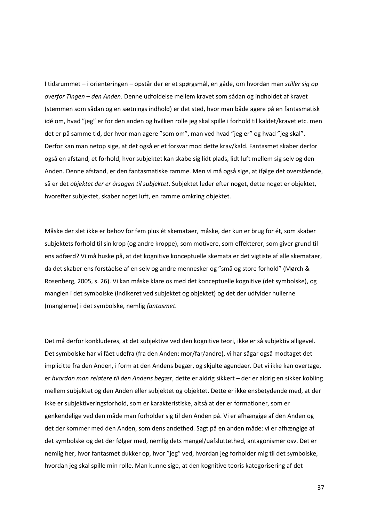I tidsrummet – i orienteringen – opstår der er et spørgsmål, en gåde, om hvordan man *stiller sig op overfor Tingen* – *den Anden*. Denne udfoldelse mellem kravet som sådan og indholdet af kravet (stemmen som sådan og en sætnings indhold) er det sted, hvor man både agere på en fantasmatisk idé om, hvad "jeg" er for den anden og hvilken rolle jeg skal spille i forhold til kaldet/kravet etc. men det er på samme tid, der hvor man agere "som om", man ved hvad "jeg er" og hvad "jeg skal". Derfor kan man netop sige, at det også er et forsvar mod dette krav/kald. Fantasmet skaber derfor også en afstand, et forhold, hvor subjektet kan skabe sig lidt plads, lidt luft mellem sig selv og den Anden. Denne afstand, er den fantasmatiske ramme. Men vi må også sige, at ifølge det overstående, så er det *objektet der er årsagen til subjektet*. Subjektet leder efter noget, dette noget er objektet, hvorefter subjektet, skaber noget luft, en ramme omkring objektet.

Måske der slet ikke er behov for fem plus ét skemataer, måske, der kun er brug for ét, som skaber subjektets forhold til sin krop (og andre kroppe), som motivere, som effekterer, som giver grund til ens adfærd? Vi må huske på, at det kognitive konceptuelle skemata er det vigtiste af alle skemataer, da det skaber ens forståelse af en selv og andre mennesker og "små og store forhold" (Mørch & Rosenberg, 2005, s. 26). Vi kan måske klare os med det konceptuelle kognitive (det symbolske), og manglen i det symbolske (indikeret ved subjektet og objektet) og det der udfylder hullerne (manglerne) i det symbolske, nemlig *fantasmet.*

Det må derfor konkluderes, at det subjektive ved den kognitive teori, ikke er så subjektiv alligevel. Det symbolske har vi fået udefra (fra den Anden: mor/far/andre), vi har sågar også modtaget det implicitte fra den Anden, i form at den Andens begær, og skjulte agendaer. Det vi ikke kan overtage, er *hvordan man relatere til den Andens begær*, dette er aldrig sikkert – der er aldrig en sikker kobling mellem subjektet og den Anden eller subjektet og objektet. Dette er ikke ensbetydende med, at der ikke er subjektiveringsforhold, som er karakteristiske, altså at der er formationer, som er genkendelige ved den måde man forholder sig til den Anden på. Vi er afhængige af den Anden og det der kommer med den Anden, som dens andethed. Sagt på en anden måde: vi er afhængige af det symbolske og det der følger med, nemlig dets mangel/uafsluttethed, antagonismer osv. Det er nemlig her, hvor fantasmet dukker op, hvor "jeg" ved, hvordan jeg forholder mig til det symbolske, hvordan jeg skal spille min rolle. Man kunne sige, at den kognitive teoris kategorisering af det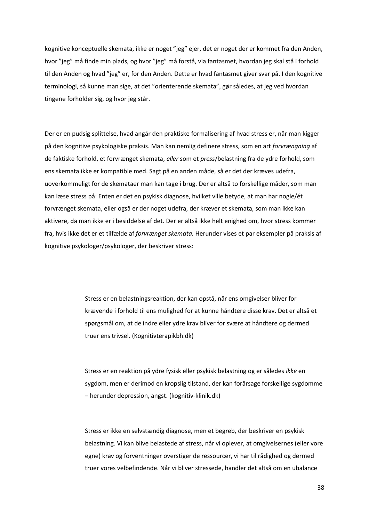kognitive konceptuelle skemata, ikke er noget "jeg" ejer, det er noget der er kommet fra den Anden, hvor "jeg" må finde min plads, og hvor "jeg" må forstå, via fantasmet, hvordan jeg skal stå i forhold til den Anden og hvad "jeg" er, for den Anden. Dette er hvad fantasmet giver svar på. I den kognitive terminologi, så kunne man sige, at det "orienterende skemata", gør således, at jeg ved hvordan tingene forholder sig, og hvor jeg står.

Der er en pudsig splittelse, hvad angår den praktiske formalisering af hvad stress er, når man kigger på den kognitive psykologiske praksis. Man kan nemlig definere stress, som en art *forvrængning* af de faktiske forhold, et forvrænget skemata, *eller* som et *press*/belastning fra de ydre forhold, som ens skemata ikke er kompatible med. Sagt på en anden måde, så er det der kræves udefra, uoverkommeligt for de skemataer man kan tage i brug. Der er altså to forskellige måder, som man kan læse stress på: Enten er det en psykisk diagnose, hvilket ville betyde, at man har nogle/ét forvrænget skemata, eller også er der noget udefra, der kræver et skemata, som man ikke kan aktivere, da man ikke er i besiddelse af det. Der er altså ikke helt enighed om, hvor stress kommer fra, hvis ikke det er et tilfælde af *forvrænget skemata.* Herunder vises et par eksempler på praksis af kognitive psykologer/psykologer, der beskriver stress:

> Stress er en belastningsreaktion, der kan opstå, når ens omgivelser bliver for krævende i forhold til ens mulighed for at kunne håndtere disse krav. Det er altså et spørgsmål om, at de indre eller ydre krav bliver for svære at håndtere og dermed truer ens trivsel. (Kognitivterapikbh.dk)

Stress er en reaktion på ydre fysisk eller psykisk belastning og er således *ikke* en sygdom, men er derimod en kropslig tilstand, der kan forårsage forskellige sygdomme – herunder depression, angst. (kognitiv-klinik.dk)

Stress er ikke en selvstændig diagnose, men et begreb, der beskriver en psykisk belastning. Vi kan blive belastede af stress, når vi oplever, at omgivelsernes (eller vore egne) krav og forventninger overstiger de ressourcer, vi har til rådighed og dermed truer vores velbefindende. Når vi bliver stressede, handler det altså om en ubalance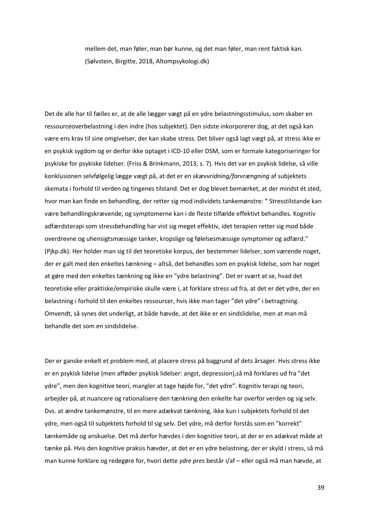mellem det, man føler, man bør kunne, og det man føler, man rent faktisk kan. (Sølvstein, Birgitte, 2018, Altompsykologi.dk)

Det de alle har til fælles er, at de alle lægger vægt på en ydre belastningsstimulus, som skaber en ressourceoverbelastning i den indre (hos subjektet). Den sidste inkorporerer dog, at det også kan være ens krav til sine omgivelser, der kan skabe stress. Det bliver også lagt vægt på, at stress ikke er en psykisk sygdom og er derfor ikke optaget i ICD-10 eller DSM, som er formale kategoriseringer for psykiske for psykiske lidelser. (Friss & Brinkmann, 2013, s. 7). Hvis det var en psykisk lidelse, så ville konklusionen selvfølgelig lægge vægt på, at det er en *skævvridning/forvrængning* af subjektets skemata i forhold til verden og tingenes tilstand. Det er dog blevet bemærket, at der mindst ét sted, hvor man kan finde en behandling, der retter sig mod individets tankemønstre: " Stresstilstande kan være behandlingskrævende, og symptomerne kan i de fleste tilfælde effektivt behandles. Kognitiv adfærdsterapi som stressbehandling har vist sig meget effektiv, idet terapien retter sig mod både overdrevne og uhensigtsmæssige tanker, kropslige og følelsesmæssige symptomer og adfærd." (Pjkp.dk). Her holder man sig til det teoretiske korpus, der bestemmer lidelser, som værende noget, der er galt med den enkeltes tænkning – altså, det behandles som en psykisk lidelse, som har noget at gøre med den enkeltes tænkning og ikke en "ydre belastning". Det er svært at se, hvad det teoretiske eller praktiske/empiriske skulle være i, at forklare stress ud fra, at det er det ydre, der en belastning i forhold til den enkeltes ressourcer, hvis ikke man tager "det ydre" i betragtning. Omvendt, så synes det underligt, at både hævde, at det ikke er en sindslidelse, men at man må behandle det som en sindslidelse.

Der er ganske enkelt et problem med, at placere stress på baggrund af dets årsager. Hvis stress ikke er en psykisk lidelse (men afføder psykisk lidelser: angst, depression),så må forklares ud fra "det ydre", men den kognitive teori, mangler at tage højde for, "det ydre". Kognitiv terapi og teori, arbejder på, at nuancere og rationalisere den tænkning den enkelte har overfor verden og sig selv. Dvs. at ændre tankemønstre, til en mere adækvat tænkning, ikke kun i subjektets forhold til det ydre, men også til subjektets forhold til sig selv. Det ydre, må derfor forstås som en "korrekt" tænkemåde og anskuelse. Det må derfor hævdes i den kognitive teori, at der er en adækvat måde at tænke på. Hvis den kognitive praksis hævder, at det er en ydre belastning, der er skyld i stress, så må man kunne forklare og redegøre for, hvori dette *ydre pres* består i/af – eller også må man hævde, at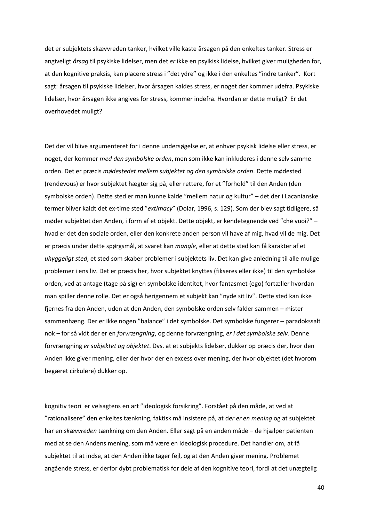det er subjektets skævvreden tanker, hvilket ville kaste årsagen på den enkeltes tanker. Stress er angiveligt *årsag* til psykiske lidelser, men det *er* ikke en psyikisk lidelse, hvilket giver muligheden for, at den kognitive praksis, kan placere stress i "det ydre" og ikke i den enkeltes "indre tanker". Kort sagt: årsagen til psykiske lidelser, hvor årsagen kaldes stress, er noget der kommer udefra. Psykiske lidelser, hvor årsagen ikke angives for stress, kommer indefra. Hvordan er dette muligt? Er det overhovedet muligt?

Det der vil blive argumenteret for i denne undersøgelse er, at enhver psykisk lidelse eller stress, er noget, der kommer *med den symbolske orden*, men som ikke kan inkluderes i denne selv samme orden. Det er præcis *mødestedet mellem subjektet og den symbolske orden*. Dette mødested (rendevous) er hvor subjektet hægter sig på, eller rettere, for et "forhold" til den Anden (den symbolske orden). Dette sted er man kunne kalde "mellem natur og kultur" – det der i Lacanianske termer bliver kaldt det ex-time sted "*extimacy*" (Dolar, 1996, s. 129). Som der blev sagt tidligere, så møder subjektet den Anden, i form af et objekt. Dette objekt, er kendetegnende ved "che vuoi?" – hvad er det den sociale orden, eller den konkrete anden person vil have af mig, hvad vil de mig. Det er præcis under dette spørgsmål, at svaret kan *mangle*, eller at dette sted kan få karakter af et *uhyggeligt sted*, et sted som skaber problemer i subjektets liv. Det kan give anledning til alle mulige problemer i ens liv. Det er præcis her, hvor subjektet knyttes (fikseres eller ikke) til den symbolske orden, ved at antage (tage på sig) en symbolske identitet, hvor fantasmet (ego) fortæller hvordan man spiller denne rolle. Det er også herigennem et subjekt kan "nyde sit liv". Dette sted kan ikke fjernes fra den Anden, uden at den Anden, den symbolske orden selv falder sammen – mister sammenhæng. Der er ikke nogen "balance" i det symbolske. Det symbolske fungerer – paradokssalt nok – for så vidt der er en *forvrængning*, og denne forvrængning, *er i det symbolske selv.* Denne forvrængning *er subjektet og objektet*. Dvs. at et subjekts lidelser, dukker op præcis der, hvor den Anden ikke giver mening, eller der hvor der en excess over mening, der hvor objektet (det hvorom begæret cirkulere) dukker op.

kognitiv teori er velsagtens en art "ideologisk forsikring". Forstået på den måde, at ved at "rationalisere" den enkeltes tænkning, faktisk må insistere på, at d*er er en mening* og at subjektet har en s*kævvreden* tænkning om den Anden. Eller sagt på en anden måde – de hjælper patienten med at se den Andens mening, som må være en ideologisk procedure. Det handler om, at få subjektet til at indse, at den Anden ikke tager fejl, og at den Anden giver mening. Problemet angående stress, er derfor dybt problematisk for dele af den kognitive teori, fordi at det unægtelig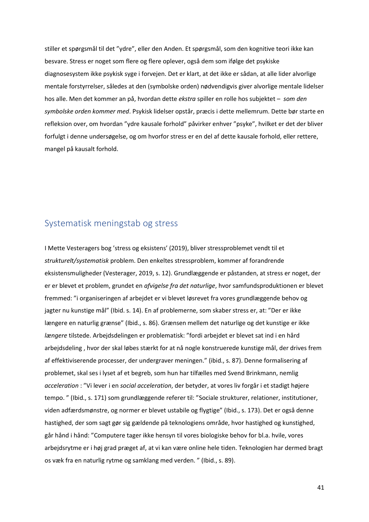stiller et spørgsmål til det "ydre", eller den Anden. Et spørgsmål, som den kognitive teori ikke kan besvare. Stress er noget som flere og flere oplever, også dem som ifølge det psykiske diagnosesystem ikke psykisk syge i forvejen. Det er klart, at det ikke er sådan, at alle lider alvorlige mentale forstyrrelser, således at den (symbolske orden) nødvendigvis giver alvorlige mentale lidelser hos alle. Men det kommer an på, hvordan dette *ekstra* spiller en rolle hos subjektet – *som den symbolske orden kommer med*. Psykisk lidelser opstår, præcis i dette mellemrum. Dette bør starte en refleksion over, om hvordan "ydre kausale forhold" påvirker enhver "psyke", hvilket er det der bliver forfulgt i denne undersøgelse, og om hvorfor stress er en del af dette kausale forhold, eller rettere, mangel på kausalt forhold.

## Systematisk meningstab og stress

I Mette Vesteragers bog 'stress og eksistens' (2019), bliver stressproblemet vendt til et *strukturelt/systematisk* problem. Den enkeltes stressproblem, kommer af forandrende eksistensmuligheder (Vesterager, 2019, s. 12). Grundlæggende er påstanden, at stress er noget, der er er blevet et problem, grundet en *afvigelse fra det naturlige*, hvor samfundsproduktionen er blevet fremmed: "i organiseringen af arbejdet er vi blevet løsrevet fra vores grundlæggende behov og jagter nu kunstige mål" (Ibid. s. 14). En af problemerne, som skaber stress er, at: "Der er ikke længere en naturlig grænse" (Ibid., s. 86). Grænsen mellem det naturlige og det kunstige er ikke *længere* tilstede. Arbejdsdelingen er problematisk: "fordi arbejdet er blevet sat ind i en hård arbejdsdeling , hvor der skal løbes stærkt for at nå nogle konstruerede kunstige mål, der drives frem af effektiviserende processer, der undergraver meningen." (ibid., s. 87). Denne formalisering af problemet, skal ses i lyset af et begreb, som hun har tilfælles med Svend Brinkmann, nemlig *acceleration* : "Vi lever i en *social acceleration*, der betyder, at vores liv forgår i et stadigt højere tempo. " (Ibid., s. 171) som grundlæggende referer til: "Sociale strukturer, relationer, institutioner, viden adfærdsmønstre, og normer er blevet ustabile og flygtige" (Ibid., s. 173). Det er også denne hastighed, der som sagt gør sig gældende på teknologiens område, hvor hastighed og kunstighed, går hånd i hånd: "Computere tager ikke hensyn til vores biologiske behov for bl.a. hvile, vores arbejdsrytme er i høj grad præget af, at vi kan være online hele tiden. Teknologien har dermed bragt os væk fra en naturlig rytme og samklang med verden. " (Ibid., s. 89).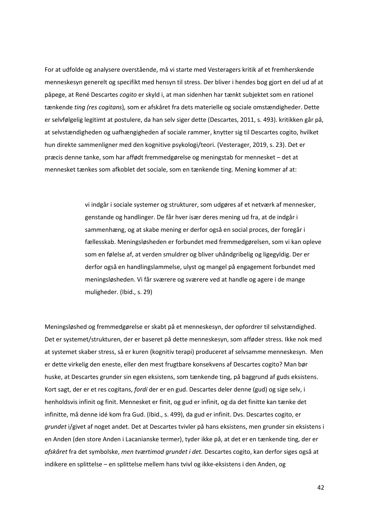For at udfolde og analysere overstående, må vi starte med Vesteragers kritik af et fremherskende menneskesyn generelt og specifikt med hensyn til stress. Der bliver i hendes bog gjort en del ud af at påpege, at René Descartes *cogito* er skyld i, at man sidenhen har tænkt subjektet som en rationel tænkende *ting (res cogitans*)*,* som er afskåret fra dets materielle og sociale omstændigheder. Dette er selvfølgelig legitimt at postulere, da han selv siger dette (Descartes, 2011, s. 493). kritikken går på, at selvstændigheden og uafhængigheden af sociale rammer, knytter sig til Descartes cogito, hvilket hun direkte sammenligner med den kognitive psykologi/teori. (Vesterager, 2019, s. 23). Det er præcis denne tanke, som har affødt fremmedgørelse og meningstab for mennesket – det at mennesket tænkes som afkoblet det sociale, som en tænkende ting. Mening kommer af at:

> vi indgår i sociale systemer og strukturer, som udgøres af et netværk af mennesker, genstande og handlinger. De får hver især deres mening ud fra, at de indgår i sammenhæng, og at skabe mening er derfor også en social proces, der foregår i fællesskab. Meningsløsheden er forbundet med fremmedgørelsen, som vi kan opleve som en følelse af, at verden smuldrer og bliver uhåndgribelig og ligegyldig. Der er derfor også en handlingslammelse, ulyst og mangel på engagement forbundet med meningsløsheden. Vi får sværere og sværere ved at handle og agere i de mange muligheder. (Ibid., s. 29)

Meningsløshed og fremmedgørelse er skabt på et menneskesyn, der opfordrer til selvstændighed. Det er systemet/strukturen, der er baseret på dette menneskesyn, som afføder stress. Ikke nok med at systemet skaber stress, så er kuren (kognitiv terapi) produceret af selvsamme menneskesyn. Men er dette virkelig den eneste, eller den mest frugtbare konsekvens af Descartes cogito? Man bør huske, at Descartes grunder sin egen eksistens, som tænkende ting, på baggrund af guds eksistens. Kort sagt, der er et res cogitans, *fordi* der er en gud. Descartes deler denne (gud) og sige selv, i henholdsvis infinit og finit. Mennesket er finit, og gud er infinit, og da det finitte kan tænke det infinitte, må denne idé kom fra Gud. (Ibid., s. 499), da gud er infinit. Dvs. Descartes cogito, er *grundet* i/givet af noget andet. Det at Descartes tvivler på hans eksistens, men grunder sin eksistens i en Anden (den store Anden i Lacanianske termer), tyder ikke på, at det er en tænkende ting, der er *afskåret* fra det symbolske, *men tværtimod grundet i det.* Descartes cogito, kan derfor siges også at indikere en splittelse – en splittelse mellem hans tvivl og ikke-eksistens i den Anden, og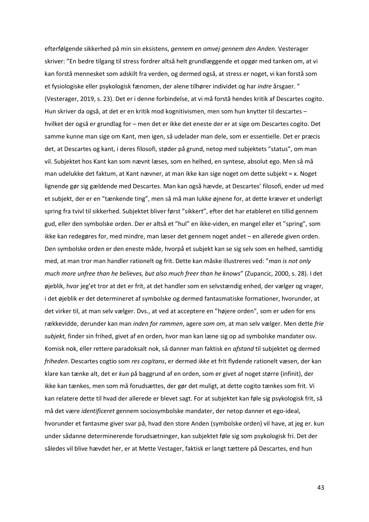efterfølgende sikkerhed på min sin eksistens, *gennem en omvej gennem den Anden.* Vesterager skriver: "En bedre tilgang til stress fordrer altså helt grundlæggende et opgør med tanken om, at vi kan forstå mennesket som adskilt fra verden, og dermed også, at stress er noget, vi kan forstå som et fysiologiske eller psykologisk fænomen, der alene tilhører individet og har *indre* årsgaer. " (Vesterager, 2019, s. 23). Det er i denne forbindelse, at vi må forstå hendes kritik af Descartes cogito. Hun skriver da også, at det er en kritik mod kognitivismen, men som hun knytter til descartes – hvilket der også er grundlag for – men det er ikke det eneste der er at sige om Descartes cogito. Det samme kunne man sige om Kant, men igen, så udelader man dele, som er essentielle. Det er præcis det, at Descartes og kant, i deres filosofi, støder på grund, netop med subjektets "status", om man vil. Subjektet hos Kant kan som nævnt læses, som en helhed, en syntese, absolut ego. Men så må man udelukke det faktum, at Kant nævner, at man ikke kan sige noget om dette subjekt = x. Noget lignende gør sig gældende med Descartes. Man kan også hævde, at Descartes' filosofi, ender ud med et subjekt, der er en "tænkende ting", men så må man lukke øjnene for, at dette kræver et underligt spring fra tvivl til sikkerhed. Subjektet bliver først "sikkert", efter det har etableret en tillid gennem gud, eller den symbolske orden. Der er altså et "hul" en ikke-viden, en mangel eller et "spring", som ikke kan redegøres for, med mindre, man læser det gennem noget andet – en allerede given orden. Den symbolske orden er den eneste måde, hvorpå et subjekt kan se sig selv som en helhed, samtidig med, at man tror man handler rationelt og frit. Dette kan måske illustreres ved: "*man is not only much more unfree than he believes, but also much freer than he knows*" (Zupancic, 2000, s. 28). I det øjeblik, hvor jeg'et tror at det er frit, at det handler som en selvstændig enhed, der vælger og vrager, i det øjeblik er det determineret af symbolske og dermed fantasmatiske formationer, hvorunder, at det virker til, at man selv vælger. Dvs., at ved at acceptere en "højere orden", som er uden for ens rækkevidde, derunder kan man *inden for rammen*, agere *som om*, at man selv vælger. Men dette *frie subjekt,* finder sin frihed, givet af en orden, hvor man kan læne sig op ad symbolske mandater osv. Komisk nok, eller rettere paradoksalt nok, så danner man faktisk en *afstand* til subjektet og dermed *friheden*. Descartes cogtio som *res cogitans*, er dermed *ikke* et frit flydende rationelt væsen, der kan klare kan tænke alt, det er *kun* på baggrund af en orden, som er givet af noget større (infinit), der ikke kan tænkes, men som må forudsættes, der gør det muligt, at dette cogito tænkes som frit. Vi kan relatere dette til hvad der allerede er blevet sagt. For at subjektet kan føle sig psykologisk frit, så må det være *identificeret* gennem sociosymbolske mandater, der netop danner et ego-ideal, hvorunder et fantasme giver svar på, hvad den store Anden (symbolske orden) vil have, at jeg er. kun under sådanne determinerende forudsætninger, kan subjektet føle sig som psykologisk fri. Det der således vil blive hævdet her, er at Mette Vestager, faktisk er langt tættere på Descartes, end hun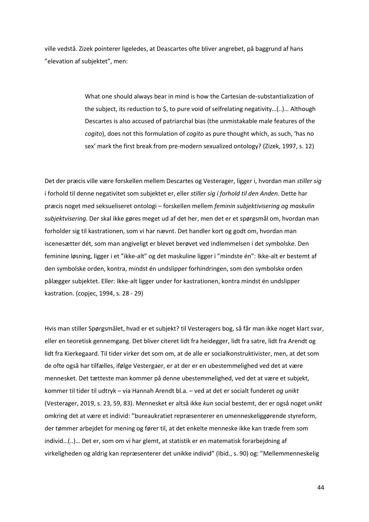ville vedstå. Zizek pointerer ligeledes, at Deascartes ofte bliver angrebet, på baggrund af hans "elevation af subjektet", men:

> What one should always bear in mind is how the Cartesian de-substantialization of the subject, its reduction to \$, to pure void of selfrelating negativity…(..)… Although Descartes is also accused of patriarchal bias (the unmistakable male features of the *cogito*), does not this formulation of *cogito* as pure thought which, as such, 'has no sex' mark the first break from pre-modern sexualized ontology? (Zizek, 1997, s. 12)

Det der præcis ville være forskellen mellem Descartes og Vesterager, ligger i, hvordan man *stiller sig*  i forhold til denne negativitet som subjektet er, eller *stiller sig i forhold til den Anden*. Dette har præcis noget med seksueliseret ontologi – forskellen mellem *feminin subjektivisering og maskulin subjektvisering*. Der skal ikke gøres meget ud af det her, men det er et spørgsmål om, hvordan man forholder sig til kastrationen, som vi har nævnt. Det handler kort og godt om, hvordan man iscenesætter dét, som man angiveligt er blevet berøvet ved indlemmelsen i det symbolske. Den feminine løsning, ligger i et "ikke-alt" og det maskuline ligger i "mindste én": Ikke-alt er bestemt af den symbolske orden, kontra, mindst én undslipper forhindringen, som den symbolske orden pålægger subjektet. Eller: Ikke-alt ligger under for kastrationen, kontra mindst én undslipper kastration. (copjec, 1994, s. 28 - 29)

Hvis man stiller Spørgsmålet, hvad er et subjekt? til Vesteragers bog, så får man ikke noget klart svar, eller en teoretisk gennemgang. Det bliver citeret lidt fra heidegger, lidt fra satre, lidt fra Arendt og lidt fra Kierkegaard. Til tider virker det som om, at de alle er socialkonstruktivister, men, at det som de ofte også har tilfælles, ifølge Vestergaer, er at der er en ubestemmelighed ved det at være mennesket. Det tætteste man kommer på denne ubestemmelighed, ved det at være et subjekt, kommer til tider til udtryk – via Hannah Arendt bl.a. – ved at det er socialt funderet *og unikt* (Vesterager, 2019, s. 23, 59, 83). Mennesket er altså ikke *kun* social bestemt, der er også noget *unikt* omkring det at være et individ: "bureaukratiet repræsenterer en umenneskeliggørende styreform, der tømmer arbejdet for mening og fører til, at det enkelte menneske ikke kan træde frem som individ…(..)… Det er, som om vi har glemt, at statistik er en matematisk forarbejdning af virkeligheden og aldrig kan repræsenterer det unikke individ" (Ibid., s. 90) og: "Mellemmenneskelig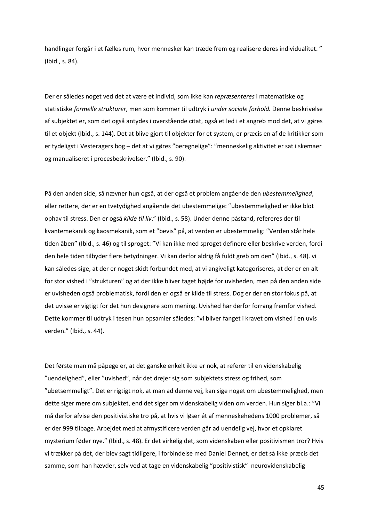handlinger forgår i et fælles rum, hvor mennesker kan træde frem og realisere deres individualitet. " (Ibid., s. 84).

Der er således noget ved det at være et individ, som ikke kan *repræsenteres* i matematiske og statistiske *formelle strukturer*, men som kommer til udtryk i *under sociale forhold.* Denne beskrivelse af subjektet er, som det også antydes i overstående citat, også et led i et angreb mod det, at vi gøres til et objekt (Ibid., s. 144). Det at blive gjort til objekter for et system, er præcis en af de kritikker som er tydeligst i Vesteragers bog – det at vi gøres "beregnelige": "menneskelig aktivitet er sat i skemaer og manualiseret i procesbeskrivelser." (Ibid., s. 90).

På den anden side, så nævner hun også, at der også et problem angående den *ubestemmelighed*, eller rettere, der er en tvetydighed angående det ubestemmelige: "ubestemmelighed er ikke blot ophav til stress. Den er også *kilde til liv*." (Ibid., s. 58). Under denne påstand, refereres der til kvantemekanik og kaosmekanik, som et "bevis" på, at verden er ubestemmelig: "Verden står hele tiden åben" (Ibid., s. 46) og til sproget: "Vi kan ikke med sproget definere eller beskrive verden, fordi den hele tiden tilbyder flere betydninger. Vi kan derfor aldrig få fuldt greb om den" (Ibid., s. 48). vi kan således sige, at der er noget skidt forbundet med, at vi angiveligt kategoriseres, at der er en alt for stor vished i "strukturen" og at der ikke bliver taget højde for uvisheden, men på den anden side er uvisheden også problematisk, fordi den er også er kilde til stress. Dog er der en stor fokus på, at det uvisse er vigtigt for det hun designere som mening. Uvished har derfor forrang fremfor vished. Dette kommer til udtryk i tesen hun opsamler således: "vi bliver fanget i kravet om vished i en uvis verden." (Ibid., s. 44).

Det første man må påpege er, at det ganske enkelt ikke er nok, at referer til en videnskabelig "uendelighed", eller "uvished", når det drejer sig som subjektets stress og frihed, som "ubetsemmeligt". Det er rigtigt nok, at man ad denne vej, kan sige noget om ubestemmelighed, men dette siger mere om subjektet, end det siger om videnskabelig viden om verden. Hun siger bl.a.: "Vi må derfor afvise den positivistiske tro på, at hvis vi løser ét af menneskehedens 1000 problemer, så er der 999 tilbage. Arbejdet med at afmystificere verden går ad uendelig vej, hvor et opklaret mysterium føder nye." (Ibid., s. 48). Er det virkelig det, som videnskaben eller positivismen tror? Hvis vi trækker på det, der blev sagt tidligere, i forbindelse med Daniel Dennet, er det så ikke præcis det samme, som han hævder, selv ved at tage en videnskabelig "positivistisk" neurovidenskabelig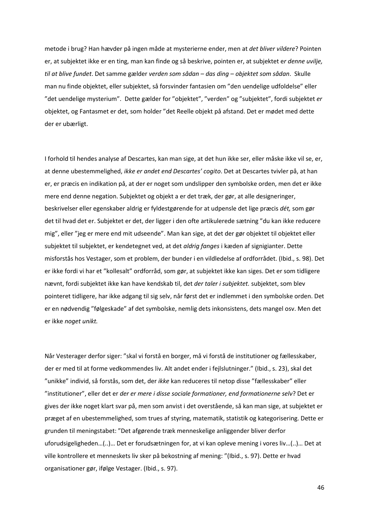metode i brug? Han hævder på ingen måde at mysterierne ender, men at *det bliver vildere*? Pointen er, at subjektet ikke er en ting, man kan finde og så beskrive, pointen er, at subjektet e*r denne uvilje, til at blive fundet*. Det samme gælder *verden som sådan – das ding – objektet som sådan*. Skulle man nu finde objektet, eller subjektet, så forsvinder fantasien om "den uendelige udfoldelse" eller "det uendelige mysterium". Dette gælder for "objektet", "verden" og "subjektet", fordi subjektet *er* objektet, og Fantasmet er det, som holder "det Reelle objekt på afstand. Det er mødet med dette der er ubærligt.

I forhold til hendes analyse af Descartes, kan man sige, at det hun ikke ser, eller måske ikke vil se, er, at denne ubestemmelighed, *ikke er andet end Descartes' cogito*. Det at Descartes tvivler på, at han er, er præcis en indikation på, at der er noget som undslipper den symbolske orden, men det er ikke mere end denne negation. Subjektet og objekt a er det træk, der gør, at alle designeringer, beskrivelser eller egenskaber aldrig er fyldestgørende for at udpensle det lige præcis *dét,* som gør det til hvad det er. Subjektet er det, der ligger i den ofte artikulerede sætning "du kan ikke reducere mig", eller "jeg er mere end mit udseende". Man kan sige, at det der gør objektet til objektet eller subjektet til subjektet, er kendetegnet ved, at det *aldrig fanges* i kæden af signigianter. Dette misforstås hos Vestager, som et problem, der bunder i en vildledelse af ordforrådet. (Ibid., s. 98). Det er ikke fordi vi har et "kollesalt" ordforråd, som gør, at subjektet ikke kan siges. Det er som tidligere nævnt, fordi subjektet ikke kan have kendskab til, det *der taler i subjektet.* subjektet, som blev pointeret tidligere, har ikke adgang til sig selv, når først det er indlemmet i den symbolske orden. Det er en nødvendig "følgeskade" af det symbolske, nemlig dets inkonsistens, dets mangel osv. Men det er ikke *noget unikt.*

Når Vesterager derfor siger: "skal vi forstå en borger, må vi forstå de institutioner og fællesskaber, der er med til at forme vedkommendes liv. Alt andet ender i fejlslutninger." (Ibid., s. 23), skal det "unikke" individ, så forstås, som det, der *ikke* kan reduceres til netop disse "fællesskaber" eller "institutioner", eller det er *der er mere i disse sociale formationer, end formationerne selv*? Det er gives der ikke noget klart svar på, men som anvist i det overstående, så kan man sige, at subjektet er præget af en ubestemmelighed, som trues af styring, matematik, statistik og kategorisering. Dette er grunden til meningstabet: "Det afgørende træk menneskelige anliggender bliver derfor uforudsigeligheden…(..)… Det er forudsætningen for, at vi kan opleve mening i vores liv…(..)… Det at ville kontrollere et menneskets liv sker på bekostning af mening: "(Ibid., s. 97). Dette er hvad organisationer gør, ifølge Vestager. (Ibid., s. 97).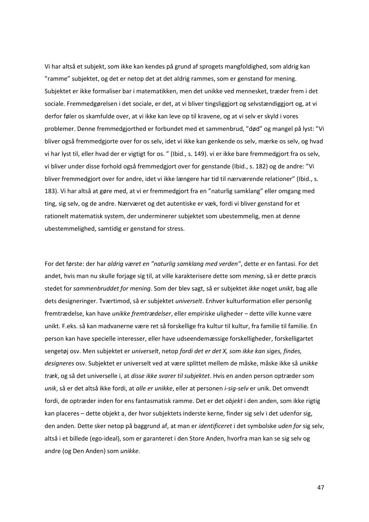Vi har altså et subjekt, som ikke kan kendes på grund af sprogets mangfoldighed, som aldrig kan "ramme" subjektet, og det er netop det at det aldrig rammes, som er genstand for mening. Subjektet er ikke formaliser bar i matematikken, men det unikke ved mennesket, træder frem i det sociale. Fremmedgørelsen i det sociale, er det, at vi bliver tingsliggjort og selvstændiggjort og, at vi derfor føler os skamfulde over, at vi ikke kan leve op til kravene, og at vi selv er skyld i vores problemer. Denne fremmedgjorthed er forbundet med et sammenbrud, "død" og mangel på lyst: "Vi bliver også fremmedgjorte over for os selv, idet vi ikke kan genkende os selv, mærke os selv, og hvad vi har lyst til, eller hvad der er vigtigt for os. " (Ibid., s. 149). vi er ikke bare fremmedgjort fra os selv, vi bliver under disse forhold også fremmedgjort over for genstande (Ibid., s. 182) og de andre: "Vi bliver fremmedgjort over for andre, idet vi ikke længere har tid til nærværende relationer" (Ibid., s. 183). Vi har altså at gøre med, at vi er fremmedgjort fra en "naturlig samklang" eller omgang med ting, sig selv, og de andre. Nærværet og det autentiske er væk, fordi vi bliver genstand for et rationelt matematisk system, der underminerer subjektet som ubestemmelig, men at denne ubestemmelighed, samtidig er genstand for stress.

For det første: der har *aldrig været en "naturlig samklang med verden"*, dette er en fantasi. For det andet, hvis man nu skulle forjage sig til, at ville karakterisere dette som *mening*, så er dette præcis stedet for *sammenbruddet for mening*. Som der blev sagt, så er subjektet *ikke* noget *unikt*, bag alle dets designeringer. Tværtimod, så er subjektet *universelt*. Enhver kulturformation eller personlig fremtrædelse, kan have *unikke fremtrædelser*, eller empiriske uligheder – dette ville kunne være unikt. F.eks. så kan madvanerne være ret så forskellige fra kultur til kultur, fra familie til familie. En person kan have specielle interesser, eller have udseendemæssige forskelligheder, forskelligartet sengetøj osv. Men subjektet er *universelt*, netop *fordi det er det X, som ikke kan siges, findes, designeres* osv. Subjektet er universelt ved at være splittet mellem de måske, måske ikke så *unikke træk*, og så det universelle i, at *disse ikke svarer til subjektet*. Hvis en anden person optræder som *unik*, så er det altså ikke fordi, at *alle er unikke*, eller at personen *i-sig-selv* er unik. Det omvendt fordi, de optræder inden for ens fantasmatisk ramme. Det er det *objekt* i den anden, som ikke rigtig kan placeres – dette objekt a, der hvor subjektets inderste kerne, finder sig selv i det udenfor sig, den anden. Dette sker netop på baggrund af, at man er *identificeret* i det symbolske *uden for* sig selv, altså i et billede (ego-ideal), som er garanteret i den Store Anden, hvorfra man kan se sig selv og andre (og Den Anden) som *unikke*.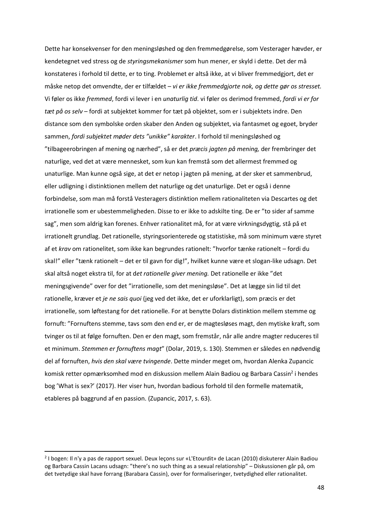Dette har konsekvenser for den meningsløshed og den fremmedgørelse, som Vesterager hævder, er kendetegnet ved stress og de *styringsmekanismer* som hun mener, er skyld i dette. Det der må konstateres i forhold til dette, er to ting. Problemet er altså ikke, at vi bliver fremmedgjort, det er måske netop det omvendte, der er tilfældet – *vi er ikke fremmedgjorte nok, og dette gør os stresset.* Vi føler os ikke *fremmed*, fordi vi lever i en *unaturlig tid*. vi føler os derimod fremmed, *fordi vi er for tæt på os selv* – fordi at subjektet kommer for tæt på objektet, som er i subjektets indre. Den distance som den symbolske orden skaber den Anden og subjektet, via fantasmet og egoet, bryder sammen, *fordi subjektet møder dets "unikke" karakter*. I forhold til meningsløshed og "tilbageerobringen af mening og nærhed", så er det *præcis jagten på mening,* der frembringer det naturlige, ved det at være mennesket, som kun kan fremstå som det allermest fremmed og unaturlige. Man kunne også sige, at det er netop i jagten på mening, at der sker et sammenbrud, eller udligning i distinktionen mellem det naturlige og det unaturlige. Det er også i denne forbindelse, som man må forstå Vesteragers distinktion mellem rationaliteten via Descartes og det irrationelle som er ubestemmeligheden. Disse to er ikke to adskilte ting. De er "to sider af samme sag", men som aldrig kan forenes. Enhver rationalitet må, for at være virkningsdygtig, stå på et irrationelt grundlag. Det rationelle, styringsorienterede og statistiske, må som minimum være styret af et *krav* om rationelitet, som ikke kan begrundes rationelt: "hvorfor tænke rationelt – fordi du skal!" eller "tænk rationelt – det er til gavn for dig!", hvilket kunne være et slogan-like udsagn. Det skal altså noget ekstra til, for at d*et rationelle giver mening.* Det rationelle er ikke "det meningsgivende" over for det "irrationelle, som det meningsløse". Det at lægge sin lid til det rationelle, kræver et *je ne sais quoi* (jeg ved det ikke, det er uforklarligt), som præcis er det irrationelle, som løftestang for det rationelle. For at benytte Dolars distinktion mellem stemme og fornuft: "Fornuftens stemme, tavs som den end er, er de magtesløses magt, den mytiske kraft, som tvinger os til at følge fornuften. Den er den magt, som fremstår, når alle andre magter reduceres til et minimum. *Stemmen er fornuftens magt*" (Dolar, 2019, s. 130). Stemmen er således en nødvendig del af fornuften, *hvis den skal være tvingende*. Dette minder meget om, hvordan Alenka Zupancic komisk retter opmærksomhed mod en diskussion mellem Alain Badiou og Barbara Cassin<sup>2</sup> i hendes bog 'What is sex?' (2017). Her viser hun, hvordan badious forhold til den formelle matematik, etableres på baggrund af en passion. (Zupancic, 2017, s. 63).

<sup>2</sup> I bogen: Il n'y a pas de rapport sexuel. Deux leçons sur «L'Etourdit» de Lacan (2010) diskuterer Alain Badiou og Barbara Cassin Lacans udsagn: "there's no such thing as a sexual relationship" – Diskussionen går på, om det tvetydige skal have forrang (Barabara Cassin), over for formaliseringer, tvetydighed eller rationalitet.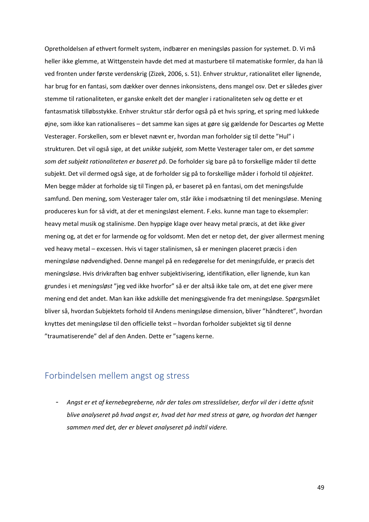Opretholdelsen af ethvert formelt system, indbærer en meningsløs passion for systemet. D. Vi må heller ikke glemme, at Wittgenstein havde det med at masturbere til matematiske formler, da han lå ved fronten under første verdenskrig (Zizek, 2006, s. 51). Enhver struktur, rationalitet eller lignende, har brug for en fantasi, som dækker over dennes inkonsistens, dens mangel osv. Det er således giver stemme til rationaliteten, er ganske enkelt det der mangler i rationaliteten selv og dette er et fantasmatisk tilløbsstykke. Enhver struktur står derfor også på et hvis spring, et spring med lukkede øjne, som ikke kan rationaliseres – det samme kan siges at gøre sig gældende for Descartes *og* Mette Vesterager. Forskellen, som er blevet nævnt er, hvordan man forholder sig til dette "Hul" i strukturen. Det vil også sige, at det *unikke subjekt, s*om Mette Vesterager taler om, er det s*amme som det subjekt rationaliteten er baseret på*. De forholder sig bare på to forskellige måder til dette subjekt. Det vil dermed også sige, at de forholder sig på to forskellige måder i forhold til *objektet*. Men begge måder at forholde sig til Tingen på, er baseret på en fantasi, om det meningsfulde samfund. Den mening, som Vesterager taler om, står ikke i modsætning til det meningsløse. Mening produceres kun for så vidt, at der et meningsløst element. F.eks. kunne man tage to eksempler: heavy metal musik og stalinisme. Den hyppige klage over heavy metal præcis, at det ikke giver mening og, at det er for larmende og for voldsomt. Men det er netop det, der giver allermest mening ved heavy metal – excessen. Hvis vi tager stalinismen, så er meningen placeret præcis i den meningsløse nødvendighed. Denne mangel på en redegørelse for det meningsfulde, er præcis det meningsløse. Hvis drivkraften bag enhver subjektivisering, identifikation, eller lignende, kun kan grundes i et *meningsløst* "jeg ved ikke hvorfor" så er der altså ikke tale om, at det ene giver mere mening end det andet. Man kan ikke adskille det meningsgivende fra det meningsløse. Spørgsmålet bliver så, hvordan Subjektets forhold til Andens meningsløse dimension, bliver "håndteret", hvordan knyttes det meningsløse til den officielle tekst – hvordan forholder subjektet sig til denne "traumatiserende" del af den Anden. Dette er "sagens kerne.

## Forbindelsen mellem angst og stress

- *Angst er et af kernebegreberne, når der tales om stresslidelser, derfor vil der i dette afsnit blive analyseret på hvad angst er, hvad det har med stress at gøre, og hvordan det hænger sammen med det, der er blevet analyseret på indtil videre.*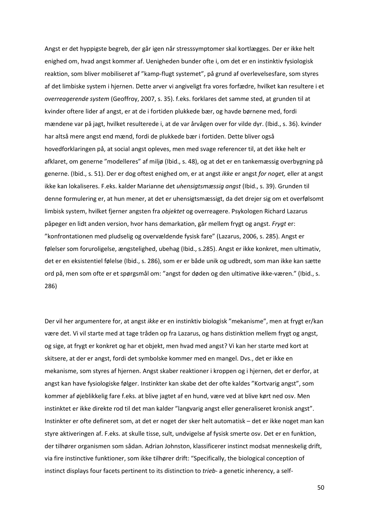Angst er det hyppigste begreb, der går igen når stresssymptomer skal kortlægges. Der er ikke helt enighed om, hvad angst kommer af. Uenigheden bunder ofte i, om det er en instinktiv fysiologisk reaktion, som bliver mobiliseret af "kamp-flugt systemet", på grund af overlevelsesfare, som styres af det limbiske system i hjernen. Dette arver vi angiveligt fra vores forfædre, hvilket kan resultere i et *overreagerende system* (Geoffroy, 2007, s. 35). f.eks. forklares det samme sted, at grunden til at kvinder oftere lider af angst, er at de i fortiden plukkede bær, og havde børnene med, fordi mændene var på jagt, hvilket resulterede i, at de var årvågen over for vilde dyr. (Ibid., s. 36). kvinder har altså mere angst end mænd, fordi de plukkede bær i fortiden. Dette bliver også hovedforklaringen på, at social angst opleves, men med svage referencer til, at det ikke helt er afklaret, om generne "modelleres" af miljø (Ibid., s. 48), og at det er en tankemæssig overbygning på generne. (Ibid., s. 51). Der er dog oftest enighed om, er at angst *ikke* er angst *for noget,* eller at angst ikke kan lokaliseres. F.eks. kalder Marianne det *uhensigtsmæssig angst* (Ibid., s. 39). Grunden til denne formulering er, at hun mener, at det er uhensigtsmæssigt, da det drejer sig om et overfølsomt limbisk system, hvilket fjerner angsten fra *objektet* og overreagere. Psykologen Richard Lazarus påpeger en lidt anden version, hvor hans demarkation, går mellem frygt og angst. *Frygt* er: "konfrontationen med pludselig og overvældende fysisk fare" (Lazarus, 2006, s. 285). Angst er følelser som foruroligelse, ængstelighed, ubehag (Ibid., s.285). Angst er ikke konkret, men ultimativ, det er en eksistentiel følelse (Ibid., s. 286), som er er både unik og udbredt, som man ikke kan sætte ord på, men som ofte er et spørgsmål om: "angst for døden og den ultimative ikke-væren." (Ibid., s. 286)

Der vil her argumentere for, at angst *ikke* er en instinktiv biologisk "mekanisme", men at frygt er/kan være det. Vi vil starte med at tage tråden op fra Lazarus, og hans distinktion mellem frygt og angst, og sige, at frygt er konkret og har et objekt, men hvad med angst? Vi kan her starte med kort at skitsere, at der er angst, fordi det symbolske kommer med en mangel. Dvs., det er ikke en mekanisme, som styres af hjernen. Angst skaber reaktioner i kroppen og i hjernen, det er derfor, at angst kan have fysiologiske følger. Instinkter kan skabe det der ofte kaldes "Kortvarig angst", som kommer af øjeblikkelig fare f.eks. at blive jagtet af en hund, være ved at blive kørt ned osv. Men instinktet er ikke direkte rod til det man kalder "langvarig angst eller generaliseret kronisk angst". Instinkter er ofte defineret som, at det er noget der sker helt automatisk – det er ikke noget man kan styre aktiveringen af. F.eks. at skulle tisse, sult, undvigelse af fysisk smerte osv. Det er en funktion, der tilhører organismen som sådan. Adrian Johnston, klassificerer instinct modsat menneskelig drift, via fire instinctive funktioner, som ikke tilhører drift: "Specifically, the biological conception of instinct displays four facets pertinent to its distinction to *trieb*- a genetic inherency, a self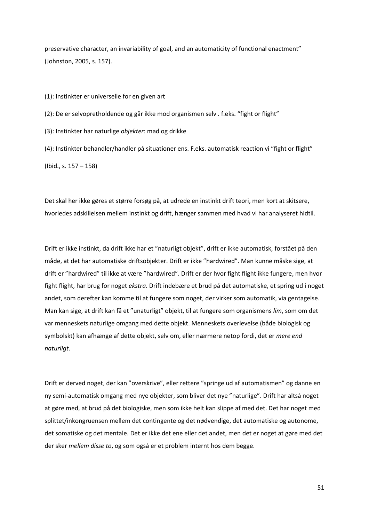preservative character, an invariability of goal, and an automaticity of functional enactment" (Johnston, 2005, s. 157).

(1): Instinkter er universelle for en given art (2): De er selvopretholdende og går ikke mod organismen selv . f.eks. "fight or flight" (3): Instinkter har naturlige *objekter*: mad og drikke (4): Instinkter behandler/handler på situationer ens. F.eks. automatisk reaction vi "fight or flight"

(Ibid., s. 157 – 158)

Det skal her ikke gøres et større forsøg på, at udrede en instinkt drift teori, men kort at skitsere, hvorledes adskillelsen mellem instinkt og drift, hænger sammen med hvad vi har analyseret hidtil.

Drift er ikke instinkt, da drift ikke har et "naturligt objekt", drift er ikke automatisk, forstået på den måde, at det har automatiske driftsobjekter. Drift er ikke "hardwired". Man kunne måske sige, at drift er "hardwired" til ikke at være "hardwired". Drift er der hvor fight flight ikke fungere, men hvor fight flight, har brug for noget *ekstra*. Drift indebære et brud på det automatiske, et spring ud i noget andet, som derefter kan komme til at fungere som noget, der virker som automatik, via gentagelse. Man kan sige, at drift kan få et "unaturligt" objekt, til at fungere som organismens *lim*, som om det var menneskets naturlige omgang med dette objekt. Menneskets overlevelse (både biologisk og symbolskt) kan afhænge af dette objekt, selv om, eller nærmere netop fordi, det er *mere end naturligt*.

Drift er derved noget, der kan "overskrive", eller rettere "springe ud af automatismen" og danne en ny semi-automatisk omgang med nye objekter, som bliver det nye "naturlige". Drift har altså noget at gøre med, at brud på det biologiske, men som ikke helt kan slippe af med det. Det har noget med splittet/inkongruensen mellem det contingente og det nødvendige, det automatiske og autonome, det somatiske og det mentale. Det er ikke det ene eller det andet, men det er noget at gøre med det der sker *mellem disse to*, og som også er et problem internt hos dem begge.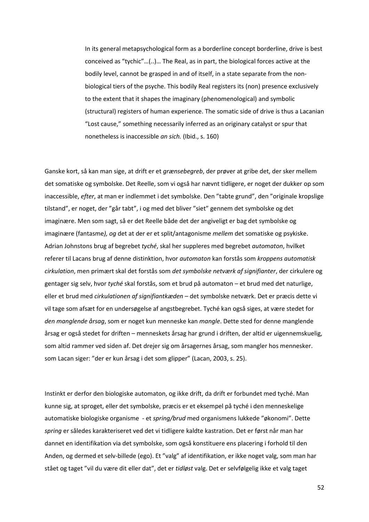In its general metapsychological form as a borderline concept borderline, drive is best conceived as "tychic"…(..)… The Real, as in part, the biological forces active at the bodily level, cannot be grasped in and of itself, in a state separate from the nonbiological tiers of the psyche. This bodily Real registers its (non) presence exclusively to the extent that it shapes the imaginary (phenomenological) and symbolic (structural) registers of human experience. The somatic side of drive is thus a Lacanian "Lost cause," something necessarily inferred as an originary catalyst or spur that nonetheless is inaccessible *an sich.* (Ibid., s. 160)

Ganske kort, så kan man sige, at drift er et *grænsebegreb*, der prøver at gribe det, der sker mellem det somatiske og symbolske. Det Reelle, som vi også har nævnt tidligere, er noget der dukker op som inaccessible, *efter*, at man er indlemmet i det symbolske. Den "tabte grund", den "originale kropslige tilstand", er noget, der "går tabt", i og med det bliver "siet" gennem det symbolske og det imaginære. Men som sagt, så er det Reelle både det der angiveligt er bag det symbolske og imaginære (fantasme*), og* det at der er et split/antagonisme *mellem* det somatiske og psykiske. Adrian Johnstons brug af begrebet *tyché*, skal her suppleres med begrebet *automaton*, hvilket referer til Lacans brug af denne distinktion, hvor *automaton* kan forstås som *kroppens automatisk cirkulation*, men primært skal det forstås som *det symbolske netværk af signifianter*, der cirkulere og gentager sig selv, hvor *tyché* skal forstås, som et brud på automaton – et brud med det naturlige, eller et brud med *cirkulationen af signifiantkæden* – det symbolske netværk. Det er præcis dette vi vil tage som afsæt for en undersøgelse af angstbegrebet. Tyché kan også siges, at være stedet for *den manglende årsag*, som er noget kun menneske kan *mangle*. Dette sted for denne manglende årsag er også stedet for driften – menneskets årsag har grund i driften, der altid er uigennemskuelig, som altid rammer ved siden af. Det drejer sig om årsagernes årsag, som mangler hos mennesker. som Lacan siger: "der er kun årsag i det som glipper" (Lacan, 2003, s. 25).

Instinkt er derfor den biologiske automaton, og ikke drift, da drift er forbundet med tyché. Man kunne sig, at sproget, eller det symbolske, præcis er et eksempel på tyché i den menneskelige automatiske biologiske organisme - et *spring/brud* med organismens lukkede "økonomi". Dette *spring* er således karakteriseret ved det vi tidligere kaldte kastration. Det er først når man har dannet en identifikation via det symbolske, som også konstituere ens placering i forhold til den Anden, og dermed et selv-billede (ego). Et "valg" af identifikation, er ikke noget valg, som man har stået og taget "vil du være dit eller dat", det er *tidløst* valg. Det er selvfølgelig ikke et valg taget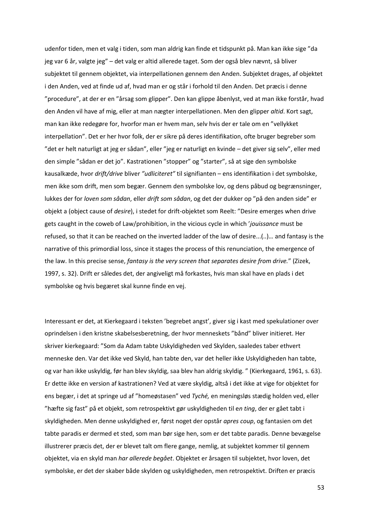udenfor tiden, men et valg i tiden, som man aldrig kan finde et tidspunkt på. Man kan ikke sige "da jeg var 6 år, valgte jeg" – det valg er altid allerede taget. Som der også blev nævnt, så bliver subjektet til gennem objektet, via interpellationen gennem den Anden. Subjektet drages, af objektet i den Anden, ved at finde ud af, hvad man er og står i forhold til den Anden. Det præcis i denne "procedure", at der er en "årsag som glipper". Den kan glippe åbenlyst, ved at man ikke forstår, hvad den Anden vil have af mig, eller at man nægter interpellationen. Men den glipper *altid*. Kort sagt, man kan ikke redegøre for, hvorfor man er hvem man, selv hvis der er tale om en "vellykket interpellation". Det er her hvor folk, der er sikre på deres identifikation, ofte bruger begreber som "det er helt naturligt at jeg er sådan", eller "jeg er naturligt en kvinde – det giver sig selv", eller med den simple "sådan er det jo". Kastrationen "stopper" og "starter", så at sige den symbolske kausalkæde, hvor *drift/drive* bliver *"udliciteret"* til signifianten – ens identifikation i det symbolske, men ikke som drift, men som begær. Gennem den symbolske lov, og dens påbud og begrænsninger, lukkes der for *loven som sådan*, eller *drift som sådan*, og det der dukker op "på den anden side" er objekt a (object cause of *desire*), i stedet for drift-objektet som Reelt: "Desire emerges when drive gets caught in the coweb of Law/prohibition, in the vicious cycle in which '*jouissance* must be refused, so that it can be reached on the inverted ladder of the law of desire...(..)… and fantasy is the narrative of this primordial loss, since it stages the process of this renunciation, the emergence of the law. In this precise sense, *fantasy is the very screen that separates desire from drive.*" (Zizek, 1997, s. 32). Drift er således det, der angiveligt må forkastes, hvis man skal have en plads i det symbolske og hvis begæret skal kunne finde en vej.

Interessant er det, at Kierkegaard i teksten 'begrebet angst', giver sig i kast med spekulationer over oprindelsen i den kristne skabelsesberetning, der hvor menneskets "bånd" bliver initieret. Her skriver kierkegaard: "Som da Adam tabte Uskyldigheden ved Skylden, saaledes taber ethvert menneske den. Var det ikke ved Skyld, han tabte den, var det heller ikke Uskyldigheden han tabte, og var han ikke uskyldig, før han blev skyldig, saa blev han aldrig skyldig. " (Kierkegaard, 1961, s. 63). Er dette ikke en version af kastrationen? Ved at være skyldig, altså i det ikke at vige for objektet for ens begær, i det at springe ud af "homeøstasen" ved *Tyché,* en meningsløs stædig holden ved, eller "hæfte sig fast" på et objekt, som retrospektivt gør uskyldigheden til e*n ting*, der er gået tabt i skyldigheden. Men denne uskyldighed er, først noget der opstår *apres coup*, og fantasien om det tabte paradis er dermed et sted, som man bør sige hen, som er det tabte paradis. Denne bevægelse illustrerer præcis det, der er blevet talt om flere gange, nemlig, at subjektet kommer til gennem objektet, via en skyld man *har allerede begået*. Objektet er årsagen til subjektet, hvor loven, det symbolske, er det der skaber både skylden og uskyldigheden, men retrospektivt. Driften er præcis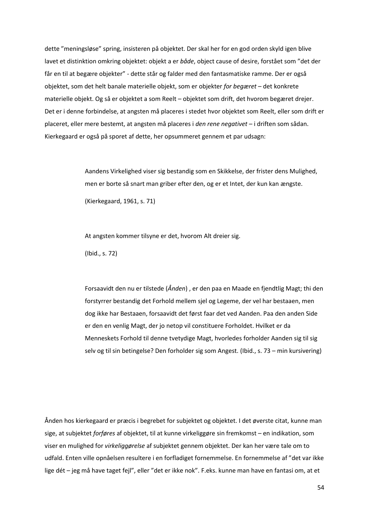dette "meningsløse" spring, insisteren på objektet. Der skal her for en god orden skyld igen blive lavet et distinktion omkring objektet: objekt a er *både*, object cause of desire, forstået som "det der får en til at begære objekter" - dette står og falder med den fantasmatiske ramme. Der er også objektet, som det helt banale materielle objekt, som er objekter *for begæret* – det konkrete materielle objekt. Og så er objektet a som Reelt – objektet som drift, det hvorom begæret drejer. Det er i denne forbindelse, at angsten må placeres i stedet hvor objektet som Reelt, eller som drift er placeret, eller mere bestemt, at angsten må placeres i *den rene negativet* – i driften som sådan. Kierkegaard er også på sporet af dette, her opsummeret gennem et par udsagn:

> Aandens Virkelighed viser sig bestandig som en Skikkelse, der frister dens Mulighed, men er borte så snart man griber efter den, og er et Intet, der kun kan ængste. (Kierkegaard, 1961, s. 71)

At angsten kommer tilsyne er det, hvorom Alt dreier sig.

(Ibid., s. 72)

Forsaavidt den nu er tilstede (*Ånden*) , er den paa en Maade en fjendtlig Magt; thi den forstyrrer bestandig det Forhold mellem sjel og Legeme, der vel har bestaaen, men dog ikke har Bestaaen, forsaavidt det først faar det ved Aanden. Paa den anden Side er den en venlig Magt, der jo netop vil constituere Forholdet. Hvilket er da Menneskets Forhold til denne tvetydige Magt, hvorledes forholder Aanden sig til sig selv og til sin betingelse? Den forholder sig som Angest. (Ibid., s. 73 – min kursivering)

Ånden hos kierkegaard er præcis i begrebet for subjektet og objektet. I det øverste citat, kunne man sige, at subjektet *forføres* af objektet, til at kunne virkeliggøre sin fremkomst – en indikation, som viser en mulighed for *virkeliggørelse* af subjektet gennem objektet. Der kan her være tale om to udfald. Enten ville opnåelsen resultere i en forfladiget fornemmelse. En fornemmelse af "det var ikke lige dét – jeg må have taget fejl", eller "det er ikke nok". F.eks. kunne man have en fantasi om, at et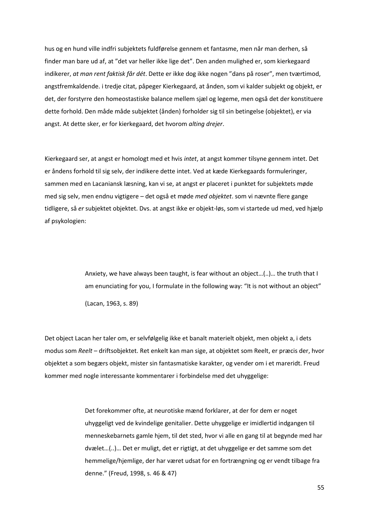hus og en hund ville indfri subjektets fuldførelse gennem et fantasme, men når man derhen, så finder man bare ud af, at "det var heller ikke lige det". Den anden mulighed er, som kierkegaard indikerer, *at man rent faktisk får dét*. Dette er ikke dog ikke nogen "dans på roser", men tværtimod, angstfremkaldende. i tredje citat, påpeger Kierkegaard, at ånden, som vi kalder subjekt og objekt, er det, der forstyrre den homeostastiske balance mellem sjæl og legeme, men også det der konstituere dette forhold. Den måde måde subjektet (ånden) forholder sig til sin betingelse (objektet), er via angst. At dette sker, er for kierkegaard, det hvorom *alting drejer*.

Kierkegaard ser, at angst er homologt med et hvis *intet*, at angst kommer tilsyne gennem intet. Det er åndens forhold til sig selv, der indikere dette intet. Ved at kæde Kierkegaards formuleringer, sammen med en Lacaniansk læsning, kan vi se, at angst er placeret i punktet for subjektets møde med sig selv, men endnu vigtigere – det også et møde *med objektet*. som vi nævnte flere gange tidligere, så *er* subjektet objektet. Dvs. at angst ikke er objekt-løs, som vi startede ud med, ved hjælp af psykologien:

> Anxiety, we have always been taught, is fear without an object…(..)… the truth that I am enunciating for you, I formulate in the following way: "It is not without an object" (Lacan, 1963, s. 89)

Det object Lacan her taler om, er selvfølgelig ikke et banalt materielt objekt, men objekt a, i dets modus som *Reelt* – driftsobjektet. Ret enkelt kan man sige, at objektet som Reelt, er præcis der, hvor objektet a som begærs objekt, mister sin fantasmatiske karakter, og vender om i et mareridt. Freud kommer med nogle interessante kommentarer i forbindelse med det uhyggelige:

> Det forekommer ofte, at neurotiske mænd forklarer, at der for dem er noget uhyggeligt ved de kvindelige genitalier. Dette uhyggelige er imidlertid indgangen til menneskebarnets gamle hjem, til det sted, hvor vi alle en gang til at begynde med har dvælet…(..)… Det er muligt, det er rigtigt, at det uhyggelige er det samme som det hemmelige/hjemlige, der har været udsat for en fortrængning og er vendt tilbage fra denne." (Freud, 1998, s. 46 & 47)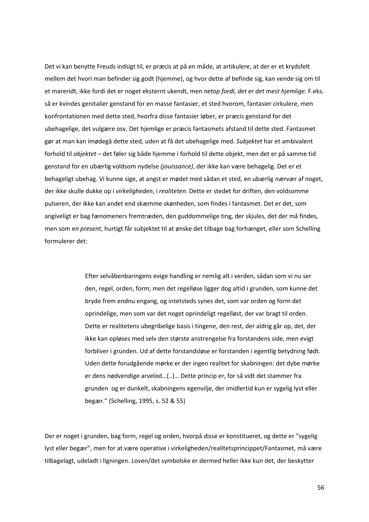Det vi kan benytte Freuds indsigt til, er præcis at på en måde, at artikulere, at der er et krydsfelt mellem det hvori man befinder sig godt (hjemme), og hvor dette af befinde sig, kan vende sig om til et mareridt, ikke fordi det er noget eksternt ukendt, men *netop fordi, det er det mest hjemlige.* F.eks. så er kvindes genitalier genstand for en masse fantasier, et sted hvorom, fantasier cirkulere, men konfrontationen med dette sted, hvorfra disse fantasier løber, er præcis genstand for det ubehagelige, det vulgære osv. Det hjemlige er præcis fantasmets afstand til dette sted. Fantasmet gør at man kan imødegå dette sted, uden at få det ubehagelige med. *Subjektet* har et ambivalent forhold til *objektet* – det føler sig både hjemme i forhold til dette objekt, men det er på samme tid genstand for en ubærlig voldsom nydelse *(jouissance)*, der ikke kan være behagelig. Det er et behageligt ubehag. Vi kunne sige, at angst er mødet med sådan et sted, en ubærlig *nærvær* af noget, der ikke skulle dukke op i *virkeligheden*, i *realiteten*. Dette er stedet for driften, den voldsomme pulseren, der ikke kan andet end skæmme skønheden, som findes i fantasmet. Det er det, som angiveligt er bag fænomeners fremtræden, den guddommelige ting, der skjules, det der må findes, men som e*n present*, hurtigt får subjektet til at ønske det tilbage bag forhænget, eller som Schelling formulerer det:

> Efter selvåbenbaringens evige handling er nemlig alt i verden, sådan som vi nu ser den, regel, orden, form; men det regelløse ligger dog altid i grunden, som kunne det bryde frem endnu engang, og intetsteds synes det, som var orden og form det oprindelige, men som var det noget oprindeligt regelløst, der var bragt til orden. Dette er realitetens ubegribelige basis i tingene, den rest, der aldrig går op, det, der ikke kan opløses med selv den største anstrengelse fra forstandens side, men evigt forbliver i grunden. Ud af dette forstandsløse er forstanden i egentlig betydning født. Uden dette forudgående mørke er der ingen realitet for skabningen: det dybe mørke er dens nødvendige arvelod…(..)… Dette princip er, for så vidt det stammer fra grunden og er dunkelt, skabningens egenvilje, der imidlertid kun er sygelig lyst eller begær." (Schelling, 1995, s. 52 & 55)

Der er noget i grunden, bag form, regel og orden, hvorpå disse er konstitueret, og dette er "sygelig lyst eller begær", men for at være operative i virkeligheden/realitetsprincippet/Fantasmet, må være tilbagelagt, udeladt i ligningen. Loven/det symbolske er dermed heller ikke kun det, der beskytter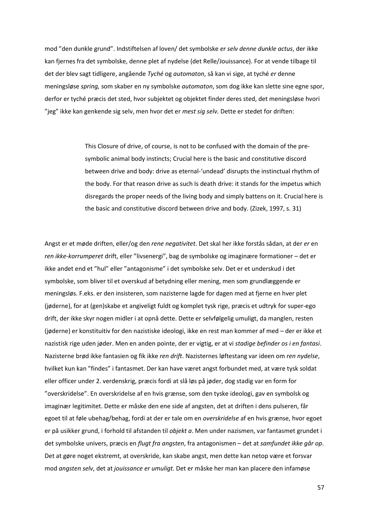mod "den dunkle grund". Indstiftelsen af loven/ det symbolske *er selv denne dunkle actus*, der ikke kan fjernes fra det symbolske, denne plet af nydelse (det Relle/Jouissance). For at vende tilbage til det der blev sagt tidligere, angående *Tyché* og *automaton*, så kan vi sige, at tyché *er* denne meningsløse *spring,* som skaber en ny symbolske *automaton*, som dog ikke kan slette sine egne spor, derfor er tyché præcis det sted, hvor subjektet og objektet finder deres sted, det meningsløse hvori "jeg" ikke kan genkende sig selv, men hvor det er *mest sig selv.* Dette er stedet for driften:

> This Closure of drive, of course, is not to be confused with the domain of the presymbolic animal body instincts; Crucial here is the basic and constitutive discord between drive and body: drive as eternal-'undead' disrupts the instinctual rhythm of the body. For that reason drive as such Is death drive: it stands for the impetus which disregards the proper needs of the living body and simply battens on it. Crucial here is the basic and constitutive discord between drive and body. (Zizek, 1997, s. 31)

Angst er et møde driften, eller/og den *rene negativitet*. Det skal her ikke forstås sådan, at der *er* en *ren ikke-korrumperet* drift, eller "livsenergi", bag de symbolske og imaginære formationer – det er ikke andet end et "hul" eller "antagonisme" i det symbolske selv. Det er et underskud i det symbolske, som bliver til et overskud af betydning eller mening, men som grundlæggende er meningsløs. F.eks. er den insisteren, som nazisterne lagde for dagen med at fjerne en hver plet (jøderne), for at (gen)skabe et angiveligt fuldt og komplet tysk rige, præcis et udtryk for super-ego drift, der ikke skyr nogen midler i at opnå dette. Dette er selvfølgelig umuligt, da manglen, resten (jøderne) er konstituitiv for den nazistiske ideologi, ikke en rest man kommer af med – der er ikke et nazistisk rige uden jøder. Men en anden pointe, der er vigtig, er at vi *stadige befinder os i en fantasi*. Nazisterne brød ikke fantasien og fik ikke *ren drift*. Nazisternes løftestang var ideen om *ren nydelse*, hvilket kun kan "findes" i fantasmet. Der kan have været angst forbundet med, at være tysk soldat eller officer under 2. verdenskrig, præcis fordi at slå løs på jøder, dog stadig var en form for "overskridelse". En overskridelse af en hvis grænse, som den tyske ideologi, gav en symbolsk og imaginær legitimitet. Dette er måske den ene side af angsten, det at driften i dens pulseren, får egoet til at føle ubehag/behag, fordi at der er tale om en *overskridelse* af en hvis grænse, hvor egoet er på usikker grund, i forhold til afstanden til *objekt a*. Men under nazismen, var fantasmet grundet i det symbolske univers, præcis en *flugt fra angsten*, fra antagonismen – det at *samfundet ikke går op*. Det at gøre noget ekstremt, at overskride, kan skabe angst, men dette kan netop være et forsvar mod *angsten selv*, det at *jouissance er umuligt.* Det er måske her man kan placere den infamøse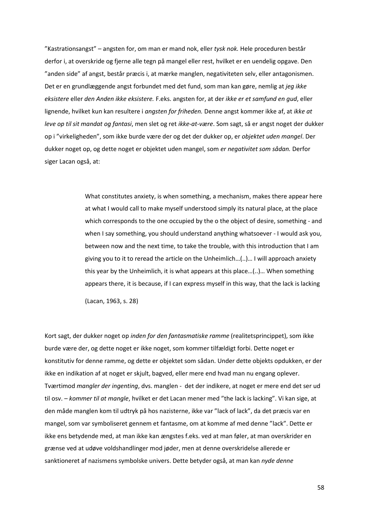"Kastrationsangst" – angsten for, om man er mand nok, eller *tysk nok.* Hele proceduren består derfor i, at overskride og fjerne alle tegn på mangel eller rest, hvilket er en uendelig opgave. Den "anden side" af angst, består præcis i, at mærke manglen, negativiteten selv, eller antagonismen. Det er en grundlæggende angst forbundet med det fund, som man kan gøre, nemlig at *jeg ikke eksistere* eller *den Anden ikke eksistere.* F.eks. angsten for, at der *ikke er et samfund en gud*, eller lignende, hvilket kun kan resultere i *angsten for friheden.* Denne angst kommer ikke af, at *ikke at leve op til sit mandat og fantasi*, men slet og ret *ikke-at-være*. Som sagt, så er angst noget der dukker op i "virkeligheden", som ikke burde være der og det der dukker op, er *objektet uden mangel*. Der dukker noget op, og dette noget er objektet uden mangel, som *er negativitet som sådan.* Derfor siger Lacan også, at:

> What constitutes anxiety, is when something, a mechanism, makes there appear here at what I would call to make myself understood simply its natural place, at the place which corresponds to the one occupied by the o the object of desire, something - and when I say something, you should understand anything whatsoever - I would ask you, between now and the next time, to take the trouble, with this introduction that I am giving you to it to reread the article on the Unheimlich…(..)… I will approach anxiety this year by the Unheimlich, it is what appears at this place…(..)… When something appears there, it is because, if I can express myself in this way, that the lack is lacking

(Lacan, 1963, s. 28)

Kort sagt, der dukker noget op *inden for den fantasmatiske ramme* (realitetsprincippet), som ikke burde være der, og dette noget er ikke noget, som kommer tilfældigt forbi. Dette noget er konstitutiv for denne ramme, og dette er objektet som sådan. Under dette objekts opdukken, er der ikke en indikation af at noget er skjult, bagved, eller mere end hvad man nu engang oplever. Tværtimod *mangler der ingenting*, dvs. manglen - det der indikere, at noget er mere end det ser ud til osv. – *kommer til at mangle*, hvilket er det Lacan mener med "the lack is lacking". Vi kan sige, at den måde manglen kom til udtryk på hos nazisterne, ikke var "lack of lack", da det præcis var en mangel, som var symboliseret gennem et fantasme, om at komme af med denne "lack". Dette er ikke ens betydende med, at man ikke kan ængstes f.eks. ved at man føler, at man overskrider en grænse ved at udøve voldshandlinger mod jøder, men at denne overskridelse allerede er sanktioneret af nazismens symbolske univers. Dette betyder også, at man kan *nyde denne*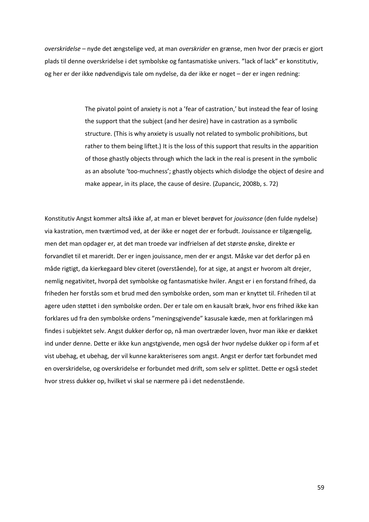*overskridelse* – nyde det ængstelige ved, at man *overskrider* en grænse, men hvor der præcis er gjort plads til denne overskridelse i det symbolske og fantasmatiske univers. "lack of lack" er konstitutiv, og her er der ikke nødvendigvis tale om nydelse, da der ikke er noget – der er ingen redning:

> The pivatol point of anxiety is not a 'fear of castration,' but instead the fear of losing the support that the subject (and her desire) have in castration as a symbolic structure. (This is why anxiety is usually not related to symbolic prohibitions, but rather to them being liftet.) It is the loss of this support that results in the apparition of those ghastly objects through which the lack in the real is present in the symbolic as an absolute 'too-muchness'; ghastly objects which dislodge the object of desire and make appear, in its place, the cause of desire. (Zupancic, 2008b, s. 72)

Konstitutiv Angst kommer altså ikke af, at man er blevet berøvet for *jouissance* (den fulde nydelse) via kastration, men tværtimod ved, at der ikke er noget der er forbudt. Jouissance er tilgængelig, men det man opdager er, at det man troede var indfrielsen af det største ønske, direkte er forvandlet til et mareridt. Der er ingen jouissance, men der er angst. Måske var det derfor på en måde rigtigt, da kierkegaard blev citeret (overstående), for at sige, at angst er hvorom alt drejer, nemlig negativitet, hvorpå det symbolske og fantasmatiske hviler. Angst er i en forstand frihed, da friheden her forstås som et brud med den symbolske orden, som man er knyttet til. Friheden til at agere uden støttet i den symbolske orden. Der er tale om en kausalt bræk, hvor ens frihed ikke kan forklares ud fra den symbolske ordens "meningsgivende" kasusale kæde, men at forklaringen må findes i subjektet selv. Angst dukker derfor op, nå man overtræder loven, hvor man ikke er dækket ind under denne. Dette er ikke kun angstgivende, men også der hvor nydelse dukker op i form af et vist ubehag, et ubehag, der vil kunne karakteriseres som angst. Angst er derfor tæt forbundet med en overskridelse, og overskridelse er forbundet med drift, som selv er splittet. Dette er også stedet hvor stress dukker op, hvilket vi skal se nærmere på i det nedenstående.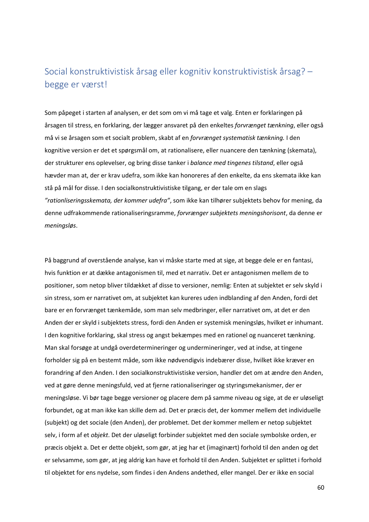## Social konstruktivistisk årsag eller kognitiv konstruktivistisk årsag? – begge er værst!

Som påpeget i starten af analysen, er det som om vi må tage et valg. Enten er forklaringen på årsagen til stress, en forklaring, der lægger ansvaret på den enkeltes *forvrænget tænkning*, eller også må vi se årsagen som et socialt problem, skabt af en *forvrænget systematisk tænkning.* I den kognitive version er det et spørgsmål om, at rationalisere, eller nuancere den tænkning (skemata), der strukturer ens oplevelser, og bring disse tanker i *balance med tingenes tilstand*, eller også hævder man at, der er krav udefra, som ikke kan honoreres af den enkelte, da ens skemata ikke kan stå på mål for disse. I den socialkonstruktivistiske tilgang, er der tale om en slags *"rationliseringsskemata, der kommer udefra"*, som ikke kan tilhører subjektets behov for mening, da denne udfrakommende rationaliseringsramme, *forvrænger subjektets meningshorisont*, da denne er *meningsløs*.

På baggrund af overstående analyse, kan vi måske starte med at sige, at begge dele er en fantasi, hvis funktion er at dække antagonismen til, med et narrativ. Det er antagonismen mellem de to positioner, som netop bliver tildækket af disse to versioner, nemlig: Enten at subjektet er selv skyld i sin stress, som er narrativet om, at subjektet kan kureres uden indblanding af den Anden, fordi det bare er en forvrænget tænkemåde, som man selv medbringer, eller narrativet om, at det er den Anden der er skyld i subjektets stress, fordi den Anden er systemisk meningsløs, hvilket er inhumant. I den kognitive forklaring, skal stress og angst bekæmpes med en rationel og nuanceret tænkning. Man skal forsøge at undgå overdetermineringer og undermineringer, ved at indse, at tingene forholder sig på en bestemt måde, som ikke nødvendigvis indebærer disse, hvilket ikke kræver en forandring af den Anden. I den socialkonstruktivistiske version, handler det om at ændre den Anden, ved at gøre denne meningsfuld, ved at fjerne rationaliseringer og styringsmekanismer, der er meningsløse. Vi bør tage begge versioner og placere dem på samme niveau og sige, at de er uløseligt forbundet, og at man ikke kan skille dem ad. Det er præcis det, der kommer mellem det individuelle (subjekt) og det sociale (den Anden), der problemet. Det der kommer mellem er netop subjektet selv, i form af et *objekt*. Det der uløseligt forbinder subjektet med den sociale symbolske orden, er præcis objekt a. Det er dette objekt, som gør, at jeg har et (imaginært) forhold til den anden og det er selvsamme, som gør, at jeg aldrig kan have et forhold til den Anden. Subjektet er splittet i forhold til objektet for ens nydelse, som findes i den Andens andethed, eller mangel. Der er ikke en social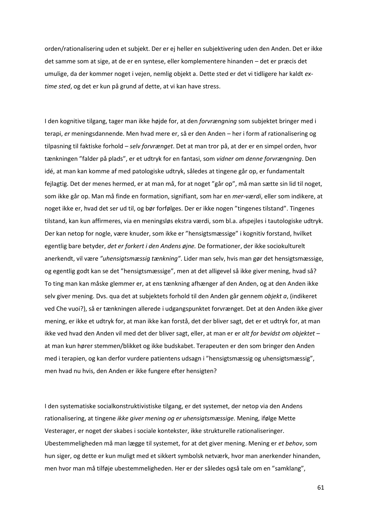orden/rationalisering uden et subjekt. Der er ej heller en subjektivering uden den Anden. Det er ikke det samme som at sige, at de er en syntese, eller komplementere hinanden – det er præcis det umulige, da der kommer noget i vejen, nemlig objekt a. Dette sted er det vi tidligere har kaldt *extime sted*, og det er kun på grund af dette, at vi kan have stress.

I den kognitive tilgang, tager man ikke højde for, at den *forvrængning* som subjektet bringer med i terapi, *er* meningsdannende. Men hvad mere er, så er den Anden – her i form af rationalisering og tilpasning til faktiske forhold – *selv forvrænget*. Det at man tror på, at der er en simpel orden, hvor tænkningen "falder på plads", er et udtryk for en fantasi, som *vidner om denne forvrængning*. Den idé, at man kan komme af med patologiske udtryk, således at tingene går op, er fundamentalt fejlagtig. Det der menes hermed, er at man må, for at noget "går op", må man sætte sin lid til noget, som ikke går op. Man må finde en formation, signifiant, som har en *mer-værdi*, eller som indikere, at noget ikke er, hvad det ser ud til, og bør forfølges. Der er ikke nogen "tingenes tilstand". Tingenes tilstand, kan kun affirmeres, via en meningsløs ekstra værdi, som bl.a. afspejles i tautologiske udtryk. Der kan netop for nogle, være knuder, som ikke er "hensigtsmæssige" i kognitiv forstand, hvilket egentlig bare betyder, *det er forkert i den Andens øjne.* De formationer, der ikke sociokulturelt anerkendt, vil være *"uhensigtsmæssig tænkning"*. Lider man selv, hvis man gør det hensigtsmæssige, og egentlig godt kan se det "hensigtsmæssige", men at det alligevel så ikke giver mening, hvad så? To ting man kan måske glemmer er, at ens tænkning afhænger af den Anden, og at den Anden ikke selv giver mening. Dvs. qua det at subjektets forhold til den Anden går gennem *objekt a*, (indikeret ved Che vuoi?), så er tænkningen allerede i udgangspunktet forvrænget. Det at den Anden ikke giver mening, er ikke et udtryk for, at man ikke kan forstå, det der bliver sagt, det er et udtryk for, at man ikke ved hvad den Anden vil med det der bliver sagt, eller, at man er er *alt for bevidst om objektet* – at man kun hører stemmen/blikket og ikke budskabet. Terapeuten er den som bringer den Anden med i terapien, og kan derfor vurdere patientens udsagn i "hensigtsmæssig og uhensigtsmæssig", men hvad nu hvis, den Anden er ikke fungere efter hensigten?

I den systematiske socialkonstruktivistiske tilgang, er det systemet, der netop via den Andens rationalisering, at tingene *ikke giver mening og er uhensigtsmæssige.* Mening, ifølge Mette Vesterager, er noget der skabes i sociale kontekster, ikke strukturelle rationaliseringer. Ubestemmeligheden må man lægge til systemet, for at det giver mening. Mening er *et behov*, som hun siger, og dette er kun muligt med et sikkert symbolsk netværk, hvor man anerkender hinanden, men hvor man må tilføje ubestemmeligheden. Her er der således også tale om en "samklang",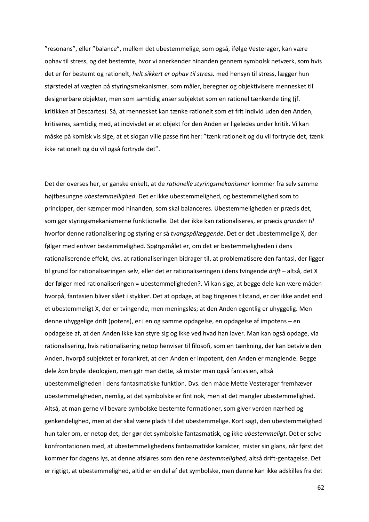"resonans", eller "balance", mellem det ubestemmelige, som også, ifølge Vesterager, kan være ophav til stress, og det bestemte, hvor vi anerkender hinanden gennem symbolsk netværk, som hvis det er for bestemt og rationelt, *helt sikkert er ophav til stress.* med hensyn til stress, lægger hun størstedel af vægten på styringsmekanismer, som måler, beregner og objektivisere mennesket til designerbare objekter, men som samtidig anser subjektet som en rationel tænkende ting (jf. kritikken af Descartes). Så, at mennesket kan tænke rationelt som et frit individ uden den Anden, kritiseres, samtidig med, at indvivdet er et objekt for den Anden er ligeledes under kritik. Vi kan måske på komisk vis sige, at et slogan ville passe fint her: "tænk rationelt og du vil fortryde det, tænk ikke rationelt og du vil også fortryde det".

Det der overses her, er ganske enkelt, at de *rationelle styringsmekanismer* kommer fra selv samme højtbesungne *ubestemmellighed*. Det er ikke ubestemmelighed, og bestemmelighed som to principper, der kæmper mod hinanden, som skal balanceres. Ubestemmeligheden er præcis det, som gør styringsmekanismerne funktionelle. Det der ikke kan rationaliseres, er præcis *grunden til*  hvorfor denne rationalisering og styring er så *tvangspålæggende*. Det er det ubestemmelige X, der følger med enhver bestemmelighed. Spørgsmålet er, om det er bestemmeligheden i dens rationaliserende effekt, dvs. at rationaliseringen bidrager til, at problematisere den fantasi, der ligger til grund for rationaliseringen selv, eller det er rationaliseringen i dens tvingende *drift* – altså, det X der følger med rationaliseringen = ubestemmeligheden?. Vi kan sige, at begge dele kan være måden hvorpå, fantasien bliver slået i stykker. Det at opdage, at bag tingenes tilstand, er der ikke andet end et ubestemmeligt X, der er tvingende, men meningsløs; at den Anden egentlig er uhyggelig. Men denne uhyggelige drift (potens), er i en og samme opdagelse, en opdagelse af impotens – en opdagelse af, at den Anden ikke kan styre sig og ikke ved hvad han laver. Man kan også opdage, via rationalisering, hvis rationalisering netop henviser til filosofi, som en tænkning, der kan betvivle den Anden, hvorpå subjektet er forankret, at den Anden er impotent, den Anden er manglende. Begge dele *kan* bryde ideologien, men gør man dette, så mister man også fantasien, altså ubestemmeligheden i dens fantasmatiske funktion. Dvs. den måde Mette Vesterager fremhæver ubestemmeligheden, nemlig, at det symbolske er fint nok, men at det mangler ubestemmelighed. Altså, at man gerne vil bevare symbolske bestemte formationer, som giver verden nærhed og genkendelighed, men at der skal være plads til det ubestemmelige. Kort sagt, den ubestemmelighed hun taler om, er netop det, der gør det symbolske fantasmatisk, og ikke *ubestemmeligt*. Det er selve konfrontationen med, at ubestemmelighedens fantasmatiske karakter, mister sin glans, når først det kommer for dagens lys, at denne afsløres som den rene *bestemmelighed,* altså drift-gentagelse. Det er rigtigt, at ubestemmelighed, altid er en del af det symbolske, men denne kan ikke adskilles fra det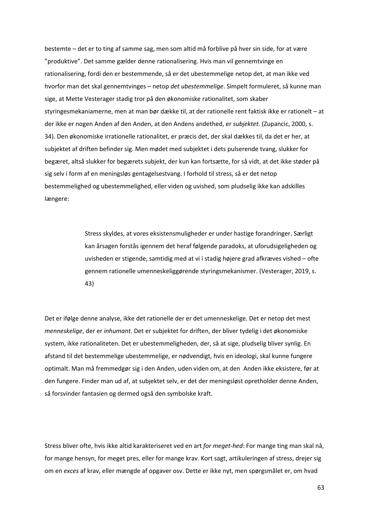bestemte – det er to ting af samme sag, men som altid må forblive på hver sin side, for at være "produktive". Det samme gælder denne rationalisering. Hvis man vil gennemtvinge en rationalisering, fordi den er bestemmende, så er det ubestemmelige netop det, at man ikke ved hvorfor man det skal gennemtvinges – netop *det ubestemmelige*. Simpelt formuleret, så kunne man sige, at Mette Vesterager stadig tror på den økonomiske rationalitet, som skaber styringesmekaniamerne, men at man bør dække til, at der rationelle rent faktisk ikke er rationelt – at der ikke er nogen Anden af den Anden, at den Andens andethed, er *subjektet*. (Zupancic, 2000, s. 34). Den økonomiske irrationelle rationalitet, er præcis det, der skal dækkes til, da det er her, at subjektet af driften befinder sig. Men mødet med subjektet i dets pulserende tvang, slukker for begæret, altså slukker for begærets subjekt, der kun kan fortsætte, for så vidt, at det ikke støder på sig selv i form af en meningsløs gentagelsestvang. I forhold til stress, så er det netop bestemmelighed og ubestemmelighed, eller viden og uvished, som pludselig ikke kan adskilles længere:

> Stress skyldes, at vores eksistensmuligheder er under hastige forandringer. Særligt kan årsagen forstås igennem det heraf følgende paradoks, at uforudsigeligheden og uvisheden er stigende, samtidig med at vi i stadig højere grad afkræves vished – ofte gennem rationelle umenneskeliggørende styringsmekanismer. (Vesterager, 2019, s. 43)

Det er ifølge denne analyse, ikke det rationelle der er det umenneskelige. Det er netop det mest *menneskelige*, der er *inhumant*. Det er subjektet for driften, der bliver tydelig i det økonomiske system, ikke rationaliteten. Det er ubestemmeligheden, der, så at sige, pludselig bliver synlig. En afstand til det bestemmelige ubestemmelige, er nødvendigt, hvis en ideologi, skal kunne fungere optimalt. Man må fremmedgør sig i den Anden, uden viden om, at den Anden ikke eksistere, før at den fungere. Finder man ud af, at subjektet selv, er det der meningsløst opretholder denne Anden, så forsvinder fantasien og dermed også den symbolske kraft.

Stress bliver ofte, hvis ikke altid karakteriseret ved en art *for meget-hed*: For mange ting man skal nå, for mange hensyn, for meget pres, eller for mange krav. Kort sagt, artikuleringen af stress, drejer sig om en *exces* af krav, eller mængde af opgaver osv. Dette er ikke nyt, men spørgsmålet er, om hvad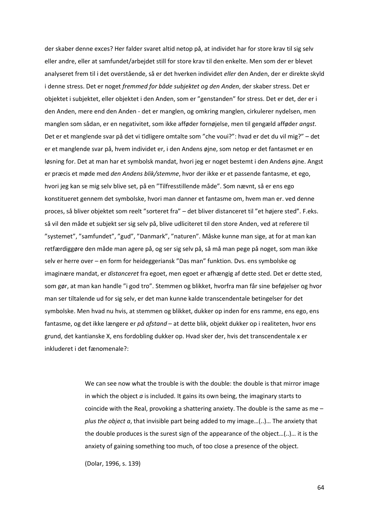der skaber denne exces? Her falder svaret altid netop på, at individet har for store krav til sig selv eller andre, eller at samfundet/arbejdet still for store krav til den enkelte. Men som der er blevet analyseret frem til i det overstående, så er det hverken individet *eller* den Anden, der er direkte skyld i denne stress. Det er noget *fremmed for både subjektet og den Anden*, der skaber stress. Det er objektet i subjektet, eller objektet i den Anden, som er "genstanden" for stress. Det er det, der er i den Anden, mere end den Anden - det er manglen, og omkring manglen, cirkulerer nydelsen, men manglen som sådan, er en negativitet, som ikke afføder fornøjelse, men til gengæld afføder *angst*. Det er et manglende svar på det vi tidligere omtalte som "che voui?": hvad er det du vil mig?" – det er et manglende svar på, hvem individet er, i den Andens øjne, som netop er det fantasmet er en løsning for. Det at man har et symbolsk mandat, hvori jeg er noget bestemt i den Andens øjne. Angst er præcis et møde med *den Andens blik/stemme*, hvor der ikke er et passende fantasme, et ego, hvori jeg kan se mig selv blive set, på en "Tilfresstillende måde". Som nævnt, så er ens ego konstitueret gennem det symbolske, hvori man danner et fantasme om, hvem man er. ved denne proces, så bliver objektet som reelt "sorteret fra" – det bliver distanceret til "et højere sted". F.eks. så vil den måde et subjekt ser sig selv på, blive udliciteret til den store Anden, ved at referere til "systemet", "samfundet", "gud", "Danmark", "naturen". Måske kunne man sige, at for at man kan retfærdiggøre den måde man agere på, og ser sig selv på, så må man pege på noget, som man ikke selv er herre over – en form for heideggeriansk "Das man" funktion. Dvs. ens symbolske og imaginære mandat, er *distanceret* fra egoet, men egoet er afhængig af dette sted. Det er dette sted, som gør, at man kan handle "i god tro". Stemmen og blikket, hvorfra man får sine beføjelser og hvor man ser tiltalende ud for sig selv, er det man kunne kalde transcendentale betingelser for det symbolske. Men hvad nu hvis, at stemmen og blikket, dukker op inden for ens ramme, ens ego, ens fantasme, og det ikke længere er *på afstand* – at dette blik, objekt dukker op i realiteten, hvor ens grund, det kantianske X, ens fordobling dukker op. Hvad sker der, hvis det transcendentale x er inkluderet i det fænomenale?:

> We can see now what the trouble is with the double: the double is that mirror image in which the object *a* is included. It gains its own being, the imaginary starts to coincide with the Real, provoking a shattering anxiety. The double is the same as me – *plus the object a*, that invisible part being added to my image…(..)… The anxiety that the double produces is the surest sign of the appearance of the object…(..)… it is the anxiety of gaining something too much, of too close a presence of the object.

(Dolar, 1996, s. 139)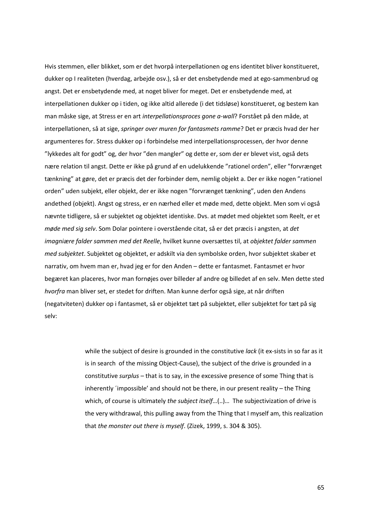Hvis stemmen, eller blikket, som er det hvorpå interpellationen og ens identitet bliver konstitueret, dukker op I realiteten (hverdag, arbejde osv.), så er det ensbetydende med at ego-sammenbrud og angst. Det er ensbetydende med, at noget bliver for meget. Det er ensbetydende med, at interpellationen dukker op i tiden, og ikke altid allerede (i det tidsløse) konstitueret, og bestem kan man måske sige, at Stress er en art *interpellationsproces gone a-wall*? Forstået på den måde, at interpellationen, så at sige, *springer over muren for fantasmets ramme*? Det er præcis hvad der her argumenteres for. Stress dukker op i forbindelse med interpellationsprocessen, der hvor denne "lykkedes alt for godt" og, der hvor "den mangler" og dette er, som der er blevet vist, også dets nære relation til angst. Dette er ikke på grund af en udelukkende "rationel orden", eller "forvrænget tænkning" at gøre, det er præcis det der forbinder dem, nemlig objekt a. Der er ikke nogen "rationel orden" uden subjekt, eller objekt, der er ikke nogen "forvrænget tænkning", uden den Andens andethed (objekt). Angst og stress, er en nærhed eller et møde med, dette objekt. Men som vi også nævnte tidligere, så er subjektet og objektet identiske. Dvs. at mødet med objektet som Reelt, er et *møde med sig selv*. Som Dolar pointere i overstående citat, så er det præcis i angsten, at *det imagniære falder sammen med det Reelle*, hvilket kunne oversættes til, at *objektet falder sammen med subjektet*. Subjektet og objektet, er adskilt via den symbolske orden, hvor subjektet skaber et narrativ, om hvem man er, hvad jeg er for den Anden – dette er fantasmet. Fantasmet er hvor begæret kan placeres, hvor man fornøjes over billeder af andre og billedet af en selv. Men dette sted *hvorfra* man bliver set, er stedet for driften. Man kunne derfor også sige, at når driften (negatviteten) dukker op i fantasmet, så er objektet tæt på subjektet, eller subjektet for tæt på sig selv:

> while the subject of desire is grounded in the constitutive *lack* (it ex-sists in so far as it is in search of the missing Object-Cause), the subject of the drive is grounded in a constitutive *surplus* – that is to say, in the excessive presence of some Thing that is inherently ´impossible' and should not be there, in our present reality – the Thing which, of course is ultimately *the subject itself*…(..)… The subjectivization of drive is the very withdrawal, this pulling away from the Thing that I myself am, this realization that *the monster out there is myself*. (Zizek, 1999, s. 304 & 305).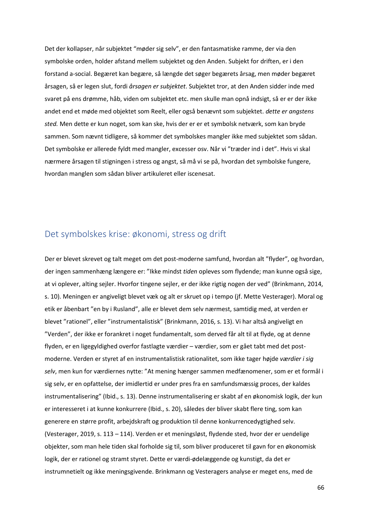Det der kollapser, når subjektet "møder sig selv", er den fantasmatiske ramme, der via den symbolske orden, holder afstand mellem subjektet og den Anden. Subjekt for driften, er i den forstand a-social. Begæret kan begære, så længde det søger begærets årsag, men møder begæret årsagen, så er legen slut, fordi *årsagen er subjektet*. Subjektet tror, at den Anden sidder inde med svaret på ens drømme, håb, viden om subjektet etc. men skulle man opnå indsigt, så er er der ikke andet end et møde med objektet som Reelt, eller også benævnt som subjektet. *dette er angstens sted.* Men dette er kun noget, som kan ske, hvis der er er et symbolsk netværk, som kan bryde sammen. Som nævnt tidligere, så kommer det symbolskes mangler ikke med subjektet som sådan. Det symbolske er allerede fyldt med mangler, excesser osv. Når vi "træder ind i det". Hvis vi skal nærmere årsagen til stigningen i stress og angst, så må vi se på, hvordan det symbolske fungere, hvordan manglen som sådan bliver artikuleret eller iscenesat.

## Det symbolskes krise: økonomi, stress og drift

Der er blevet skrevet og talt meget om det post-moderne samfund, hvordan alt "flyder", og hvordan, der ingen sammenhæng længere er: "Ikke mindst *tiden* opleves som flydende; man kunne også sige, at vi oplever, alting sejler. Hvorfor tingene sejler, er der ikke rigtig nogen der ved" (Brinkmann, 2014, s. 10). Meningen er angiveligt blevet væk og alt er skruet op i tempo (jf. Mette Vesterager). Moral og etik er åbenbart "en by i Rusland", alle er blevet dem selv nærmest, samtidig med, at verden er blevet "rationel", eller "instrumentalistisk" (Brinkmann, 2016, s. 13). Vi har altså angiveligt en "Verden", der ikke er forankret i noget fundamentalt, som derved får alt til at flyde, og at denne flyden, er en ligegyldighed overfor fastlagte værdier – værdier, som er gået tabt med det postmoderne. Verden er styret af en instrumentalistisk rationalitet, som ikke tager højde *værdier i sig selv*, men kun for værdiernes nytte: "At mening hænger sammen medfænomener, som er et formål i sig selv, er en opfattelse, der imidlertid er under pres fra en samfundsmæssig proces, der kaldes instrumentalisering" (Ibid., s. 13). Denne instrumentalisering er skabt af en økonomisk logik, der kun er interesseret i at kunne konkurrere (Ibid., s. 20), således der bliver skabt flere ting, som kan generere en større profit, arbejdskraft og produktion til denne konkurrencedygtighed selv. (Vesterager, 2019, s. 113 – 114). Verden er et meningsløst, flydende sted, hvor der er uendelige objekter, som man hele tiden skal forholde sig til, som bliver produceret til gavn for en økonomisk logik, der er rationel og stramt styret. Dette er værdi-ødelæggende og kunstigt, da det er instrumnetielt og ikke meningsgivende. Brinkmann og Vesteragers analyse er meget ens, med de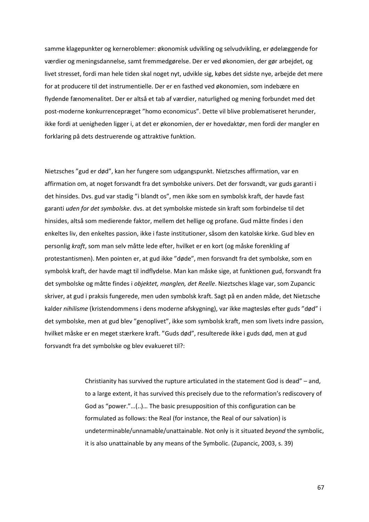samme klagepunkter og kerneroblemer: økonomisk udvikling og selvudvikling, er ødelæggende for værdier og meningsdannelse, samt fremmedgørelse. Der er ved økonomien, der gør arbejdet, og livet stresset, fordi man hele tiden skal noget nyt, udvikle sig, købes det sidste nye, arbejde det mere for at producere til det instrumentielle. Der er en fasthed ved økonomien, som indebære en flydende fænomenalitet. Der er altså et tab af værdier, naturlighed og mening forbundet med det post-moderne konkurrencepræget "homo economicus". Dette vil blive problematiseret herunder, ikke fordi at uenigheden ligger i, at det er økonomien, der er hovedaktør, men fordi der mangler en forklaring på dets destruerende og attraktive funktion.

Nietzsches "gud er død", kan her fungere som udgangspunkt. Nietzsches affirmation, var en affirmation om, at noget forsvandt fra det symbolske univers. Det der forsvandt, var guds garanti i det hinsides. Dvs. gud var stadig "i blandt os", men ikke som en symbolsk kraft, der havde fast garanti *uden for det symbolske*. dvs. at det symbolske mistede sin kraft som forbindelse til det hinsides, altså som medierende faktor, mellem det hellige og profane. Gud måtte findes i den enkeltes liv, den enkeltes passion, ikke i faste institutioner, såsom den katolske kirke. Gud blev en personlig *kraft*, som man selv måtte lede efter, hvilket er en kort (og måske forenkling af protestantismen). Men pointen er, at gud ikke "døde", men forsvandt fra det symbolske, som en symbolsk kraft, der havde magt til indflydelse. Man kan måske sige, at funktionen gud, forsvandt fra det symbolske og måtte findes i *objektet, manglen, det Reelle*. Nieztsches klage var, som Zupancic skriver, at gud i praksis fungerede, men uden symbolsk kraft. Sagt på en anden måde, det Nietzsche kalder *nihilisme* (kristendommens i dens moderne afskygning), var ikke magtesløs efter guds "død" i det symbolske, men at gud blev "genoplivet", ikke som symbolsk kraft, men som livets indre passion, hvilket måske er en meget stærkere kraft. "Guds død", resulterede ikke i guds død, men at gud forsvandt fra det symbolske og blev evakueret til?:

> Christianity has survived the rupture articulated in the statement God is dead" – and, to a large extent, it has survived this precisely due to the reformation's rediscovery of God as "power."…(..)… The basic presupposition of this configuration can be formulated as follows: the Real (for instance, the Real of our salvation) is undeterminable/unnamable/unattainable. Not only is it situated *beyond* the symbolic, it is also unattainable by any means of the Symbolic. (Zupancic, 2003, s. 39)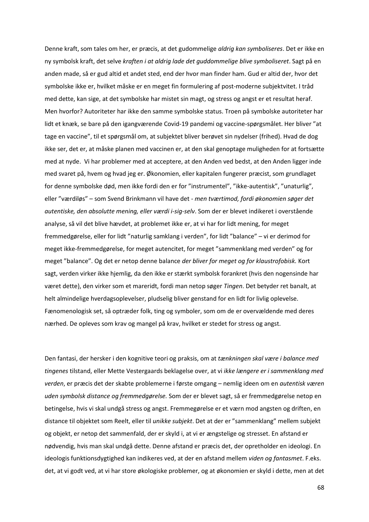Denne kraft, som tales om her, er præcis, at det gudommelige *aldrig kan symboliseres*. Det er ikke en ny symbolsk kraft, det selve *kraften i at aldrig lade det guddommelige blive symboliseret*. Sagt på en anden made, så er gud altid et andet sted, end der hvor man finder ham. Gud er altid der, hvor det symbolske ikke er, hvilket måske er en meget fin formulering af post-moderne subjektvitet. I tråd med dette, kan sige, at det symbolske har mistet sin magt, og stress og angst er et resultat heraf. Men hvorfor? Autoriteter har ikke den samme symbolske status. Troen på symbolske autoriteter har lidt et knæk, se bare på den igangværende Covid-19 pandemi og vaccine-spørgsmålet. Her bliver "at tage en vaccine", til et spørgsmål om, at subjektet bliver berøvet sin nydelser (frihed). Hvad de dog ikke ser, det er, at måske planen med vaccinen er, at den skal genoptage muligheden for at fortsætte med at nyde. Vi har problemer med at acceptere, at den Anden ved bedst, at den Anden ligger inde med svaret på, hvem og hvad jeg er. Økonomien, eller kapitalen fungerer præcist, som grundlaget for denne symbolske død, men ikke fordi den er for "instrumentel", "ikke-autentisk", "unaturlig", eller "værdiløs" – som Svend Brinkmann vil have det - *men tværtimod, fordi økonomien søger det autentiske, den absolutte mening, eller værdi i-sig-selv*. Som der er blevet indikeret i overstående analyse, så vil det blive hævdet, at problemet ikke er, at vi har for lidt mening, for meget fremmedgørelse, eller for lidt "naturlig samklang i verden", for lidt "balance" – vi er derimod for meget ikke-fremmedgørelse, for meget autencitet, for meget "sammenklang med verden" og for meget "balance". Og det er netop denne balance *der bliver for meget og for klaustrofobisk.* Kort sagt, verden virker ikke hjemlig, da den ikke er stærkt symbolsk forankret (hvis den nogensinde har været dette), den virker som et mareridt, fordi man netop søger *Tingen*. Det betyder ret banalt, at helt almindelige hverdagsoplevelser, pludselig bliver genstand for en lidt for livlig oplevelse. Fænomenologisk set, så optræder folk, ting og symboler, som om de er overvældende med deres nærhed. De opleves som krav og mangel på krav, hvilket er stedet for stress og angst.

Den fantasi, der hersker i den kognitive teori og praksis, om at *tænkningen skal være i balance med tingenes* tilstand, eller Mette Vestergaards beklagelse over, at vi *ikke længere er i sammenklang med verden*, er præcis det der skabte problemerne i første omgang – nemlig ideen om en *autentisk væren uden symbolsk distance og fremmedgørelse.* Som der er blevet sagt, så er fremmedgørelse netop en betingelse, hvis vi skal undgå stress og angst. Fremmegørelse er et værn mod angsten og driften, en distance til objektet som Reelt, eller til *unikke subjekt*. Det at der er "sammenklang" mellem subjekt og objekt, er netop det sammenfald, der er skyld i, at vi er ængstelige og stresset. En afstand er nødvendig, hvis man skal undgå dette. Denne afstand er præcis det, der opretholder en ideologi. En ideologis funktionsdygtighed kan indikeres ved, at der en afstand mellem *viden og fantasmet*. F.eks. det, at vi godt ved, at vi har store økologiske problemer, og at økonomien er skyld i dette, men at det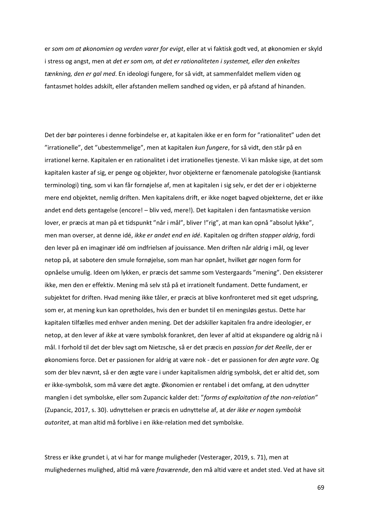er *som om at økonomien og verden varer for evigt*, eller at vi faktisk godt ved, at økonomien er skyld i stress og angst, men at *det er som om, at det er rationaliteten i systemet, eller den enkeltes tænkning, den er gal med*. En ideologi fungere, for så vidt, at sammenfaldet mellem viden og fantasmet holdes adskilt, eller afstanden mellem sandhed og viden, er på afstand af hinanden.

Det der bør pointeres i denne forbindelse er, at kapitalen ikke er en form for "rationalitet" uden det "irrationelle", det "ubestemmelige", men at kapitalen *kun fungere*, for så vidt, den står på en irrationel kerne. Kapitalen er en rationalitet i det irrationelles tieneste. Vi kan måske sige, at det som kapitalen kaster af sig, er penge og objekter, hvor objekterne er fænomenale patologiske (kantiansk terminologi) ting, som vi kan får fornøjelse af, men at kapitalen i sig selv, er det der er i objekterne mere end objektet, nemlig driften. Men kapitalens drift, er ikke noget bagved objekterne, det er ikke andet end dets gentagelse (encore! – bliv ved, mere!). Det kapitalen i den fantasmatiske version lover, er præcis at man på et tidspunkt "når i mål", bliver !"rig", at man kan opnå "absolut lykke", men man overser, at denne idé, *ikke er andet end en idé*. Kapitalen og driften *stopper aldrig*, fordi den lever på en imaginær idé om indfrielsen af jouissance. Men driften når aldrig i mål, og lever netop på, at sabotere den smule fornøjelse, som man har opnået, hvilket gør nogen form for opnåelse umulig. Ideen om lykken, er præcis det samme som Vestergaards "mening". Den eksisterer ikke, men den er effektiv. Mening må selv stå på et irrationelt fundament. Dette fundament, er subjektet for driften. Hvad mening ikke tåler, er præcis at blive konfronteret med sit eget udspring, som er, at mening kun kan opretholdes, hvis den er bundet til en meningsløs gestus. Dette har kapitalen tilfælles med enhver anden mening. Det der adskiller kapitalen fra andre ideologier, er netop, at den lever af *ikke* at være symbolsk forankret, den lever af altid at ekspandere og aldrig nå i mål. I forhold til det der blev sagt om Nietzsche, så er det præcis en *passion for det Reelle*, der er økonomiens force. Det er passionen for aldrig at være nok - det er passionen for *den ægte vare*. Og som der blev nævnt, så er den ægte vare i under kapitalismen aldrig symbolsk, det er altid det, som er ikke-symbolsk, som må være det ægte. Økonomien er rentabel i det omfang, at den udnytter manglen i det symbolske, eller som Zupancic kalder det: "*forms of exploitation of the non-relation"* (Zupancic, 2017, s. 30). udnyttelsen er præcis en udnyttelse af, at *der ikke er nogen symbolsk autoritet*, at man altid må forblive i en ikke-relation med det symbolske.

Stress er ikke grundet i, at vi har for mange muligheder (Vesterager, 2019, s. 71), men at mulighedernes mulighed, altid må være *fraværende*, den må altid være et andet sted. Ved at have sit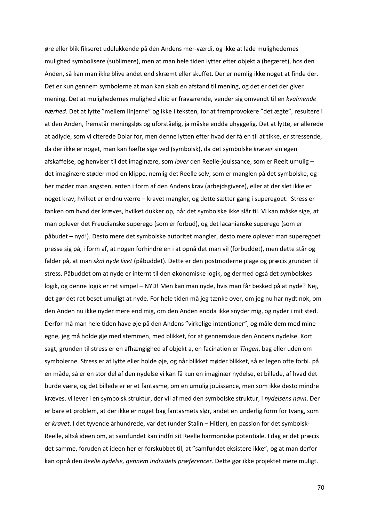øre eller blik fikseret udelukkende på den Andens mer-værdi, og ikke at lade mulighedernes mulighed symbolisere (sublimere), men at man hele tiden lytter efter objekt a (begæret), hos den Anden, så kan man ikke blive andet end skræmt eller skuffet. Der er nemlig ikke noget at finde der. Det er kun gennem symbolerne at man kan skab en afstand til mening, og det er det der giver mening. Det at mulighedernes mulighed altid er fraværende, vender sig omvendt til en *kvalmende nærhed*. Det at lytte "mellem linjerne" og ikke i teksten, for at fremprovokere "det ægte", resultere i at den Anden, fremstår meningsløs og uforståelig, ja måske endda uhyggelig. Det at lytte, er allerede at adlyde, som vi citerede Dolar for, men denne lytten efter hvad der få en til at tikke, er stressende, da der ikke er noget, man kan hæfte sige ved (symbolsk), da det symbolske *kræver* sin egen afskaffelse, og henviser til det imaginære, som *lover* den Reelle-jouissance, som er Reelt umulig – det imaginære støder mod en klippe, nemlig det Reelle selv, som er manglen på det symbolske, og her møder man angsten, enten i form af den Andens krav (arbejdsgivere), eller at der slet ikke er noget krav, hvilket er endnu værre – kravet mangler, og dette sætter gang i superegoet. Stress er tanken om hvad der kræves, hvilket dukker op, når det symbolske ikke slår til. Vi kan måske sige, at man oplever det Freudianske superego (som er forbud), og det lacanianske superego (som er påbudet – nyd!). Desto mere det symbolske autoritet mangler, desto mere oplever man superegoet presse sig på, i form af, at nogen forhindre en i at opnå det man vil (forbuddet), men dette står og falder på, at man *skal nyde livet* (påbuddet). Dette er den postmoderne plage og præcis grunden til stress. Påbuddet om at nyde er internt til den økonomiske logik, og dermed også det symbolskes logik, og denne logik er ret simpel – NYD! Men kan man nyde, hvis man får besked på at nyde? Nej, det gør det ret beset umuligt at nyde. For hele tiden må jeg tænke over, om jeg nu har nydt nok, om den Anden nu ikke nyder mere end mig, om den Anden endda ikke snyder mig, og nyder i mit sted. Derfor må man hele tiden have øje på den Andens "virkelige intentioner", og måle dem med mine egne, jeg må holde øje med stemmen, med blikket, for at gennemskue den Andens nydelse. Kort sagt, grunden til stress er en afhængighed af objekt a, en facination er *Tingen*, bag eller uden om symbolerne. Stress er at lytte eller holde øje, og når blikket møder blikket, så er legen ofte forbi. på en måde, så er en stor del af den nydelse vi kan få kun en imaginær nydelse, et billede, af hvad det burde være, og det billede er er et fantasme, om en umulig jouissance, men som ikke desto mindre kræves. vi lever i en symbolsk struktur, der vil af med den symbolske struktur, i *nydelsens navn*. Der er bare et problem, at der ikke er noget bag fantasmets slør, andet en underlig form for tvang, som er *kravet*. I det tyvende århundrede, var det (under Stalin – Hitler), en passion for det symbolsk-Reelle, altså ideen om, at samfundet kan indfri sit Reelle harmoniske potentiale. I dag er det præcis det samme, foruden at ideen her er forskubbet til, at "samfundet eksistere ikke", og at man derfor kan opnå den *Reelle nydelse, gennem individets præferencer*. Dette gør ikke projektet mere muligt.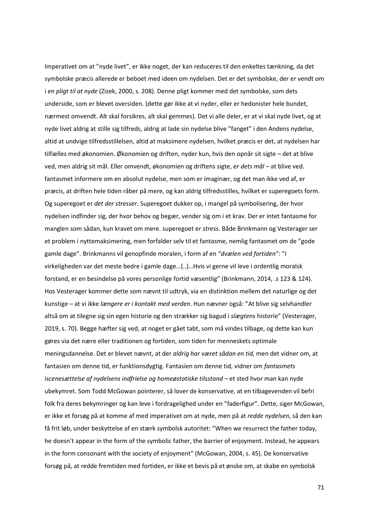Imperativet om at "nyde livet", er ikke noget, der kan reduceres til den enkeltes tænkning, da det symbolske præcis allerede er beboet med ideen om nydelsen. Det er det symbolske, der er vendt om i *en pligt til at nyde* (Zizek, 2000, s. 208). Denne pligt kommer med det symbolske, som dets underside, som er blevet oversiden. (dette gør ikke at vi nyder, eller er hedonister hele bundet, nærmest omvendt. Alt skal forsikres, alt skal gemmes). Det vi alle deler, er at vi skal nyde livet, og at nyde livet aldrig at stille sig tilfreds, aldrig at lade sin nydelse blive "fanget" i den Andens nydelse, altid at undvige tilfredsstillelsen, altid at maksimere nydelsen, hvilket præcis er det, at nydelsen har tilfælles med økonomien. Økonomien og driften, nyder kun, hvis den opnår sit sigte – det at blive ved, men aldrig sit mål. Eller omvendt, økonomien og driftens sigte, e*r dets mål* – at blive ved. fantasmet informere om en absolut nydelse, men som er imaginær, og det man ikke ved af, er præcis, at driften hele tiden råber på mere, og kan aldrig tilfredsstilles, hvilket er superegoets form. Og superegoet er *det der stresser*. Superegoet dukker op, i mangel på symbolisering, der hvor nydelsen indfinder sig, der hvor behov og begær, vender sig om i et krav. Der er intet fantasme for manglen som sådan, kun kravet om mere. superegoet er *stress*. Både Brinkmann og Vesterager ser et problem i nyttemaksimering, men forfalder selv til et fantasme, nemlig fantasmet om de "gode gamle dage". Brinkmanns vil genopfinde moralen, i form af en *"dvælen ved fortiden"*: "I virkeligheden var det meste bedre i gamle dage…(..)…Hvis vi gerne vil leve i ordentlig moralsk forstand, er en besindelse på vores personlige fortid væsentlig" (Brinkmann, 2014, .s 123 & 124). Hos Vesterager kommer dette som nævnt til udtryk, via en distinktion mellem det naturlige og det kunstige – at vi ikke *længere er i kontakt med verden*. Hun nævner også: "At blive sig selvhandler altså om at tilegne sig sin egen historie og den strækker sig bagud i *slægtens* historie" (Vesterager, 2019, s. 70). Begge hæfter sig ved, at noget er gået tabt, som må vindes tilbage, og dette kan kun gøres via det nære eller traditionen og fortiden, som tiden for menneskets optimale meningsdannelse. Det er blevet nævnt, at der *aldrig har været sådan en tid,* men det vidner om, at fantasien om denne tid, er funktionsdygtig. Fantasien om denne tid, vidner om *fantasmets iscenesættelse af nydelsens indfrielse og homeøstatiske tilsstand –* et sted hvor man kan nyde ubekymret. Som Todd McGowan pointerer, så lover de konservative, at en tilbagevenden vil befri folk fra deres bekymringer og kan leve i fordragelighed under en "faderfigur". Dette, siger McGowan, er ikke et forsøg på at komme af med imperativet om at nyde, men på at *redde nydelsen*, så den kan få frit løb, under beskyttelse af en stærk symbolsk autoritet: "When we resurrect the father today, he doesn't appear in the form of the symbolic father, the barrier of enjoyment. Instead, he appears in the form consonant with the society of enjoyment" (McGowan, 2004, s. 45). De konservative forsøg på, at redde fremtiden med fortiden, er ikke et bevis på et ønske om, at skabe en symbolsk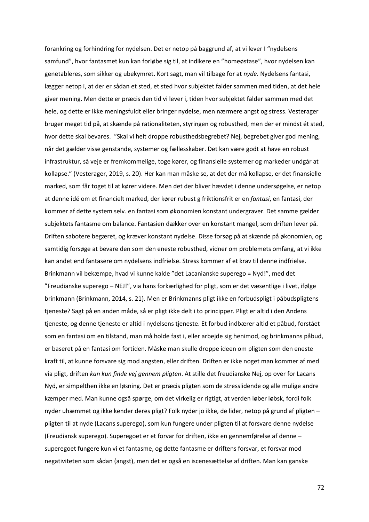forankring og forhindring for nydelsen. Det er netop på baggrund af, at vi lever I "nydelsens samfund", hvor fantasmet kun kan forløbe sig til, at indikere en "homeøstase", hvor nydelsen kan genetableres, som sikker og ubekymret. Kort sagt, man vil tilbage for at *nyde*. Nydelsens fantasi, lægger netop i, at der er sådan et sted, et sted hvor subjektet falder sammen med tiden, at det hele giver mening. Men dette er præcis den tid vi lever i, tiden hvor subjektet falder sammen med det hele, og dette er ikke meningsfuldt eller bringer nydelse, men nærmere angst og stress. Vesterager bruger meget tid på, at skænde på rationaliteten, styringen og robusthed, men der er mindst ét sted, hvor dette skal bevares. "Skal vi helt droppe robusthedsbegrebet? Nej, begrebet giver god mening, når det gælder visse genstande, systemer og fællesskaber. Det kan være godt at have en robust infrastruktur, så veje er fremkommelige, toge kører, og finansielle systemer og markeder undgår at kollapse." (Vesterager, 2019, s. 20). Her kan man måske se, at det der må kollapse, er det finansielle marked, som får toget til at kører videre. Men det der bliver hævdet i denne undersøgelse, er netop at denne idé om et financielt marked, der kører rubust g friktionsfrit er en *fantasi*, en fantasi, der kommer af dette system selv. en fantasi som økonomien konstant undergraver. Det samme gælder subjektets fantasme om balance. Fantasien dækker over en konstant mangel, som driften lever på. Driften sabotere begæret, og kræver konstant nydelse. Disse forsøg på at skænde på økonomien, og samtidig forsøge at bevare den som den eneste robusthed, vidner om problemets omfang, at vi ikke kan andet end fantasere om nydelsens indfrielse. Stress kommer af et krav til denne indfrielse. Brinkmann vil bekæmpe, hvad vi kunne kalde "det Lacanianske superego = Nyd!", med det "Freudianske superego – NEJ!", via hans forkærlighed for pligt, som er det væsentlige i livet, ifølge brinkmann (Brinkmann, 2014, s. 21). Men er Brinkmanns pligt ikke en forbudspligt i påbudspligtens tjeneste? Sagt på en anden måde, så er pligt ikke delt i to principper. Pligt er altid i den Andens tjeneste, og denne tjeneste er altid i nydelsens tjeneste. Et forbud indbærer altid et påbud, forstået som en fantasi om en tilstand, man må holde fast i, eller arbejde sig henimod, og brinkmanns påbud, er baseret på en fantasi om fortiden. Måske man skulle droppe ideen om pligten som den eneste kraft til, at kunne forsvare sig mod angsten, eller driften. Driften er ikke noget man kommer af med via pligt, driften *kan kun finde vej gennem pligten*. At stille det freudianske Nej, op over for Lacans Nyd, er simpelthen ikke en løsning. Det er præcis pligten som de stresslidende og alle mulige andre kæmper med. Man kunne også spørge, om det virkelig er rigtigt, at verden løber løbsk, fordi folk nyder uhæmmet og ikke kender deres pligt? Folk nyder jo ikke, de lider, netop på grund af pligten – pligten til at nyde (Lacans superego), som kun fungere under pligten til at forsvare denne nydelse (Freudiansk superego). Superegoet er et forvar for driften, ikke en gennemførelse af denne – superegoet fungere kun vi et fantasme, og dette fantasme er driftens forsvar, et forsvar mod negativiteten som sådan (angst), men det er også en iscenesættelse af driften. Man kan ganske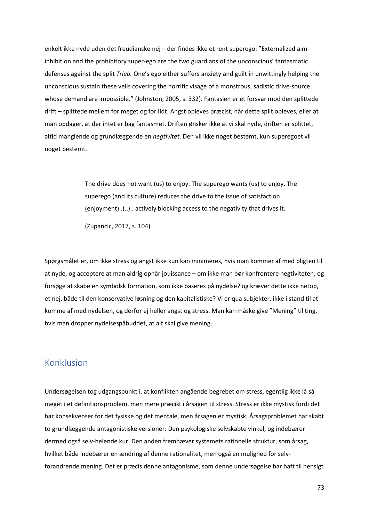enkelt ikke nyde uden det freudianske nej – der findes ikke et rent superego: "Externalized aiminhibition and the prohibitory super-ego are the two guardians of the unconscious' fantasmatic defenses against the split *Trieb.* One's ego either suffers anxiety and guilt in unwittingly helping the unconscious sustain these veils covering the horrific visage of a monstrous, sadistic drive-source whose demand are impossible." (Johnston, 2005, s. 332). Fantasien er et forsvar mod den splittede drift – splittede mellem for meget og for lidt. Angst opleves præcist, når dette split opleves, eller at man opdager, at der intet er bag fantasmet. Driften ønsker ikke at vi skal nyde, driften er splittet, altid manglende og grundlæggende en *negtivitet*. Den vil ikke noget bestemt, kun superegoet vil noget bestemt.

> The drive does not want (us) to enjoy. The superego wants (us) to enjoy. The superego (and its culture) reduces the drive to the issue of satisfaction (enjoyment)..(..).. actively blocking access to the negativity that drives it.

(Zupancic, 2017, s. 104)

Spørgsmålet er, om ikke stress og angst ikke kun kan minimeres, hvis man kommer af med pligten til at nyde, og acceptere at man aldrig opnår jouissance – om ikke man bør konfrontere negtiviteten, og forsøge at skabe en symbolsk formation, som ikke baseres på nydelse? og kræver dette ikke netop, et nej, både til den konservative løsning og den kapitalistiske? Vi er qua subjekter, ikke i stand til at komme af med nydelsen, og derfor ej heller angst og stress. Man kan måske give "Mening" til ting, hvis man dropper nydelsespåbuddet, at alt skal give mening.

## Konklusion

Undersøgelsen tog udgangspunkt i, at konflikten angående begrebet om stress, egentlig ikke lå så meget i et definitionsproblem, men mere præcist i årsagen til stress. Stress er ikke mystisk fordi det har konsekvenser for det fysiske og det mentale, men årsagen er mystisk. Årsagsproblemet har skabt to grundlæggende antagonistiske versioner: Den psykologiske selvskabte vinkel, og indebærer dermed også selv-helende kur. Den anden fremhæver systemets rationelle struktur, som årsag, hvilket både indebærer en ændring af denne rationalitet, men også en mulighed for selvforandrende mening. Det er præcis denne antagonisme, som denne undersøgelse har haft til hensigt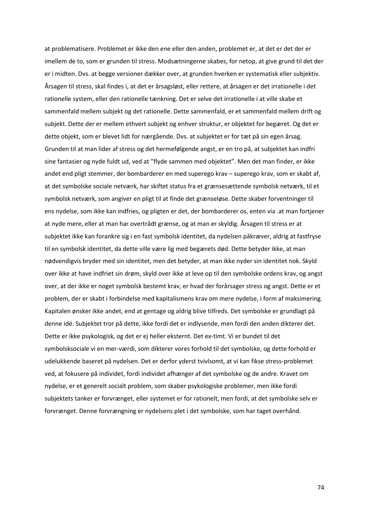at problematisere. Problemet er ikke den ene eller den anden, problemet er, at det er det der er imellem de to, som er grunden til stress. Modsætningerne skabes, for netop, at give grund til det der er i midten. Dvs. at begge versioner dækker over, at grunden hverken er systematisk eller subjektiv. Årsagen til stress, skal findes i, at det er årsagsløst, eller rettere, at årsagen er det irrationelle i det rationelle system, eller den rationelle tænkning. Det er selve det irrationelle i at ville skabe et sammenfald mellem subjekt og det rationelle. Dette sammenfald, er et sammenfald mellem drift og subjekt. Dette der er mellem ethvert subjekt og enhver struktur, er objektet for begæret. Og det er dette objekt, som er blevet lidt for nærgående. Dvs. at subjektet er for tæt på sin egen årsag. Grunden til at man lider af stress og det hermefølgende angst, er en tro på, at subjektet kan indfri sine fantasier og nyde fuldt ud, ved at "flyde sammen med objektet". Men det man finder, er ikke andet end pligt stemmer, der bombarderer en med superego krav – superego krav, som er skabt af, at det symbolske sociale netværk, har skiftet status fra et grænsesættende symbolsk netværk, til et symbolsk netværk, som angiver en pligt til at finde det grænseløse. Dette skaber forventninger til ens nydelse, som ikke kan indfries, og pligten er det, der bombarderer os, enten via .at man fortjener at nyde mere, eller at man har overtrådt grænse, og at man er skyldig. Årsagen til stress er at subjektet ikke kan forankre sig i en fast symbolsk identitet, da nydelsen påkræver, aldrig at fastfryse til en symbolsk identitet, da dette ville være lig med begærets død. Dette betyder ikke, at man nødvendigvis bryder med sin identitet, men det betyder, at man ikke nyder sin identitet nok. Skyld over ikke at have indfriet sin drøm, skyld over ikke at leve op til den symbolske ordens krav, og angst over, at der ikke er noget symbolsk bestemt krav, er hvad der forårsager stress og angst. Dette er et problem, der er skabt i forbindelse med kapitalismens krav om mere nydelse, i form af maksimering. Kapitalen ønsker ikke andet, end at gentage og aldrig blive tilfreds. Det symbolske er grundlagt på denne idé. Subjektet tror på dette, ikke fordi det er indlysende, men fordi den anden dikterer det. Dette er ikke psykologisk, og det er ej heller eksternt. Det ex-timt. Vi er bundet til det symbolsksociale vi en mer-værdi, som dikterer vores forhold til det symbolske, og dette forhold er udelukkende baseret på nydelsen. Det er derfor yderst tvivlsomt, at vi kan fikse stress-problemet ved, at fokusere på individet, fordi individet afhænger af det symbolske og de andre. Kravet om nydelse, er et generelt socialt problem, som skaber psykologiske problemer, men ikke fordi subjektets tanker er forvrænget, eller systemet er for rationelt, men fordi, at det symbolske selv er forvrænget. Denne forvrængning er nydelsens plet i det symbolske, som har taget overhånd.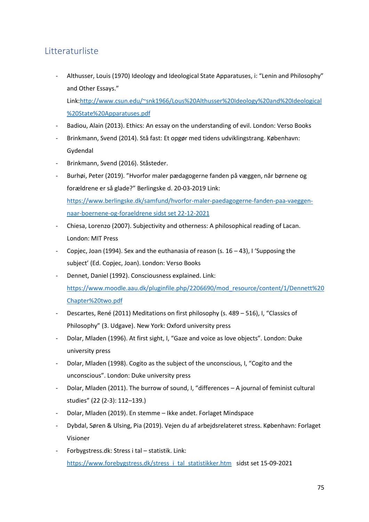## **Litteraturliste**

Althusser, Louis (1970) Ideology and Ideological State Apparatuses, i: "Lenin and Philosophy" and Other Essays."

Link[:http://www.csun.edu/~snk1966/Lous%20Althusser%20Ideology%20and%20Ideological](http://www.csun.edu/~snk1966/Lous%20Althusser%20Ideology%20and%20Ideological%20State%20Apparatuses.pdf) [%20State%20Apparatuses.pdf](http://www.csun.edu/~snk1966/Lous%20Althusser%20Ideology%20and%20Ideological%20State%20Apparatuses.pdf)

- Badiou, Alain (2013). Ethics: An essay on the understanding of evil. London: Verso Books
- Brinkmann, Svend (2014). Stå fast: Et opgør med tidens udviklingstrang. København: Gydendal
- Brinkmann, Svend (2016). Ståsteder.
- Burhøi, Peter (2019). "Hvorfor maler pædagogerne fanden på væggen, når børnene og forældrene er så glade?" Berlingske d. 20-03-2019 Link: [https://www.berlingske.dk/samfund/hvorfor-maler-paedagogerne-fanden-paa-vaeggen](https://www.berlingske.dk/samfund/hvorfor-maler-paedagogerne-fanden-paa-vaeggen-naar-boernene-og-foraeldrene%20sidst%20set%2022-12-2021)[naar-boernene-og-foraeldrene sidst set 22-12-2021](https://www.berlingske.dk/samfund/hvorfor-maler-paedagogerne-fanden-paa-vaeggen-naar-boernene-og-foraeldrene%20sidst%20set%2022-12-2021)
- Chiesa, Lorenzo (2007). Subjectivity and otherness: A philosophical reading of Lacan. London: MIT Press
- Copjec, Joan (1994). Sex and the euthanasia of reason (s.  $16 43$ ), I 'Supposing the subject' (Ed. Copjec, Joan). London: Verso Books
- Dennet, Daniel (1992). Consciousness explained. Link: [https://www.moodle.aau.dk/pluginfile.php/2206690/mod\\_resource/content/1/Dennett%20](https://www.moodle.aau.dk/pluginfile.php/2206690/mod_resource/content/1/Dennett%20Chapter%20two.pdf) [Chapter%20two.pdf](https://www.moodle.aau.dk/pluginfile.php/2206690/mod_resource/content/1/Dennett%20Chapter%20two.pdf)
- Descartes, René (2011) Meditations on first philosophy (s. 489 516), I, "Classics of Philosophy" (3. Udgave). New York: Oxford university press
- Dolar, Mladen (1996). At first sight, I, "Gaze and voice as love objects". London: Duke university press
- Dolar, Mladen (1998). Cogito as the subject of the unconscious, I, "Cogito and the unconscious". London: Duke university press
- Dolar, Mladen (2011). The burrow of sound, I, "differences A journal of feminist cultural studies" (22 (2-3): 112–139.)
- Dolar, Mladen (2019). En stemme Ikke andet. Forlaget Mindspace
- Dybdal, Søren & Ulsing, Pia (2019). Vejen du af arbejdsrelateret stress. København: Forlaget Visioner
- Forbygstress.dk: Stress i tal statistik. Link: [https://www.forebygstress.dk/stress\\_i\\_tal\\_statistikker.htm](https://www.forebygstress.dk/stress_i_tal_statistikker.htm) sidst set 15-09-2021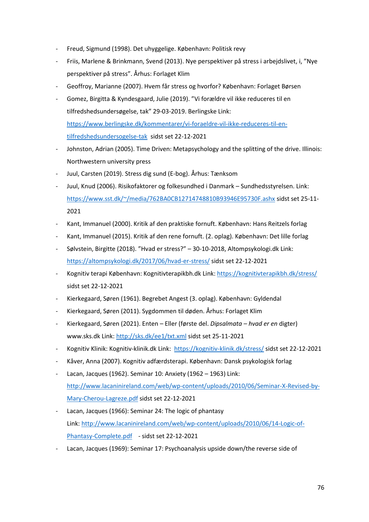- Freud, Sigmund (1998). Det uhyggelige. København: Politisk revy
- Friis, Marlene & Brinkmann, Svend (2013). Nye perspektiver på stress i arbejdslivet, i, "Nye perspektiver på stress". Århus: Forlaget Klim
- Geoffroy, Marianne (2007). Hvem får stress og hvorfor? København: Forlaget Børsen
- Gomez, Birgitta & Kyndesgaard, Julie (2019). "Vi forældre vil ikke reduceres til en tilfredshedsundersøgelse, tak" 29-03-2019. Berlingske Link: [https://www.berlingske.dk/kommentarer/vi-foraeldre-vil-ikke-reduceres-til-en](https://www.berlingske.dk/kommentarer/vi-foraeldre-vil-ikke-reduceres-til-en-tilfredshedsundersogelse-tak)[tilfredshedsundersogelse-tak](https://www.berlingske.dk/kommentarer/vi-foraeldre-vil-ikke-reduceres-til-en-tilfredshedsundersogelse-tak) sidst set 22-12-2021
- Johnston, Adrian (2005). Time Driven: Metapsychology and the splitting of the drive. Illinois: Northwestern university press
- Juul, Carsten (2019). Stress dig sund (E-bog). Århus: Tænksom
- Juul, Knud (2006). Risikofaktorer og folkesundhed i Danmark Sundhedsstyrelsen. Link: <https://www.sst.dk/~/media/762BA0CB12714748810B93946E95730F.ashx> sidst set 25-11- 2021
- Kant, Immanuel (2000). Kritik af den praktiske fornuft. København: Hans Reitzels forlag
- Kant, Immanuel (2015). Kritik af den rene fornuft. (2. oplag). København: Det lille forlag
- Sølvstein, Birgitte (2018). "Hvad er stress?" 30-10-2018, Altompsykologi.dk Link: <https://altompsykologi.dk/2017/06/hvad-er-stress/> sidst set 22-12-2021
- Kognitiv terapi København: Kognitivterapikbh.dk Link:<https://kognitivterapikbh.dk/stress/> sidst set 22-12-2021
- Kierkegaard, Søren (1961). Begrebet Angest (3. oplag). København: Gyldendal
- Kierkegaard, Søren (2011). Sygdommen til døden. Århus: Forlaget Klim
- Kierkegaard, Søren (2021). Enten Eller (første del. *Dipsalmata – hvad er en* digter) www.sks.dk Link:<http://sks.dk/ee1/txt.xml> sidst set 25-11-2021
- Kognitiv Klinik: Kognitiv-klinik.dk Link: <https://kognitiv-klinik.dk/stress/> sidst set 22-12-2021
- Kåver, Anna (2007). Kognitiv adfærdsterapi. København: Dansk psykologisk forlag
- Lacan, Jacques (1962). Seminar 10: Anxiety (1962 1963) Link: [http://www.lacaninireland.com/web/wp-content/uploads/2010/06/Seminar-X-Revised-by-](http://www.lacaninireland.com/web/wp-content/uploads/2010/06/Seminar-X-Revised-by-Mary-Cherou-Lagreze.pdf)[Mary-Cherou-Lagreze.pdf](http://www.lacaninireland.com/web/wp-content/uploads/2010/06/Seminar-X-Revised-by-Mary-Cherou-Lagreze.pdf) sidst set 22-12-2021
- Lacan, Jacques (1966): Seminar 24: The logic of phantasy Link: [http://www.lacaninireland.com/web/wp-content/uploads/2010/06/14-Logic-of-](http://www.lacaninireland.com/web/wp-content/uploads/2010/06/14-Logic-of-Phantasy-Complete.pdf)[Phantasy-Complete.pdf](http://www.lacaninireland.com/web/wp-content/uploads/2010/06/14-Logic-of-Phantasy-Complete.pdf) - sidst set 22-12-2021
- Lacan, Jacques (1969): Seminar 17: Psychoanalysis upside down/the reverse side of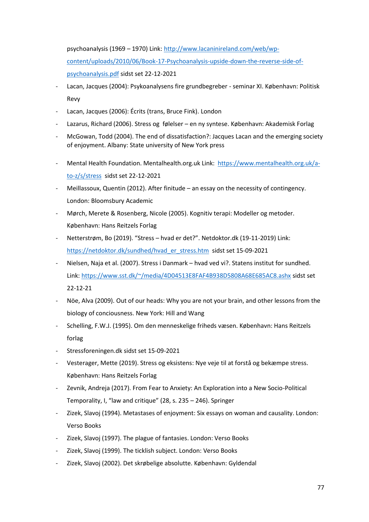psychoanalysis (1969 – 1970) Link: [http://www.lacaninireland.com/web/wp](http://www.lacaninireland.com/web/wp-content/uploads/2010/06/Book-17-Psychoanalysis-upside-down-the-reverse-side-of-psychoanalysis.pdf)[content/uploads/2010/06/Book-17-Psychoanalysis-upside-down-the-reverse-side-of](http://www.lacaninireland.com/web/wp-content/uploads/2010/06/Book-17-Psychoanalysis-upside-down-the-reverse-side-of-psychoanalysis.pdf)[psychoanalysis.pdf](http://www.lacaninireland.com/web/wp-content/uploads/2010/06/Book-17-Psychoanalysis-upside-down-the-reverse-side-of-psychoanalysis.pdf) sidst set 22-12-2021

- Lacan, Jacques (2004): Psykoanalysens fire grundbegreber seminar XI. København: Politisk Revy
- Lacan, Jacques (2006): Écrits (trans, Bruce Fink). London
- Lazarus, Richard (2006). Stress og følelser en ny syntese. København: Akademisk Forlag
- McGowan, Todd (2004). The end of dissatisfaction?: Jacques Lacan and the emerging society of enjoyment. Albany: State university of New York press
- Mental Health Foundation. Mentalhealth.org.uk Link: [https://www.mentalhealth.org.uk/a](https://www.mentalhealth.org.uk/a-to-z/s/stress)[to-z/s/stress](https://www.mentalhealth.org.uk/a-to-z/s/stress) sidst set 22-12-2021
- Meillassoux, Quentin (2012). After finitude an essay on the necessity of contingency. London: Bloomsbury Academic
- Mørch, Merete & Rosenberg, Nicole (2005). Kognitiv terapi: Modeller og metoder. København: Hans Reitzels Forlag
- Netterstrøm, Bo (2019). "Stress hvad er det?". Netdoktor.dk (19-11-2019) Link: [https://netdoktor.dk/sundhed/hvad\\_er\\_stress.htm](https://netdoktor.dk/sundhed/hvad_er_stress.htm) sidst set 15-09-2021
- Nielsen, Naja et al. (2007). Stress i Danmark hvad ved vi?. Statens institut for sundhed. Link:<https://www.sst.dk/~/media/4D04513E8FAF4B938D5808A68E685AC8.ashx> sidst set 22-12-21
- Nöe, Alva (2009). Out of our heads: Why you are not your brain, and other lessons from the biology of conciousness. New York: Hill and Wang
- Schelling, F.W.J. (1995). Om den menneskelige friheds væsen. København: Hans Reitzels forlag
- Stressforeningen.dk sidst set 15-09-2021
- Vesterager, Mette (2019). Stress og eksistens: Nye veje til at forstå og bekæmpe stress. København: Hans Reitzels Forlag
- Zevnik, Andreja (2017). From Fear to Anxiety: An Exploration into a New Socio-Political Temporality, I, "law and critique" (28, s. 235 – 246). Springer
- Zizek, Slavoj (1994). Metastases of enjoyment: Six essays on woman and causality. London: Verso Books
- Zizek, Slavoj (1997). The plague of fantasies. London: Verso Books
- Zizek, Slavoj (1999). The ticklish subject. London: Verso Books
- Zizek, Slavoj (2002). Det skrøbelige absolutte. København: Gyldendal